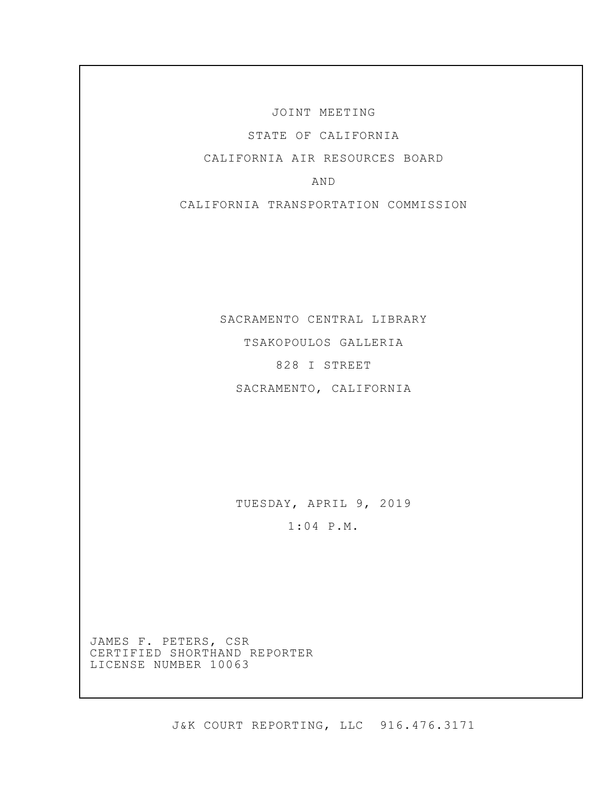JOINT MEETING

STATE OF CALIFORNIA

CALIFORNIA AIR RESOURCES BOARD

AND

CALIFORNIA TRANSPORTATION COMMISSION

SACRAMENTO CENTRAL LIBRARY TSAKOPOULOS GALLERIA 828 I STREET SACRAMENTO, CALIFORNIA

TUESDAY, APRIL 9, 2019

1:04 P.M.

JAMES F. PETERS, CSR CERTIFIED SHORTHAND REPORTER LICENSE NUMBER 10063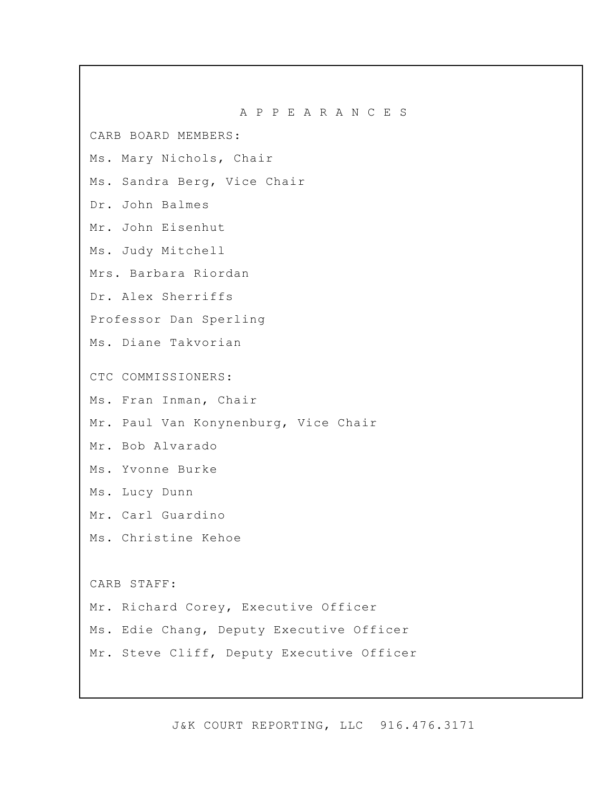CARB BOARD MEMBERS:

Ms. Mary Nichols, Chair

Ms. Sandra Berg, Vice Chair

Dr. John Balmes

Mr. John Eisenhut

Ms. Judy Mitchell

Mrs. Barbara Riordan

Dr. Alex Sherriffs

Professor Dan Sperling

Ms. Diane Takvorian

CTC COMMISSIONERS:

- Ms. Fran Inman, Chair
- Mr. Paul Van Konynenburg, Vice Chair

Mr. Bob Alvarado

- Ms. Yvonne Burke
- Ms. Lucy Dunn
- Mr. Carl Guardino
- Ms. Christine Kehoe

CARB STAFF:

- Mr. Richard Corey, Executive Officer
- Ms. Edie Chang, Deputy Executive Officer

Mr. Steve Cliff, Deputy Executive Officer

J&K COURT REPORTING, LLC 916.476.3171

A P P E A R A N C E S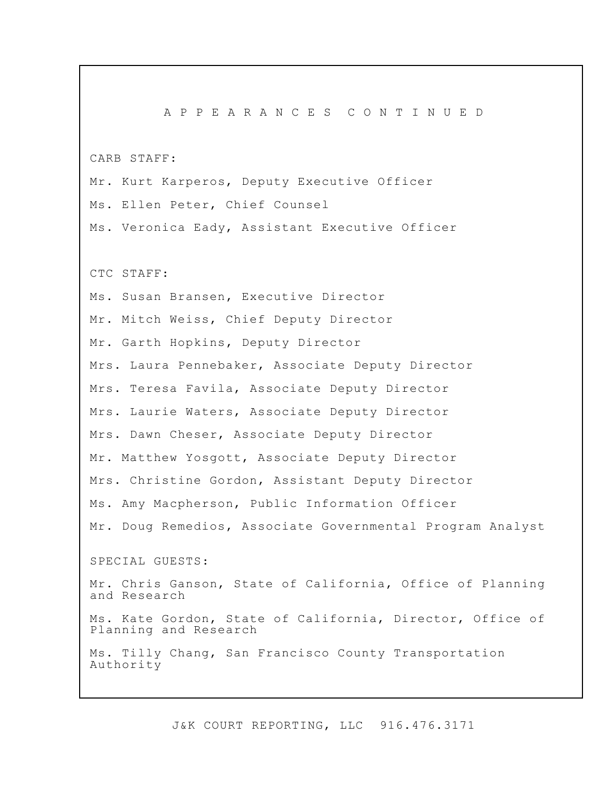A P P E A R A N C E S C O N T I N U E D CARB STAFF: Mr. Kurt Karperos, Deputy Executive Officer Ms. Ellen Peter, Chief Counsel Ms. Veronica Eady, Assistant Executive Officer CTC STAFF: Ms. Susan Bransen, Executive Director Mr. Mitch Weiss, Chief Deputy Director Mr. Garth Hopkins, Deputy Director Mrs. Laura Pennebaker, Associate Deputy Director Mrs. Teresa Favila, Associate Deputy Director Mrs. Laurie Waters, Associate Deputy Director Mrs. Dawn Cheser, Associate Deputy Director Mr. Matthew Yosgott, Associate Deputy Director Mrs. Christine Gordon, Assistant Deputy Director Ms. Amy Macpherson, Public Information Officer Mr. Doug Remedios, Associate Governmental Program Analyst SPECIAL GUESTS: Mr. Chris Ganson, State of California, Office of Planning and Research Ms. Kate Gordon, State of California, Director, Office of Planning and Research Ms. Tilly Chang, San Francisco County Transportation Authority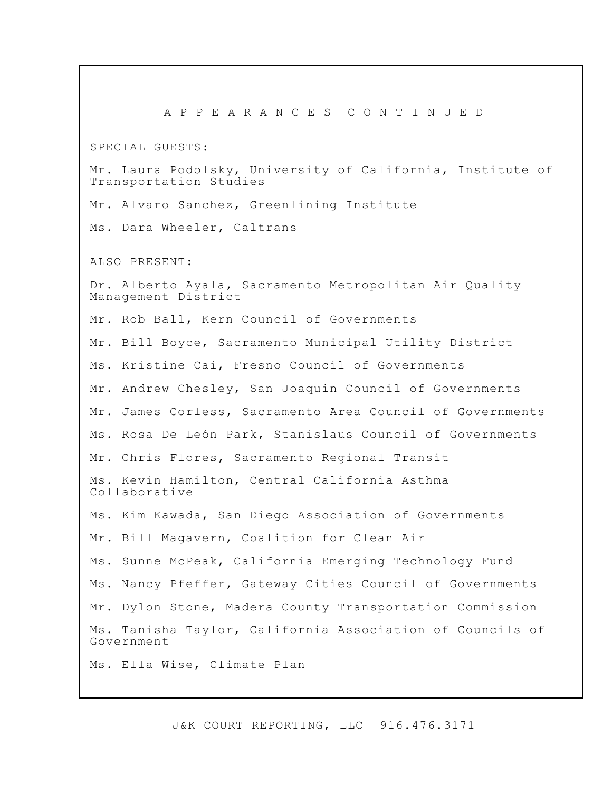A P P E A R A N C E S C O N T I N U E D SPECIAL GUESTS: Mr. Laura Podolsky, University of California, Institute of Transportation Studies Mr. Alvaro Sanchez, Greenlining Institute Ms. Dara Wheeler, Caltrans ALSO PRESENT: Dr. Alberto Ayala, Sacramento Metropolitan Air Quality Management District Mr. Rob Ball, Kern Council of Governments Mr. Bill Boyce, Sacramento Municipal Utility District Ms. Kristine Cai, Fresno Council of Governments Mr. Andrew Chesley, San Joaquin Council of Governments Mr. James Corless, Sacramento Area Council of Governments Ms. Rosa De León Park, Stanislaus Council of Governments Mr. Chris Flores, Sacramento Regional Transit Ms. Kevin Hamilton, Central California Asthma Collaborative Ms. Kim Kawada, San Diego Association of Governments Mr. Bill Magavern, Coalition for Clean Air Ms. Sunne McPeak, California Emerging Technology Fund Ms. Nancy Pfeffer, Gateway Cities Council of Governments Mr. Dylon Stone, Madera County Transportation Commission Ms. Tanisha Taylor, California Association of Councils of Government Ms. Ella Wise, Climate Plan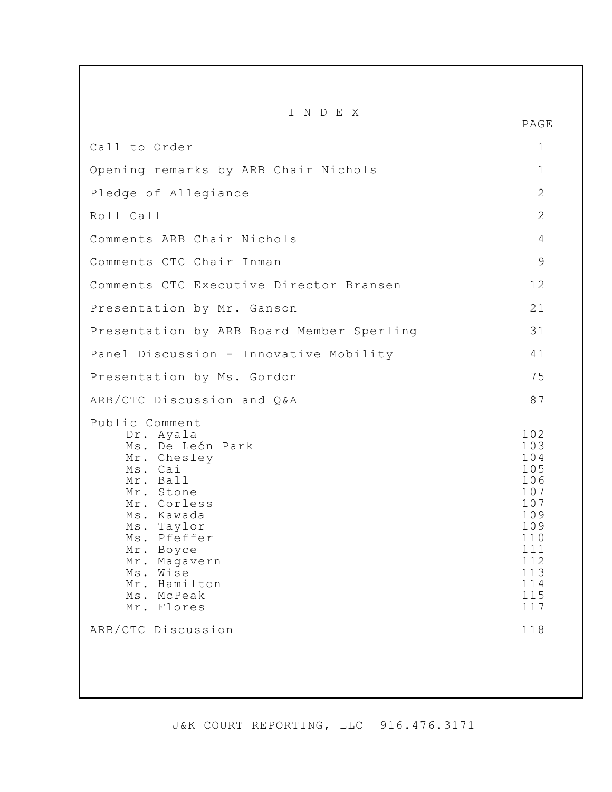| INDEX                                                                                                                                                                                                                                                                   | PAGE                                                                                                                |
|-------------------------------------------------------------------------------------------------------------------------------------------------------------------------------------------------------------------------------------------------------------------------|---------------------------------------------------------------------------------------------------------------------|
| Call to Order                                                                                                                                                                                                                                                           | 1                                                                                                                   |
| Opening remarks by ARB Chair Nichols                                                                                                                                                                                                                                    | 1                                                                                                                   |
| Pledge of Allegiance                                                                                                                                                                                                                                                    | $\overline{2}$                                                                                                      |
| Roll Call                                                                                                                                                                                                                                                               | $\overline{2}$                                                                                                      |
| Comments ARB Chair Nichols                                                                                                                                                                                                                                              | 4                                                                                                                   |
| Comments CTC Chair Inman                                                                                                                                                                                                                                                | 9                                                                                                                   |
| Comments CTC Executive Director Bransen                                                                                                                                                                                                                                 | 12                                                                                                                  |
| Presentation by Mr. Ganson                                                                                                                                                                                                                                              | 21                                                                                                                  |
| Presentation by ARB Board Member Sperling                                                                                                                                                                                                                               | 31                                                                                                                  |
| Panel Discussion - Innovative Mobility                                                                                                                                                                                                                                  | 41                                                                                                                  |
| Presentation by Ms. Gordon                                                                                                                                                                                                                                              | 75                                                                                                                  |
| ARB/CTC Discussion and Q&A                                                                                                                                                                                                                                              | 87                                                                                                                  |
| Public Comment<br>Dr. Ayala<br>Ms. De León Park<br>Mr. Chesley<br>Ms. Cai<br>Mr. Ball<br>Mr. Stone<br>Mr. Corless<br>Ms. Kawada<br>Ms. Taylor<br>Ms. Pfeffer<br>Mr. Boyce<br>Mr. Magavern<br>Ms. Wise<br>Mr. Hamilton<br>Ms. McPeak<br>Mr. Flores<br>ARB/CTC Discussion | 102<br>103<br>104<br>105<br>106<br>107<br>107<br>109<br>109<br>110<br>111<br>112<br>113<br>114<br>115<br>117<br>118 |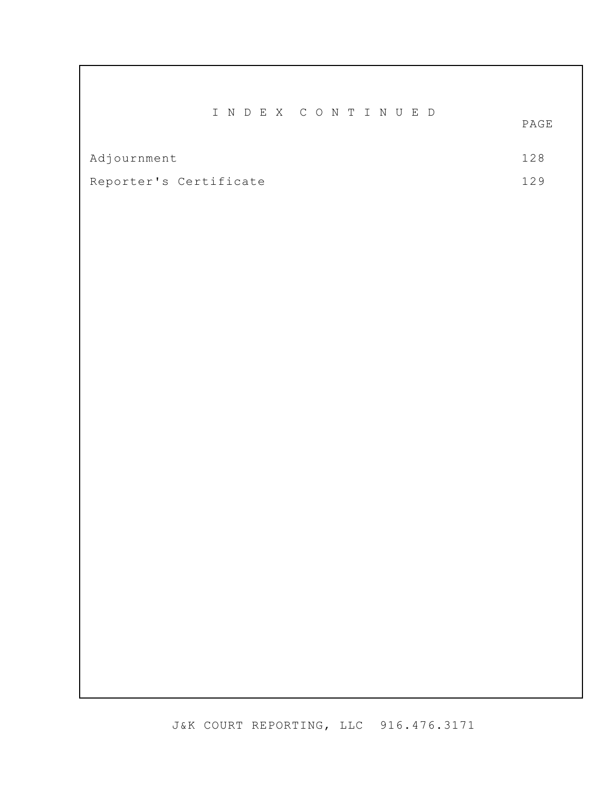|                        |  | INDEX CONTINUED |                 |
|------------------------|--|-----------------|-----------------|
|                        |  |                 | $\texttt{PAGE}$ |
|                        |  |                 |                 |
| Adjournment            |  |                 | 128             |
|                        |  |                 |                 |
| Reporter's Certificate |  |                 |                 |
|                        |  |                 |                 |
|                        |  |                 |                 |
|                        |  |                 |                 |
|                        |  |                 |                 |
|                        |  |                 |                 |
|                        |  |                 |                 |
|                        |  |                 |                 |
|                        |  |                 |                 |
|                        |  |                 |                 |
|                        |  |                 |                 |
|                        |  |                 |                 |
|                        |  |                 |                 |
|                        |  |                 |                 |
|                        |  |                 |                 |
|                        |  |                 |                 |
|                        |  |                 |                 |
|                        |  |                 |                 |
|                        |  |                 |                 |
|                        |  |                 |                 |
|                        |  |                 |                 |
|                        |  |                 |                 |
|                        |  |                 |                 |
|                        |  |                 |                 |
|                        |  |                 |                 |
|                        |  |                 |                 |
|                        |  |                 |                 |
|                        |  |                 |                 |
|                        |  |                 |                 |
|                        |  |                 |                 |
|                        |  |                 |                 |
|                        |  |                 |                 |
|                        |  |                 |                 |
|                        |  |                 |                 |
|                        |  |                 |                 |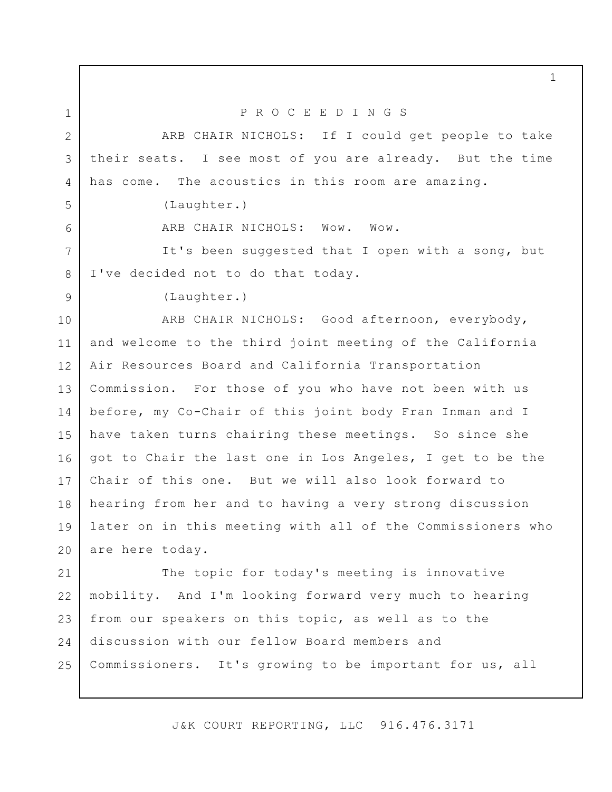ARB CHAIR NICHOLS: If I could get people to take their seats. I see most of you are already. But the time has come. The acoustics in this room are amazing.

P R O C E E D I N G S

(Laughter.)

1

2

3

4

5

6

9

ARB CHAIR NICHOLS: Wow. Wow.

It's been suggested that I open with a song, but I've decided not to do that today. 7 8

(Laughter.)

ARB CHAIR NICHOLS: Good afternoon, everybody, and welcome to the third joint meeting of the California Air Resources Board and California Transportation Commission. For those of you who have not been with us before, my Co-Chair of this joint body Fran Inman and I have taken turns chairing these meetings. So since she got to Chair the last one in Los Angeles, I get to be the Chair of this one. But we will also look forward to hearing from her and to having a very strong discussion later on in this meeting with all of the Commissioners who are here today. 10 11 12 13 14 15 16 17 18 19 20

The topic for today's meeting is innovative mobility. And I'm looking forward very much to hearing from our speakers on this topic, as well as to the discussion with our fellow Board members and Commissioners. It's growing to be important for us, all 21 22 23 24 25

J&K COURT REPORTING, LLC 916.476.3171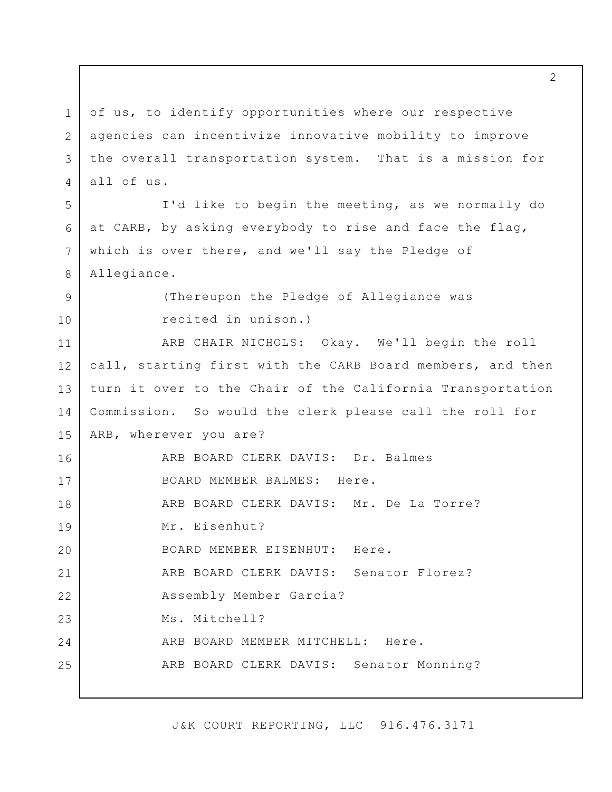of us, to identify opportunities where our respective agencies can incentivize innovative mobility to improve the overall transportation system. That is a mission for all of us. I'd like to begin the meeting, as we normally do at CARB, by asking everybody to rise and face the flag, which is over there, and we'll say the Pledge of Allegiance. (Thereupon the Pledge of Allegiance was recited in unison.) ARB CHAIR NICHOLS: Okay. We'll begin the roll call, starting first with the CARB Board members, and then turn it over to the Chair of the California Transportation Commission. So would the clerk please call the roll for ARB, wherever you are? ARB BOARD CLERK DAVIS: Dr. Balmes BOARD MEMBER BALMES: Here. ARB BOARD CLERK DAVIS: Mr. De La Torre? Mr. Eisenhut? BOARD MEMBER EISENHUT: Here. ARB BOARD CLERK DAVIS: Senator Florez? Assembly Member Garcia? Ms. Mitchell? ARB BOARD MEMBER MITCHELL: Here. ARB BOARD CLERK DAVIS: Senator Monning? 1 2 3 4 5 6 7 8 9 10 11 12 13 14 15 16 17 18 19 20 21 22 23 24 25

J&K COURT REPORTING, LLC 916.476.3171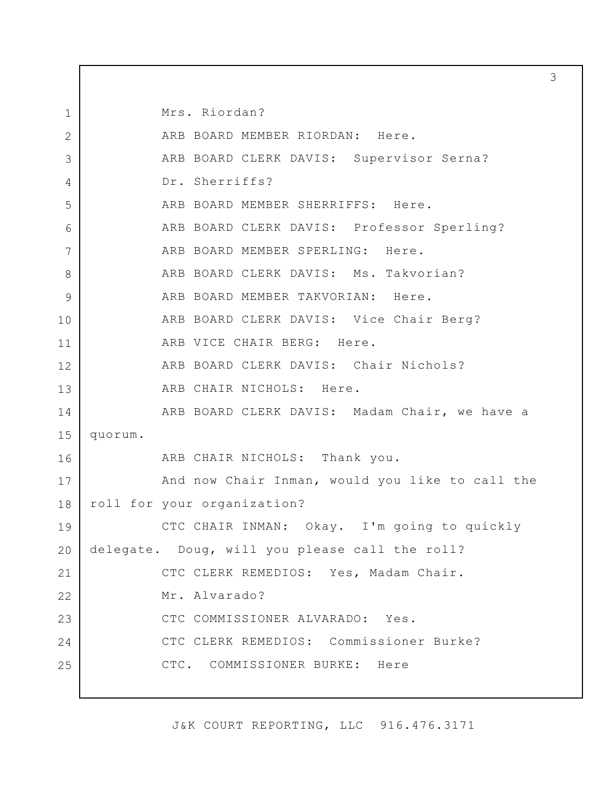Mrs. Riordan? ARB BOARD MEMBER RIORDAN: Here. ARB BOARD CLERK DAVIS: Supervisor Serna? Dr. Sherriffs? ARB BOARD MEMBER SHERRIFFS: Here. ARB BOARD CLERK DAVIS: Professor Sperling? ARB BOARD MEMBER SPERLING: Here. ARB BOARD CLERK DAVIS: Ms. Takvorian? ARB BOARD MEMBER TAKVORIAN: Here. ARB BOARD CLERK DAVIS: Vice Chair Berg? ARB VICE CHAIR BERG: Here. ARB BOARD CLERK DAVIS: Chair Nichols? ARB CHAIR NICHOLS: Here. ARB BOARD CLERK DAVIS: Madam Chair, we have a quorum. ARB CHAIR NICHOLS: Thank you. And now Chair Inman, would you like to call the roll for your organization? CTC CHAIR INMAN: Okay. I'm going to quickly delegate. Doug, will you please call the roll? CTC CLERK REMEDIOS: Yes, Madam Chair. Mr. Alvarado? CTC COMMISSIONER ALVARADO: Yes. CTC CLERK REMEDIOS: Commissioner Burke? CTC. COMMISSIONER BURKE: Here

1

2

3

4

5

6

7

8

9

10

11

12

13

14

15

16

17

18

19

20

21

22

23

24

25

J&K COURT REPORTING, LLC 916.476.3171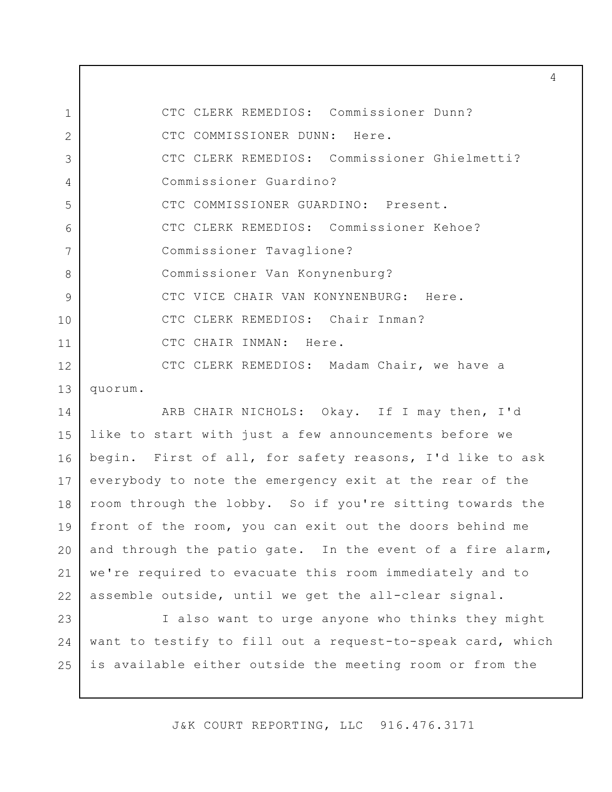CTC CLERK REMEDIOS: Commissioner Dunn? CTC COMMISSIONER DUNN: Here. CTC CLERK REMEDIOS: Commissioner Ghielmetti? Commissioner Guardino? CTC COMMISSIONER GUARDINO: Present. CTC CLERK REMEDIOS: Commissioner Kehoe? Commissioner Tavaglione? Commissioner Van Konynenburg? CTC VICE CHAIR VAN KONYNENBURG: Here. CTC CLERK REMEDIOS: Chair Inman? CTC CHAIR INMAN: Here. CTC CLERK REMEDIOS: Madam Chair, we have a quorum. 1 2 3 4 5 6 7 8 9 10 11 12 13

ARB CHAIR NICHOLS: Okay. If I may then, I'd like to start with just a few announcements before we begin. First of all, for safety reasons, I'd like to ask everybody to note the emergency exit at the rear of the room through the lobby. So if you're sitting towards the front of the room, you can exit out the doors behind me and through the patio gate. In the event of a fire alarm, we're required to evacuate this room immediately and to assemble outside, until we get the all-clear signal. 14 15 16 17 18 19 20 21 22

I also want to urge anyone who thinks they might want to testify to fill out a request-to-speak card, which is available either outside the meeting room or from the 23 24 25

J&K COURT REPORTING, LLC 916.476.3171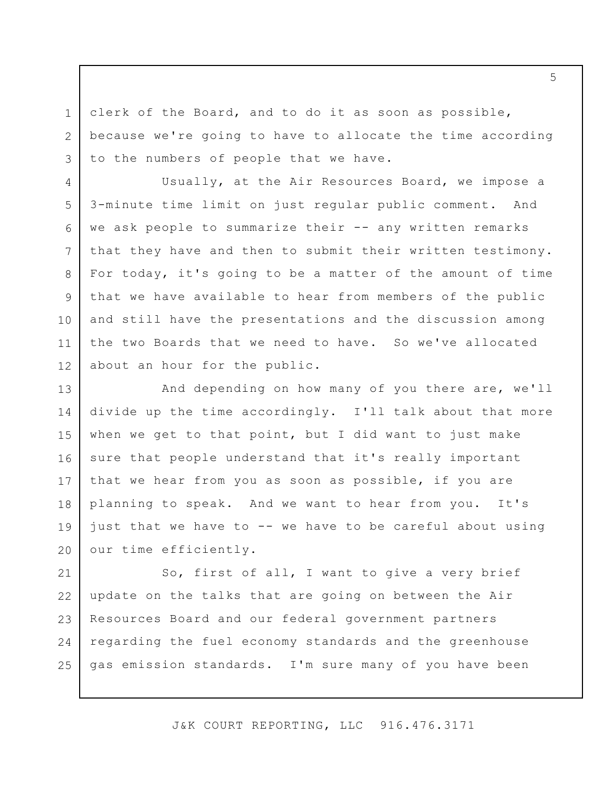clerk of the Board, and to do it as soon as possible, because we're going to have to allocate the time according to the numbers of people that we have.

1

2

3

4

8

9

10

Usually, at the Air Resources Board, we impose a 3-minute time limit on just regular public comment. And we ask people to summarize their -- any written remarks that they have and then to submit their written testimony. For today, it's going to be a matter of the amount of time that we have available to hear from members of the public and still have the presentations and the discussion among the two Boards that we need to have. So we've allocated about an hour for the public. 5 6 7 11 12

And depending on how many of you there are, we'll divide up the time accordingly. I'll talk about that more when we get to that point, but I did want to just make sure that people understand that it's really important that we hear from you as soon as possible, if you are planning to speak. And we want to hear from you. It's just that we have to -- we have to be careful about using our time efficiently. 13 14 15 16 17 18 19 20

So, first of all, I want to give a very brief update on the talks that are going on between the Air Resources Board and our federal government partners regarding the fuel economy standards and the greenhouse gas emission standards. I'm sure many of you have been 21 22 23 24 25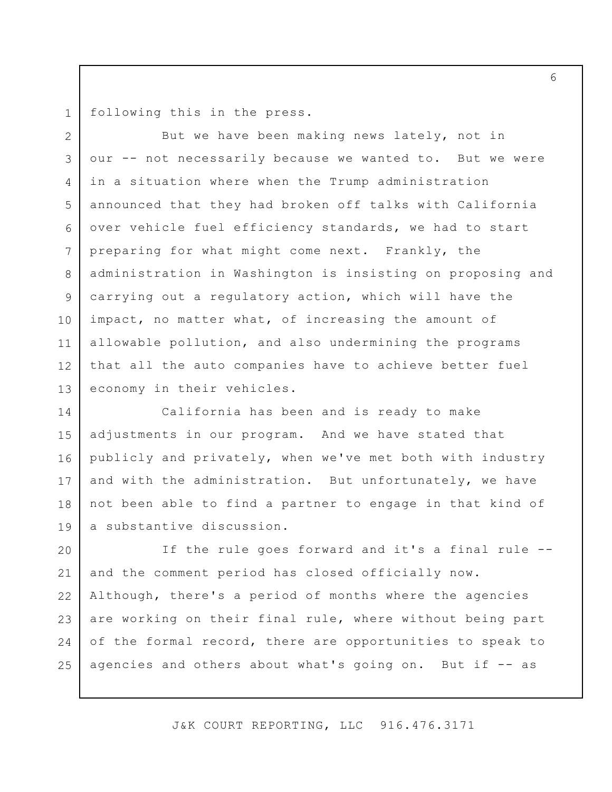following this in the press. 1

But we have been making news lately, not in our -- not necessarily because we wanted to. But we were in a situation where when the Trump administration announced that they had broken off talks with California over vehicle fuel efficiency standards, we had to start preparing for what might come next. Frankly, the administration in Washington is insisting on proposing and carrying out a regulatory action, which will have the impact, no matter what, of increasing the amount of allowable pollution, and also undermining the programs that all the auto companies have to achieve better fuel economy in their vehicles. 2 3 4 5 6 7 8 9 10 11 12 13

California has been and is ready to make adjustments in our program. And we have stated that publicly and privately, when we've met both with industry and with the administration. But unfortunately, we have not been able to find a partner to engage in that kind of a substantive discussion. 14 15 16 17 18 19

If the rule goes forward and it's a final rule - and the comment period has closed officially now. Although, there's a period of months where the agencies are working on their final rule, where without being part of the formal record, there are opportunities to speak to agencies and others about what's going on. But if -- as 20 21 22 23 24 25

J&K COURT REPORTING, LLC 916.476.3171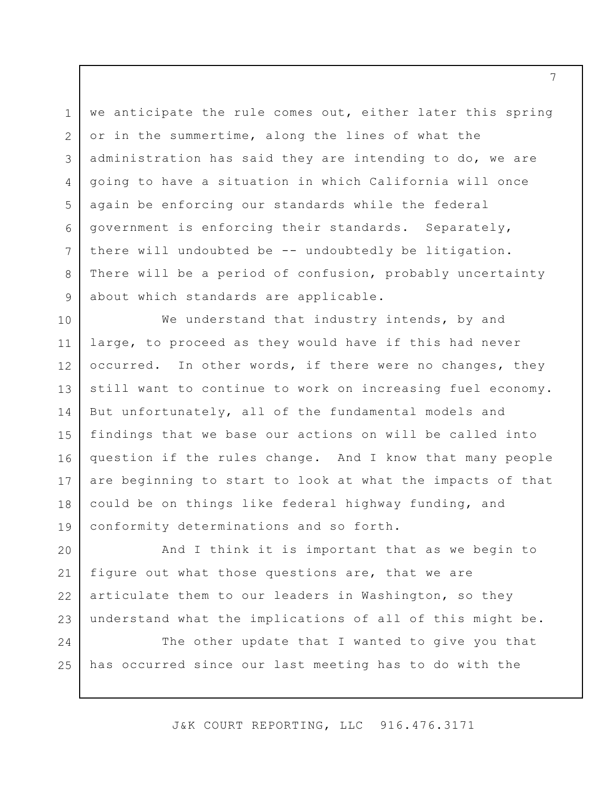we anticipate the rule comes out, either later this spring or in the summertime, along the lines of what the administration has said they are intending to do, we are going to have a situation in which California will once again be enforcing our standards while the federal government is enforcing their standards. Separately, there will undoubted be -- undoubtedly be litigation. There will be a period of confusion, probably uncertainty about which standards are applicable. 3 5 6 7

1

2

4

8

9

We understand that industry intends, by and large, to proceed as they would have if this had never occurred. In other words, if there were no changes, they still want to continue to work on increasing fuel economy. But unfortunately, all of the fundamental models and findings that we base our actions on will be called into question if the rules change. And I know that many people are beginning to start to look at what the impacts of that could be on things like federal highway funding, and conformity determinations and so forth. 10 11 12 13 14 15 16 17 18 19

And I think it is important that as we begin to figure out what those questions are, that we are articulate them to our leaders in Washington, so they understand what the implications of all of this might be. 20 21 22 23

The other update that I wanted to give you that has occurred since our last meeting has to do with the 24 25

J&K COURT REPORTING, LLC 916.476.3171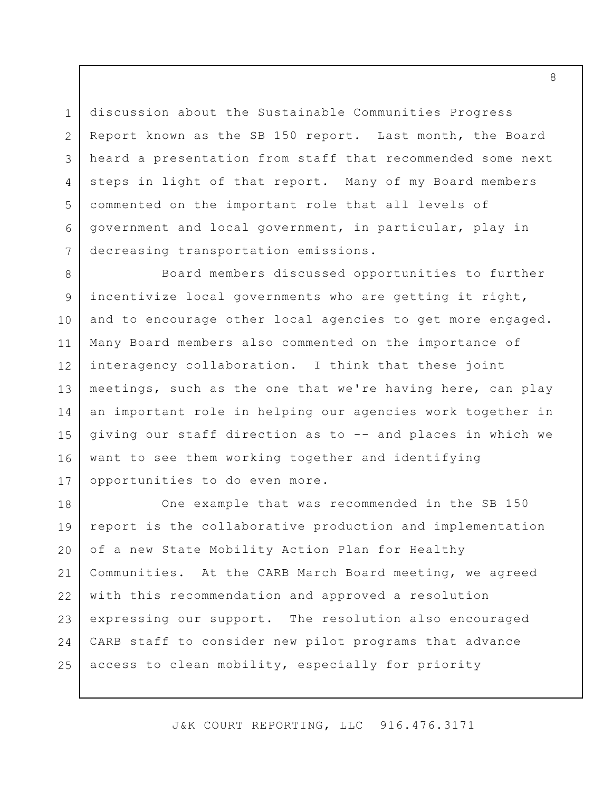discussion about the Sustainable Communities Progress Report known as the SB 150 report. Last month, the Board heard a presentation from staff that recommended some next steps in light of that report. Many of my Board members commented on the important role that all levels of government and local government, in particular, play in decreasing transportation emissions. 1 2 3 4 5 6 7

Board members discussed opportunities to further incentivize local governments who are getting it right, and to encourage other local agencies to get more engaged. Many Board members also commented on the importance of interagency collaboration. I think that these joint meetings, such as the one that we're having here, can play an important role in helping our agencies work together in giving our staff direction as to -- and places in which we want to see them working together and identifying opportunities to do even more. 8 9 10 11 12 13 14 15 16 17

One example that was recommended in the SB 150 report is the collaborative production and implementation of a new State Mobility Action Plan for Healthy Communities. At the CARB March Board meeting, we agreed with this recommendation and approved a resolution expressing our support. The resolution also encouraged CARB staff to consider new pilot programs that advance access to clean mobility, especially for priority 18 19 20 21 22 23 24 25

J&K COURT REPORTING, LLC 916.476.3171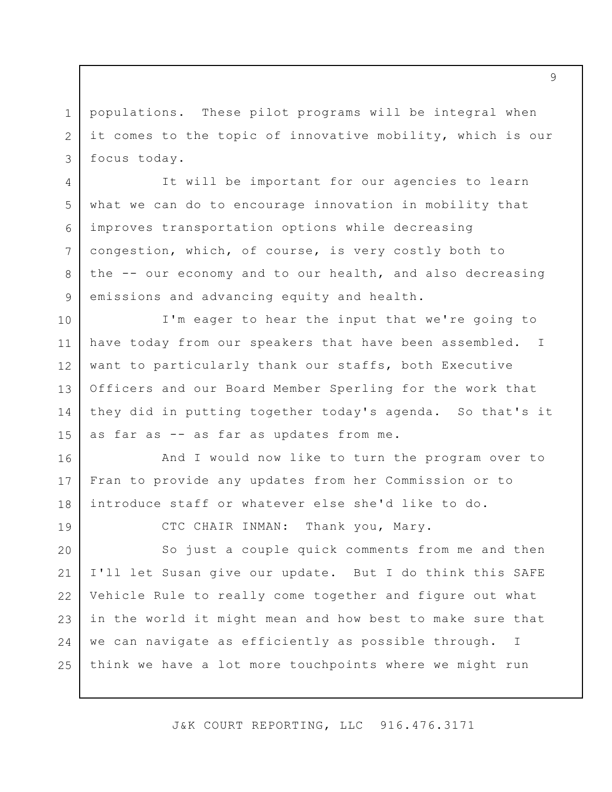populations. These pilot programs will be integral when it comes to the topic of innovative mobility, which is our focus today. 1 2 3

4

5

6

7

8

9

19

It will be important for our agencies to learn what we can do to encourage innovation in mobility that improves transportation options while decreasing congestion, which, of course, is very costly both to the -- our economy and to our health, and also decreasing emissions and advancing equity and health.

I'm eager to hear the input that we're going to have today from our speakers that have been assembled. I want to particularly thank our staffs, both Executive Officers and our Board Member Sperling for the work that they did in putting together today's agenda. So that's it as far as -- as far as updates from me. 10 11 12 13 14 15

And I would now like to turn the program over to Fran to provide any updates from her Commission or to introduce staff or whatever else she'd like to do. 16 17 18

CTC CHAIR INMAN: Thank you, Mary.

So just a couple quick comments from me and then I'll let Susan give our update. But I do think this SAFE Vehicle Rule to really come together and figure out what in the world it might mean and how best to make sure that we can navigate as efficiently as possible through. I think we have a lot more touchpoints where we might run 20 21 22 23 24 25

J&K COURT REPORTING, LLC 916.476.3171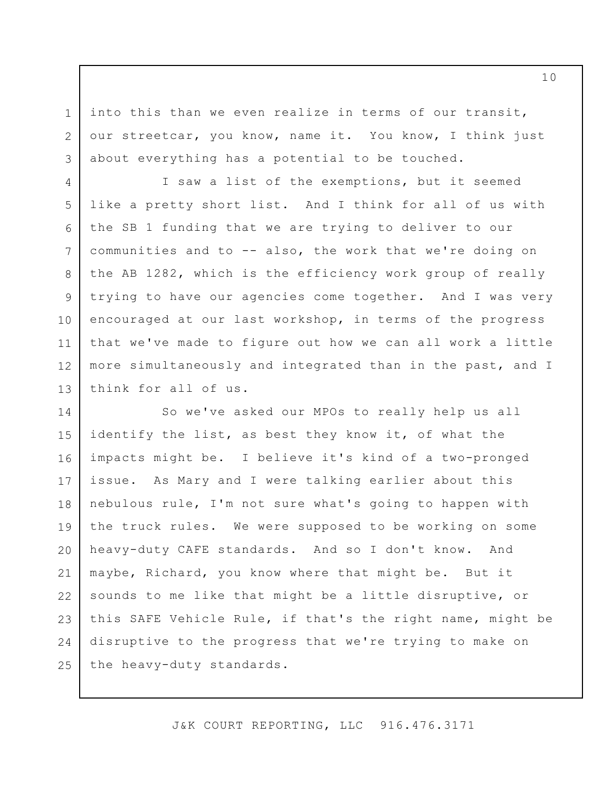into this than we even realize in terms of our transit, our streetcar, you know, name it. You know, I think just about everything has a potential to be touched.

1

2

3

I saw a list of the exemptions, but it seemed like a pretty short list. And I think for all of us with the SB 1 funding that we are trying to deliver to our communities and to -- also, the work that we're doing on the AB 1282, which is the efficiency work group of really trying to have our agencies come together. And I was very encouraged at our last workshop, in terms of the progress that we've made to figure out how we can all work a little more simultaneously and integrated than in the past, and I think for all of us. 4 5 6 7 8 9 10 11 12 13

So we've asked our MPOs to really help us all identify the list, as best they know it, of what the impacts might be. I believe it's kind of a two-pronged issue. As Mary and I were talking earlier about this nebulous rule, I'm not sure what's going to happen with the truck rules. We were supposed to be working on some heavy-duty CAFE standards. And so I don't know. And maybe, Richard, you know where that might be. But it sounds to me like that might be a little disruptive, or this SAFE Vehicle Rule, if that's the right name, might be disruptive to the progress that we're trying to make on the heavy-duty standards. 14 15 16 17 18 19 20 21 22 23 24 25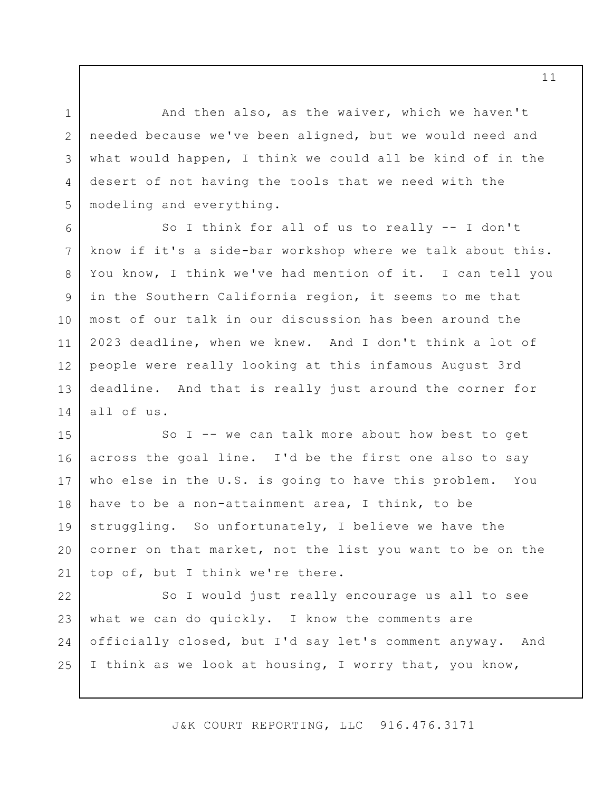And then also, as the waiver, which we haven't needed because we've been aligned, but we would need and what would happen, I think we could all be kind of in the desert of not having the tools that we need with the modeling and everything.

1

2

3

4

5

So I think for all of us to really -- I don't know if it's a side-bar workshop where we talk about this. You know, I think we've had mention of it. I can tell you in the Southern California region, it seems to me that most of our talk in our discussion has been around the 2023 deadline, when we knew. And I don't think a lot of people were really looking at this infamous August 3rd deadline. And that is really just around the corner for all of us. 6 7 8 9 10 11 12 13 14

So I -- we can talk more about how best to get across the goal line. I'd be the first one also to say who else in the U.S. is going to have this problem. You have to be a non-attainment area, I think, to be struggling. So unfortunately, I believe we have the corner on that market, not the list you want to be on the top of, but I think we're there. 15 16 17 18 19 20 21

So I would just really encourage us all to see what we can do quickly. I know the comments are officially closed, but I'd say let's comment anyway. And I think as we look at housing, I worry that, you know, 22 23 24 25

J&K COURT REPORTING, LLC 916.476.3171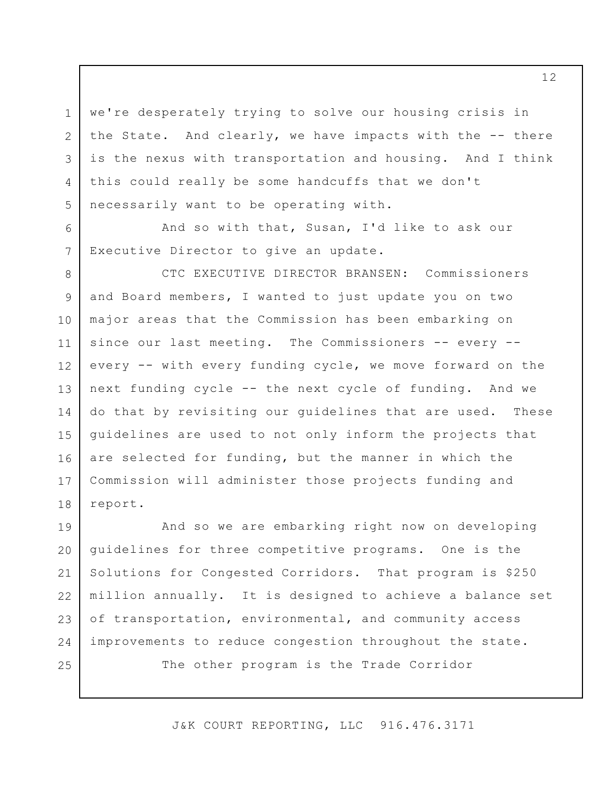we're desperately trying to solve our housing crisis in the State. And clearly, we have impacts with the -- there is the nexus with transportation and housing. And I think this could really be some handcuffs that we don't necessarily want to be operating with.

And so with that, Susan, I'd like to ask our Executive Director to give an update.

1

2

3

4

5

6

7

CTC EXECUTIVE DIRECTOR BRANSEN: Commissioners and Board members, I wanted to just update you on two major areas that the Commission has been embarking on since our last meeting. The Commissioners -- every -every -- with every funding cycle, we move forward on the next funding cycle -- the next cycle of funding. And we do that by revisiting our guidelines that are used. These guidelines are used to not only inform the projects that are selected for funding, but the manner in which the Commission will administer those projects funding and report. 8 9 10 11 12 13 14 15 16 17 18

And so we are embarking right now on developing guidelines for three competitive programs. One is the Solutions for Congested Corridors. That program is \$250 million annually. It is designed to achieve a balance set of transportation, environmental, and community access improvements to reduce congestion throughout the state. The other program is the Trade Corridor 19 20 21 22 23 24 25

J&K COURT REPORTING, LLC 916.476.3171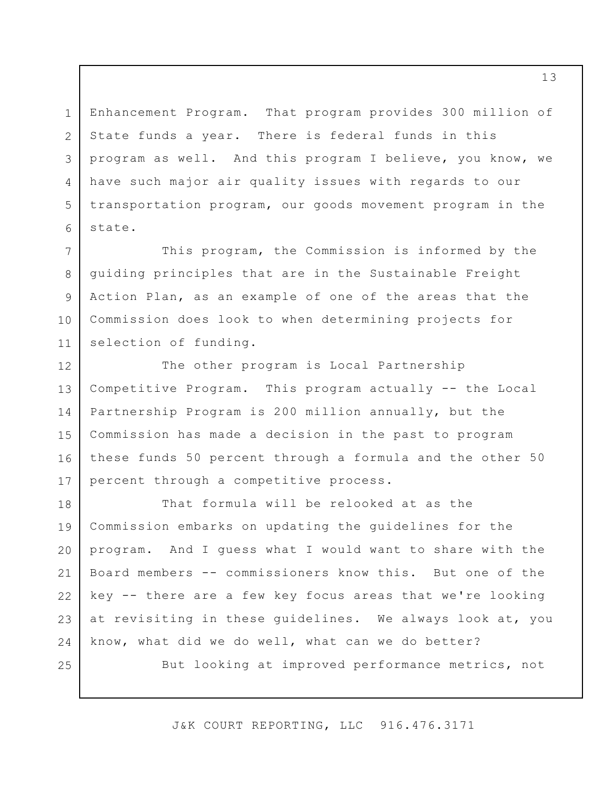Enhancement Program. That program provides 300 million of State funds a year. There is federal funds in this program as well. And this program I believe, you know, we have such major air quality issues with regards to our transportation program, our goods movement program in the state.

This program, the Commission is informed by the guiding principles that are in the Sustainable Freight Action Plan, as an example of one of the areas that the Commission does look to when determining projects for selection of funding. 7 8 9 10 11

The other program is Local Partnership Competitive Program. This program actually -- the Local Partnership Program is 200 million annually, but the Commission has made a decision in the past to program these funds 50 percent through a formula and the other 50 percent through a competitive process. 12 13 14 15 16 17

That formula will be relooked at as the Commission embarks on updating the guidelines for the program. And I guess what I would want to share with the Board members -- commissioners know this. But one of the key -- there are a few key focus areas that we're looking at revisiting in these guidelines. We always look at, you know, what did we do well, what can we do better? 18 19 20 21 22 23 24

25

1

2

3

4

5

6

But looking at improved performance metrics, not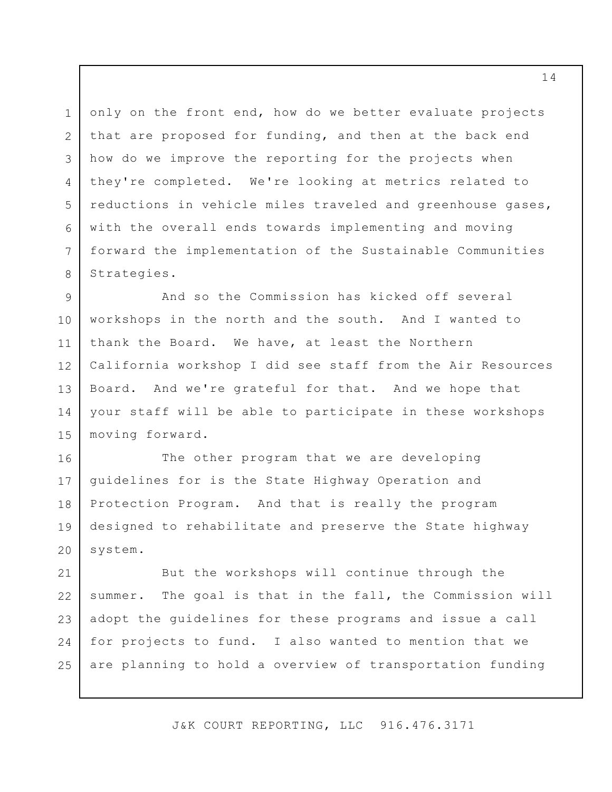only on the front end, how do we better evaluate projects that are proposed for funding, and then at the back end how do we improve the reporting for the projects when they're completed. We're looking at metrics related to reductions in vehicle miles traveled and greenhouse gases, with the overall ends towards implementing and moving forward the implementation of the Sustainable Communities Strategies. 3 6

1

2

4

5

7

8

And so the Commission has kicked off several workshops in the north and the south. And I wanted to thank the Board. We have, at least the Northern California workshop I did see staff from the Air Resources Board. And we're grateful for that. And we hope that your staff will be able to participate in these workshops moving forward. 9 10 11 12 13 14 15

The other program that we are developing guidelines for is the State Highway Operation and Protection Program. And that is really the program designed to rehabilitate and preserve the State highway system. 16 17 18 19 20

But the workshops will continue through the summer. The goal is that in the fall, the Commission will adopt the guidelines for these programs and issue a call for projects to fund. I also wanted to mention that we are planning to hold a overview of transportation funding 21 22 23 24 25

J&K COURT REPORTING, LLC 916.476.3171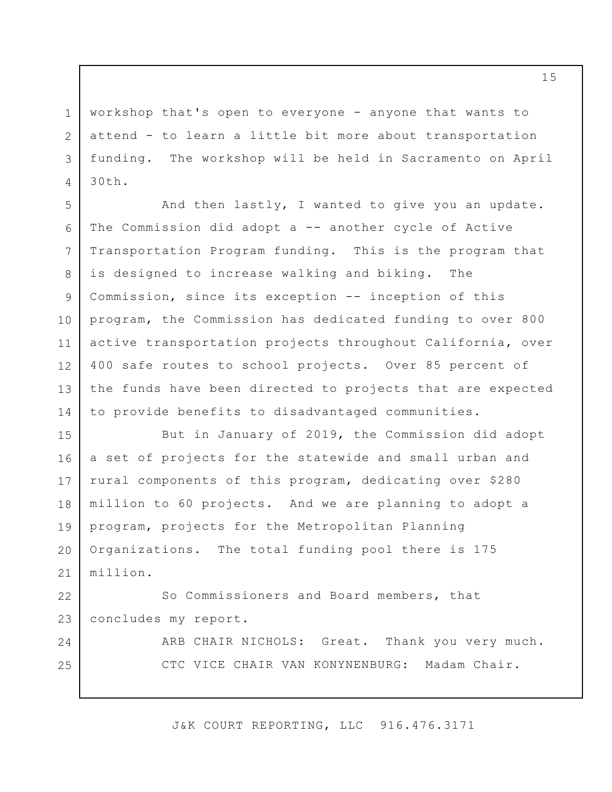workshop that's open to everyone - anyone that wants to attend - to learn a little bit more about transportation funding. The workshop will be held in Sacramento on April 30th.

1

2

3

4

24

25

And then lastly, I wanted to give you an update. The Commission did adopt a -- another cycle of Active Transportation Program funding. This is the program that is designed to increase walking and biking. The Commission, since its exception -- inception of this program, the Commission has dedicated funding to over 800 active transportation projects throughout California, over 400 safe routes to school projects. Over 85 percent of the funds have been directed to projects that are expected to provide benefits to disadvantaged communities. 5 6 7 8 9 10 11 12 13 14

But in January of 2019, the Commission did adopt a set of projects for the statewide and small urban and rural components of this program, dedicating over \$280 million to 60 projects. And we are planning to adopt a program, projects for the Metropolitan Planning Organizations. The total funding pool there is 175 million. 15 16 17 18 19 20 21

So Commissioners and Board members, that concludes my report. 22 23

> ARB CHAIR NICHOLS: Great. Thank you very much. CTC VICE CHAIR VAN KONYNENBURG: Madam Chair.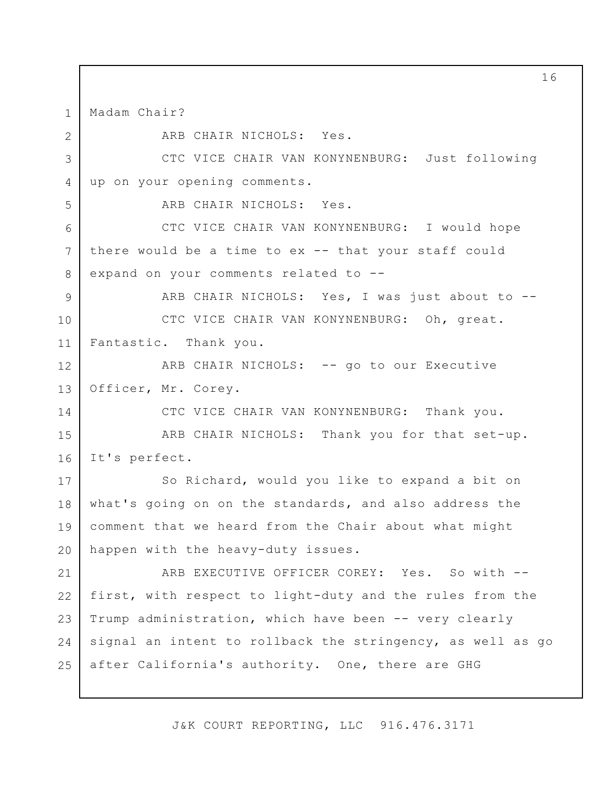Madam Chair? 1

ARB CHAIR NICHOLS: Yes. CTC VICE CHAIR VAN KONYNENBURG: Just following up on your opening comments. ARB CHAIR NICHOLS: Yes. CTC VICE CHAIR VAN KONYNENBURG: I would hope there would be a time to ex -- that your staff could expand on your comments related to -- ARB CHAIR NICHOLS: Yes, I was just about to --CTC VICE CHAIR VAN KONYNENBURG: Oh, great. Fantastic. Thank you. ARB CHAIR NICHOLS: -- go to our Executive Officer, Mr. Corey. CTC VICE CHAIR VAN KONYNENBURG: Thank you. ARB CHAIR NICHOLS: Thank you for that set-up. It's perfect. So Richard, would you like to expand a bit on what's going on on the standards, and also address the comment that we heard from the Chair about what might happen with the heavy-duty issues. ARB EXECUTIVE OFFICER COREY: Yes. So with -first, with respect to light-duty and the rules from the Trump administration, which have been -- very clearly signal an intent to rollback the stringency, as well as go after California's authority. One, there are GHG 2 3 4 5 6 7 8 9 10 11 12 13 14 15 16 17 18 19 20 21 22 23 24 25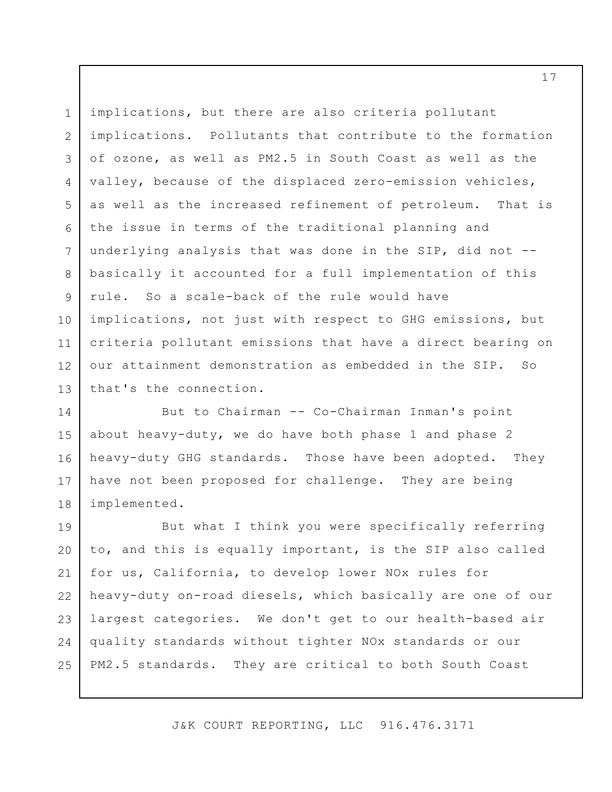implications, but there are also criteria pollutant implications. Pollutants that contribute to the formation of ozone, as well as PM2.5 in South Coast as well as the valley, because of the displaced zero-emission vehicles, as well as the increased refinement of petroleum. That is the issue in terms of the traditional planning and underlying analysis that was done in the SIP, did not - basically it accounted for a full implementation of this rule. So a scale-back of the rule would have implications, not just with respect to GHG emissions, but criteria pollutant emissions that have a direct bearing on our attainment demonstration as embedded in the SIP. So that's the connection. 1 2 3 4 5 6 7 8 9 10 11 12 13

But to Chairman -- Co-Chairman Inman's point about heavy-duty, we do have both phase 1 and phase 2 heavy-duty GHG standards. Those have been adopted. They have not been proposed for challenge. They are being implemented. 14 15 16 17 18

But what I think you were specifically referring to, and this is equally important, is the SIP also called for us, California, to develop lower NOx rules for heavy-duty on-road diesels, which basically are one of our largest categories. We don't get to our health-based air quality standards without tighter NOx standards or our PM2.5 standards. They are critical to both South Coast 19 20 21 22 23 24 25

J&K COURT REPORTING, LLC 916.476.3171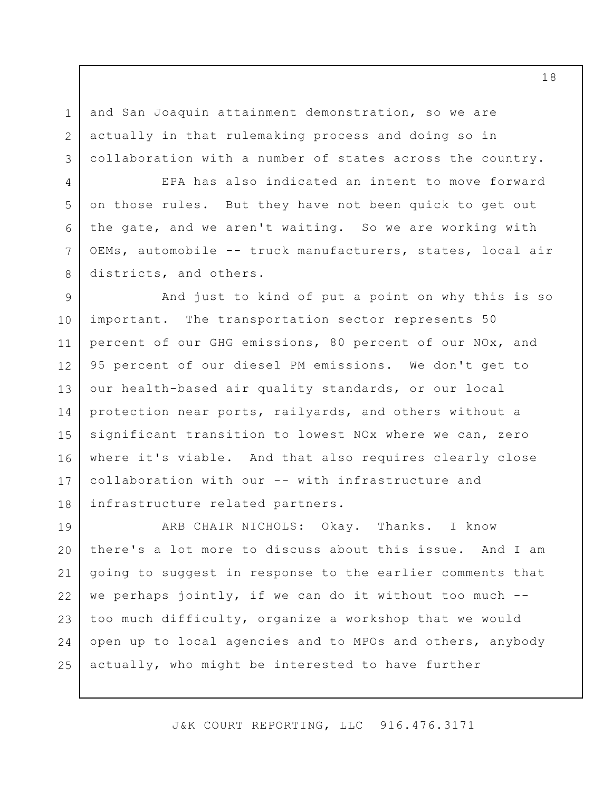and San Joaquin attainment demonstration, so we are actually in that rulemaking process and doing so in collaboration with a number of states across the country.

1

2

3

4

5

6

7

8

EPA has also indicated an intent to move forward on those rules. But they have not been quick to get out the gate, and we aren't waiting. So we are working with OEMs, automobile -- truck manufacturers, states, local air districts, and others.

And just to kind of put a point on why this is so important. The transportation sector represents 50 percent of our GHG emissions, 80 percent of our NOx, and 95 percent of our diesel PM emissions. We don't get to our health-based air quality standards, or our local protection near ports, railyards, and others without a significant transition to lowest NOx where we can, zero where it's viable. And that also requires clearly close collaboration with our -- with infrastructure and infrastructure related partners. 9 10 11 12 13 14 15 16 17 18

ARB CHAIR NICHOLS: Okay. Thanks. I know there's a lot more to discuss about this issue. And I am going to suggest in response to the earlier comments that we perhaps jointly, if we can do it without too much - too much difficulty, organize a workshop that we would open up to local agencies and to MPOs and others, anybody actually, who might be interested to have further 19 20 21 22 23 24 25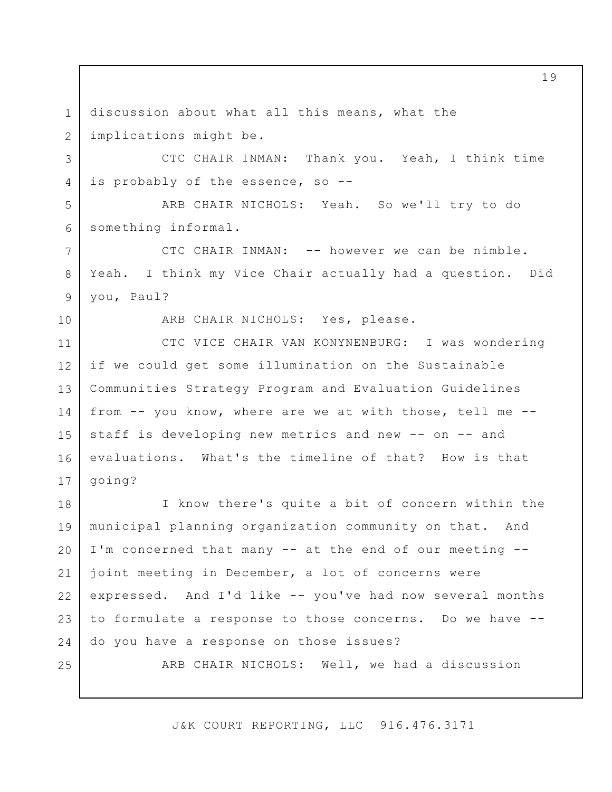discussion about what all this means, what the implications might be. 1 2

CTC CHAIR INMAN: Thank you. Yeah, I think time is probably of the essence, so --

ARB CHAIR NICHOLS: Yeah. So we'll try to do something informal. 5 6

CTC CHAIR INMAN: -- however we can be nimble. Yeah. I think my Vice Chair actually had a question. Did you, Paul?

10

3

4

7

8

9

ARB CHAIR NICHOLS: Yes, please.

CTC VICE CHAIR VAN KONYNENBURG: I was wondering if we could get some illumination on the Sustainable Communities Strategy Program and Evaluation Guidelines from -- you know, where are we at with those, tell me - staff is developing new metrics and new -- on -- and evaluations. What's the timeline of that? How is that going? 11 12 13 14 15 16 17

I know there's quite a bit of concern within the municipal planning organization community on that. And I'm concerned that many -- at the end of our meeting - joint meeting in December, a lot of concerns were expressed. And I'd like -- you've had now several months to formulate a response to those concerns. Do we have - do you have a response on those issues? 18 19 20 21 22 23 24

25

ARB CHAIR NICHOLS: Well, we had a discussion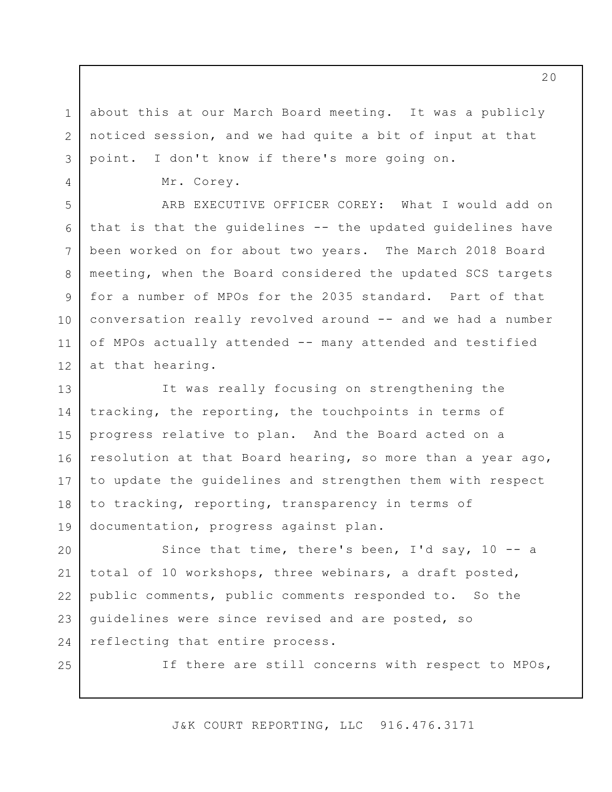about this at our March Board meeting. It was a publicly noticed session, and we had quite a bit of input at that point. I don't know if there's more going on.

Mr. Corey.

ARB EXECUTIVE OFFICER COREY: What I would add on that is that the guidelines -- the updated guidelines have been worked on for about two years. The March 2018 Board meeting, when the Board considered the updated SCS targets for a number of MPOs for the 2035 standard. Part of that conversation really revolved around -- and we had a number of MPOs actually attended -- many attended and testified at that hearing. 6 7 12

It was really focusing on strengthening the tracking, the reporting, the touchpoints in terms of progress relative to plan. And the Board acted on a resolution at that Board hearing, so more than a year ago, to update the guidelines and strengthen them with respect to tracking, reporting, transparency in terms of documentation, progress against plan. 13 14 15 16 17 18 19

Since that time, there's been, I'd say, 10 -- a total of 10 workshops, three webinars, a draft posted, public comments, public comments responded to. So the guidelines were since revised and are posted, so reflecting that entire process. 20 21 22 23 24

25

1

2

3

4

5

8

9

10

11

If there are still concerns with respect to MPOs,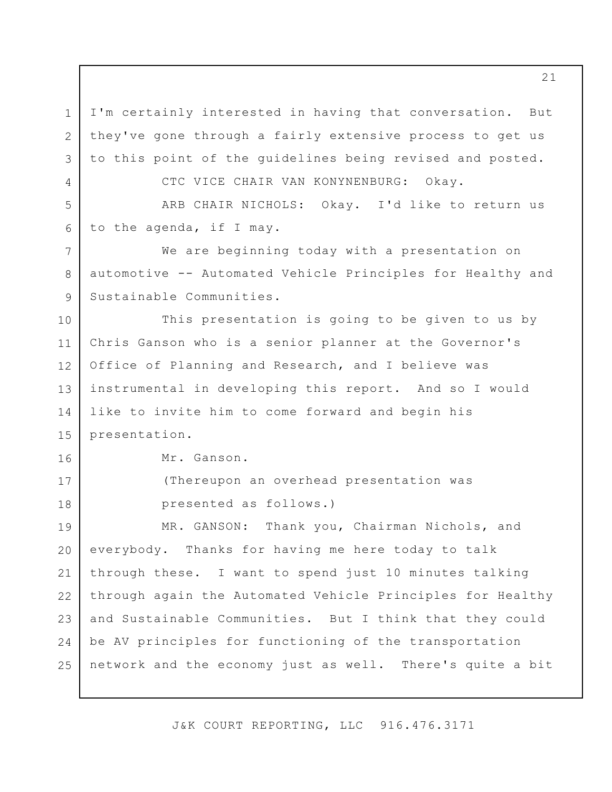I'm certainly interested in having that conversation. But they've gone through a fairly extensive process to get us to this point of the guidelines being revised and posted.

CTC VICE CHAIR VAN KONYNENBURG: Okay.

ARB CHAIR NICHOLS: Okay. I'd like to return us to the agenda, if I may. 5 6

We are beginning today with a presentation on automotive -- Automated Vehicle Principles for Healthy and Sustainable Communities. 7

This presentation is going to be given to us by Chris Ganson who is a senior planner at the Governor's Office of Planning and Research, and I believe was instrumental in developing this report. And so I would like to invite him to come forward and begin his presentation. 10 11 12 13 14 15

Mr. Ganson.

1

2

3

4

8

9

16

17

18

(Thereupon an overhead presentation was presented as follows.)

MR. GANSON: Thank you, Chairman Nichols, and everybody. Thanks for having me here today to talk through these. I want to spend just 10 minutes talking through again the Automated Vehicle Principles for Healthy and Sustainable Communities. But I think that they could be AV principles for functioning of the transportation network and the economy just as well. There's quite a bit 19 20 21 22 23 24 25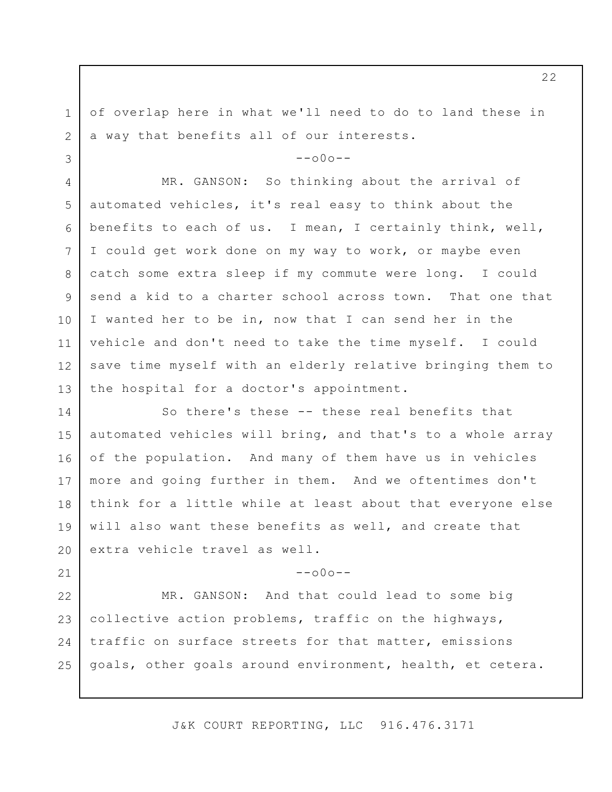of overlap here in what we'll need to do to land these in a way that benefits all of our interests.

1

2

3

21

 $--000--$ 

MR. GANSON: So thinking about the arrival of automated vehicles, it's real easy to think about the benefits to each of us. I mean, I certainly think, well, I could get work done on my way to work, or maybe even catch some extra sleep if my commute were long. I could send a kid to a charter school across town. That one that I wanted her to be in, now that I can send her in the vehicle and don't need to take the time myself. I could save time myself with an elderly relative bringing them to the hospital for a doctor's appointment. 4 5 6 7 8 9 10 11 12 13

So there's these -- these real benefits that automated vehicles will bring, and that's to a whole array of the population. And many of them have us in vehicles more and going further in them. And we oftentimes don't think for a little while at least about that everyone else will also want these benefits as well, and create that extra vehicle travel as well. 14 15 16 17 18 19 20

 $--000--$ 

MR. GANSON: And that could lead to some big collective action problems, traffic on the highways, traffic on surface streets for that matter, emissions goals, other goals around environment, health, et cetera. 22 23 24 25

J&K COURT REPORTING, LLC 916.476.3171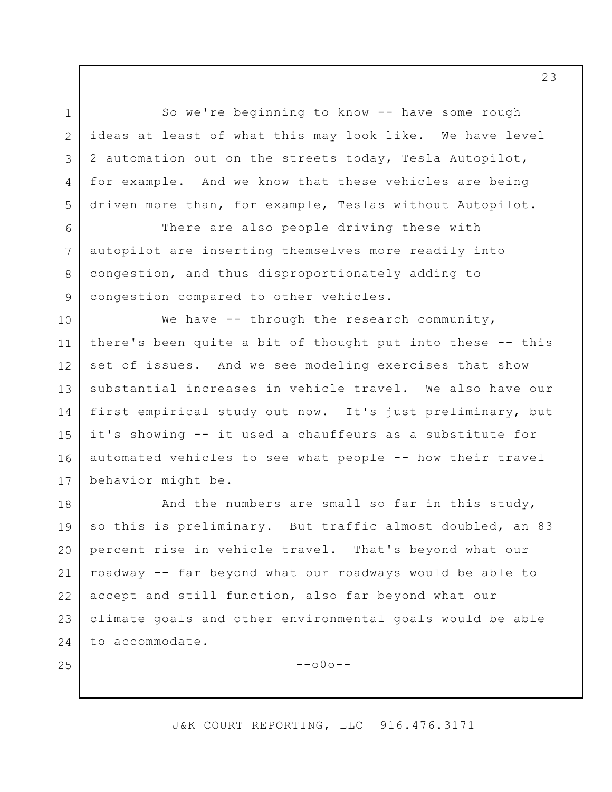So we're beginning to know -- have some rough ideas at least of what this may look like. We have level 2 automation out on the streets today, Tesla Autopilot, for example. And we know that these vehicles are being driven more than, for example, Teslas without Autopilot.

1

2

3

4

5

6

7

8

9

25

There are also people driving these with autopilot are inserting themselves more readily into congestion, and thus disproportionately adding to congestion compared to other vehicles.

We have  $-$  through the research community, there's been quite a bit of thought put into these -- this set of issues. And we see modeling exercises that show substantial increases in vehicle travel. We also have our first empirical study out now. It's just preliminary, but it's showing -- it used a chauffeurs as a substitute for automated vehicles to see what people -- how their travel behavior might be. 10 11 12 13 14 15 16 17

And the numbers are small so far in this study, so this is preliminary. But traffic almost doubled, an 83 percent rise in vehicle travel. That's beyond what our roadway -- far beyond what our roadways would be able to accept and still function, also far beyond what our climate goals and other environmental goals would be able to accommodate. 18 19 20 21 22 23 24

--o0o--

## J&K COURT REPORTING, LLC 916.476.3171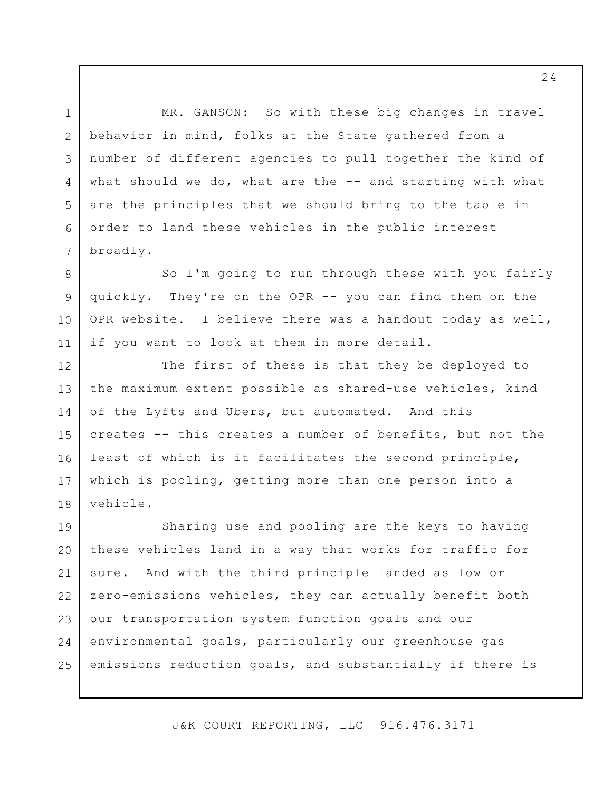MR. GANSON: So with these big changes in travel behavior in mind, folks at the State gathered from a number of different agencies to pull together the kind of what should we do, what are the -- and starting with what are the principles that we should bring to the table in order to land these vehicles in the public interest broadly.

1

2

3

4

5

6

7

8

9

10

11

So I'm going to run through these with you fairly quickly. They're on the OPR -- you can find them on the OPR website. I believe there was a handout today as well, if you want to look at them in more detail.

The first of these is that they be deployed to the maximum extent possible as shared-use vehicles, kind of the Lyfts and Ubers, but automated. And this creates -- this creates a number of benefits, but not the least of which is it facilitates the second principle, which is pooling, getting more than one person into a vehicle. 12 13 14 15 16 17 18

Sharing use and pooling are the keys to having these vehicles land in a way that works for traffic for sure. And with the third principle landed as low or zero-emissions vehicles, they can actually benefit both our transportation system function goals and our environmental goals, particularly our greenhouse gas emissions reduction goals, and substantially if there is 19 20 21 22 23 24 25

J&K COURT REPORTING, LLC 916.476.3171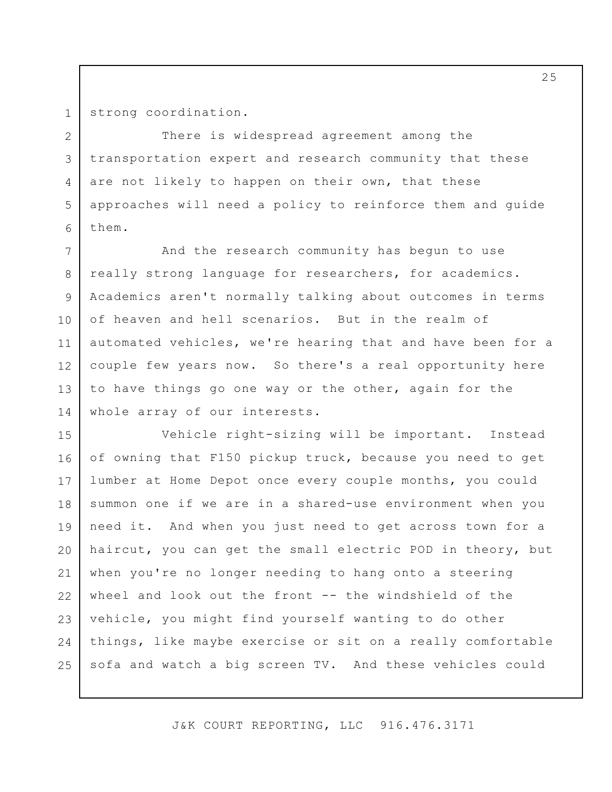strong coordination.

1

2

3

4

5

6

There is widespread agreement among the transportation expert and research community that these are not likely to happen on their own, that these approaches will need a policy to reinforce them and guide them.

And the research community has begun to use really strong language for researchers, for academics. Academics aren't normally talking about outcomes in terms of heaven and hell scenarios. But in the realm of automated vehicles, we're hearing that and have been for a couple few years now. So there's a real opportunity here to have things go one way or the other, again for the whole array of our interests. 7 8 9 10 11 12 13 14

Vehicle right-sizing will be important. Instead of owning that F150 pickup truck, because you need to get lumber at Home Depot once every couple months, you could summon one if we are in a shared-use environment when you need it. And when you just need to get across town for a haircut, you can get the small electric POD in theory, but when you're no longer needing to hang onto a steering wheel and look out the front -- the windshield of the vehicle, you might find yourself wanting to do other things, like maybe exercise or sit on a really comfortable sofa and watch a big screen TV. And these vehicles could 15 16 17 18 19 20 21 22 23 24 25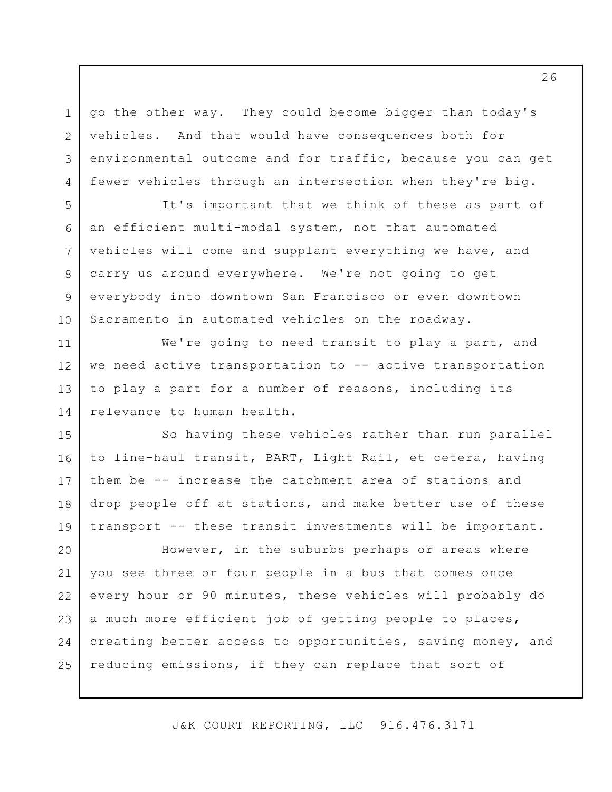go the other way. They could become bigger than today's vehicles. And that would have consequences both for environmental outcome and for traffic, because you can get fewer vehicles through an intersection when they're big.

1

2

3

4

5

6

7

8

9

10

11

12

13

14

It's important that we think of these as part of an efficient multi-modal system, not that automated vehicles will come and supplant everything we have, and carry us around everywhere. We're not going to get everybody into downtown San Francisco or even downtown Sacramento in automated vehicles on the roadway.

We're going to need transit to play a part, and we need active transportation to -- active transportation to play a part for a number of reasons, including its relevance to human health.

So having these vehicles rather than run parallel to line-haul transit, BART, Light Rail, et cetera, having them be -- increase the catchment area of stations and drop people off at stations, and make better use of these transport -- these transit investments will be important. 15 16 17 18 19

However, in the suburbs perhaps or areas where you see three or four people in a bus that comes once every hour or 90 minutes, these vehicles will probably do a much more efficient job of getting people to places, creating better access to opportunities, saving money, and reducing emissions, if they can replace that sort of 20 21 22 23 24 25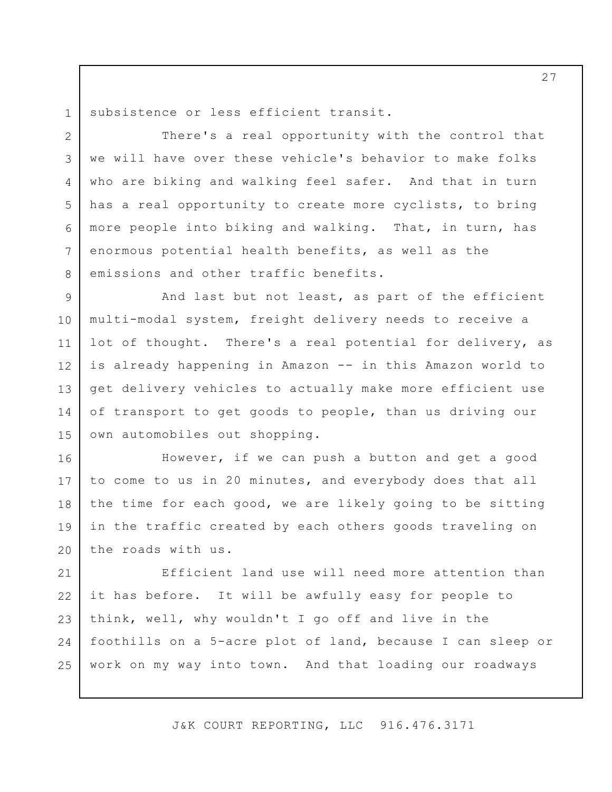1 2

3

4

5

6

7

8

subsistence or less efficient transit.

There's a real opportunity with the control that we will have over these vehicle's behavior to make folks who are biking and walking feel safer. And that in turn has a real opportunity to create more cyclists, to bring more people into biking and walking. That, in turn, has enormous potential health benefits, as well as the emissions and other traffic benefits.

And last but not least, as part of the efficient multi-modal system, freight delivery needs to receive a lot of thought. There's a real potential for delivery, as is already happening in Amazon -- in this Amazon world to get delivery vehicles to actually make more efficient use of transport to get goods to people, than us driving our own automobiles out shopping. 9 10 11 12 13 14 15

However, if we can push a button and get a good to come to us in 20 minutes, and everybody does that all the time for each good, we are likely going to be sitting in the traffic created by each others goods traveling on the roads with us. 16 17 18 19 20

Efficient land use will need more attention than it has before. It will be awfully easy for people to think, well, why wouldn't I go off and live in the foothills on a 5-acre plot of land, because I can sleep or work on my way into town. And that loading our roadways 21 22 23 24 25

J&K COURT REPORTING, LLC 916.476.3171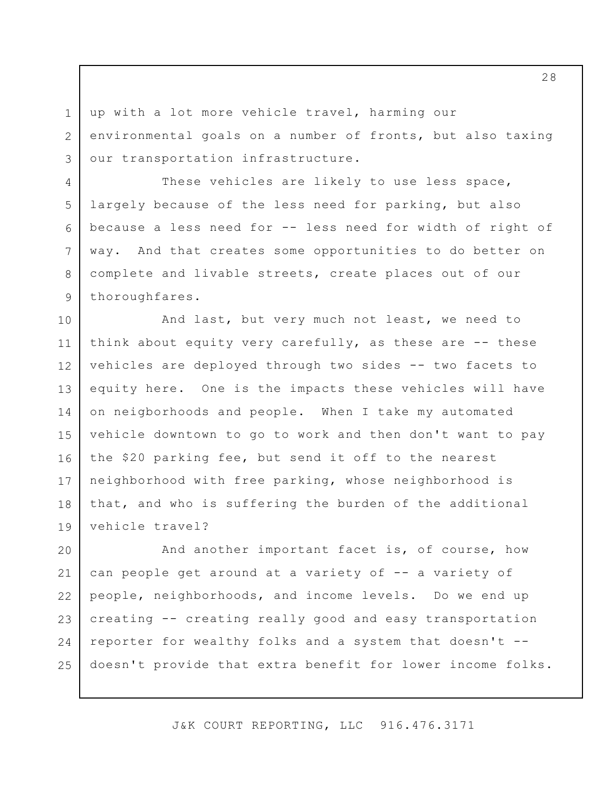up with a lot more vehicle travel, harming our environmental goals on a number of fronts, but also taxing our transportation infrastructure.

1

2

3

4

5

6

7

8

9

These vehicles are likely to use less space, largely because of the less need for parking, but also because a less need for -- less need for width of right of way. And that creates some opportunities to do better on complete and livable streets, create places out of our thoroughfares.

And last, but very much not least, we need to think about equity very carefully, as these are  $-$ - these vehicles are deployed through two sides -- two facets to equity here. One is the impacts these vehicles will have on neigborhoods and people. When I take my automated vehicle downtown to go to work and then don't want to pay the \$20 parking fee, but send it off to the nearest neighborhood with free parking, whose neighborhood is that, and who is suffering the burden of the additional vehicle travel? 10 11 12 13 14 15 16 17 18 19

And another important facet is, of course, how can people get around at a variety of -- a variety of people, neighborhoods, and income levels. Do we end up creating -- creating really good and easy transportation reporter for wealthy folks and a system that doesn't - doesn't provide that extra benefit for lower income folks. 20 21 22 23 24 25

J&K COURT REPORTING, LLC 916.476.3171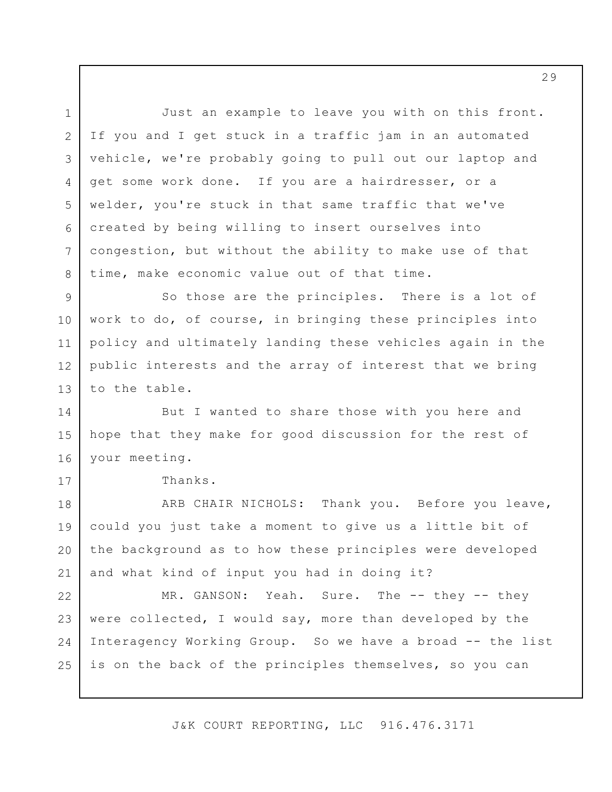Just an example to leave you with on this front. If you and I get stuck in a traffic jam in an automated vehicle, we're probably going to pull out our laptop and get some work done. If you are a hairdresser, or a welder, you're stuck in that same traffic that we've created by being willing to insert ourselves into congestion, but without the ability to make use of that time, make economic value out of that time. So those are the principles. There is a lot of work to do, of course, in bringing these principles into policy and ultimately landing these vehicles again in the public interests and the array of interest that we bring to the table. But I wanted to share those with you here and hope that they make for good discussion for the rest of your meeting. Thanks. ARB CHAIR NICHOLS: Thank you. Before you leave, could you just take a moment to give us a little bit of the background as to how these principles were developed and what kind of input you had in doing it? MR. GANSON: Yeah. Sure. The -- they -- they were collected, I would say, more than developed by the Interagency Working Group. So we have a broad -- the list is on the back of the principles themselves, so you can 1 2 3 4 5 6 7 8 9 10 11 12 13 14 15 16 17 18 19 20 21 22 23 24 25

J&K COURT REPORTING, LLC 916.476.3171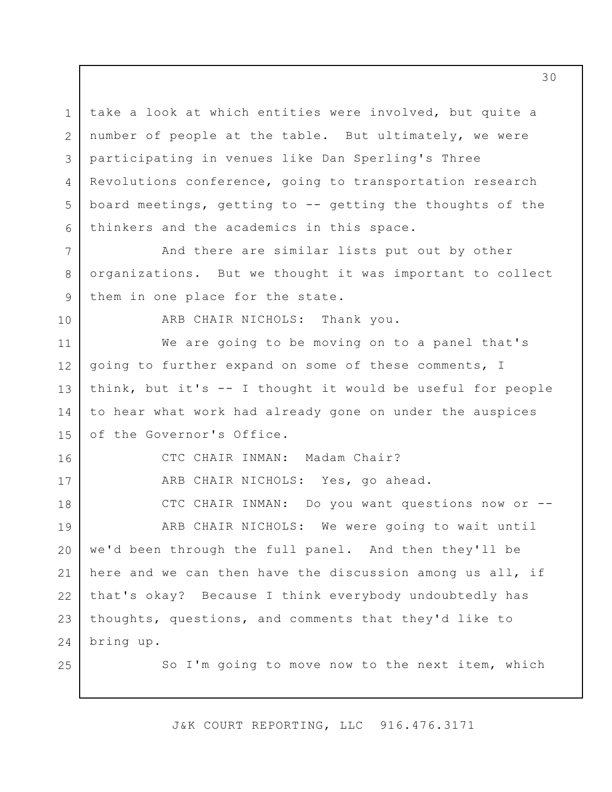take a look at which entities were involved, but quite a number of people at the table. But ultimately, we were participating in venues like Dan Sperling's Three Revolutions conference, going to transportation research board meetings, getting to -- getting the thoughts of the thinkers and the academics in this space. 1 2 3 4 5 6

And there are similar lists put out by other organizations. But we thought it was important to collect them in one place for the state.

10

16

17

18

25

7

8

9

ARB CHAIR NICHOLS: Thank you.

We are going to be moving on to a panel that's going to further expand on some of these comments, I think, but it's -- I thought it would be useful for people to hear what work had already gone on under the auspices of the Governor's Office. 11 12 13 14 15

CTC CHAIR INMAN: Madam Chair?

ARB CHAIR NICHOLS: Yes, go ahead.

CTC CHAIR INMAN: Do you want questions now or --

ARB CHAIR NICHOLS: We were going to wait until we'd been through the full panel. And then they'll be here and we can then have the discussion among us all, if that's okay? Because I think everybody undoubtedly has thoughts, questions, and comments that they'd like to bring up. 19 20 21 22 23 24

So I'm going to move now to the next item, which

J&K COURT REPORTING, LLC 916.476.3171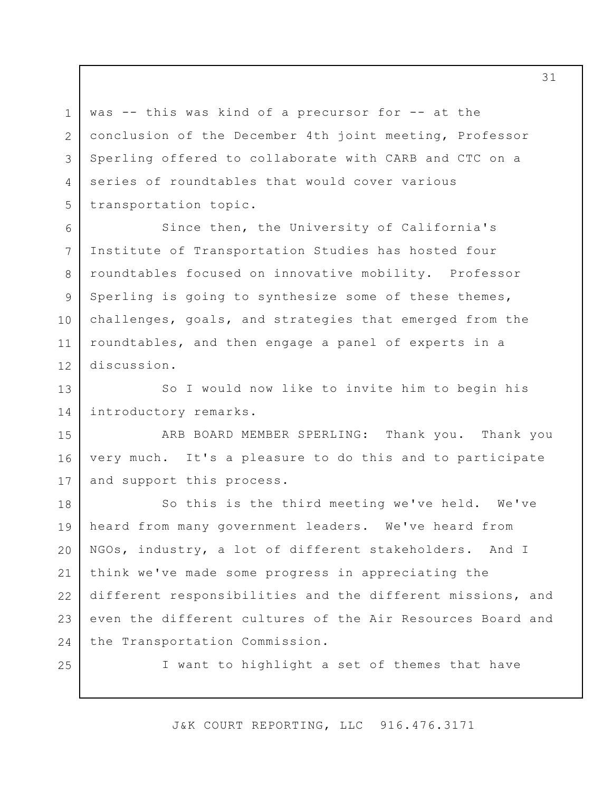was -- this was kind of a precursor for -- at the conclusion of the December 4th joint meeting, Professor Sperling offered to collaborate with CARB and CTC on a series of roundtables that would cover various transportation topic.

Since then, the University of California's Institute of Transportation Studies has hosted four roundtables focused on innovative mobility. Professor Sperling is going to synthesize some of these themes, challenges, goals, and strategies that emerged from the roundtables, and then engage a panel of experts in a discussion. 6 7 8 9 10 11 12

So I would now like to invite him to begin his introductory remarks. 13 14

ARB BOARD MEMBER SPERLING: Thank you. Thank you very much. It's a pleasure to do this and to participate and support this process. 15 16 17

So this is the third meeting we've held. We've heard from many government leaders. We've heard from NGOs, industry, a lot of different stakeholders. And I think we've made some progress in appreciating the different responsibilities and the different missions, and even the different cultures of the Air Resources Board and the Transportation Commission. 18 19 20 21 22 23 24

25

1

2

3

4

5

I want to highlight a set of themes that have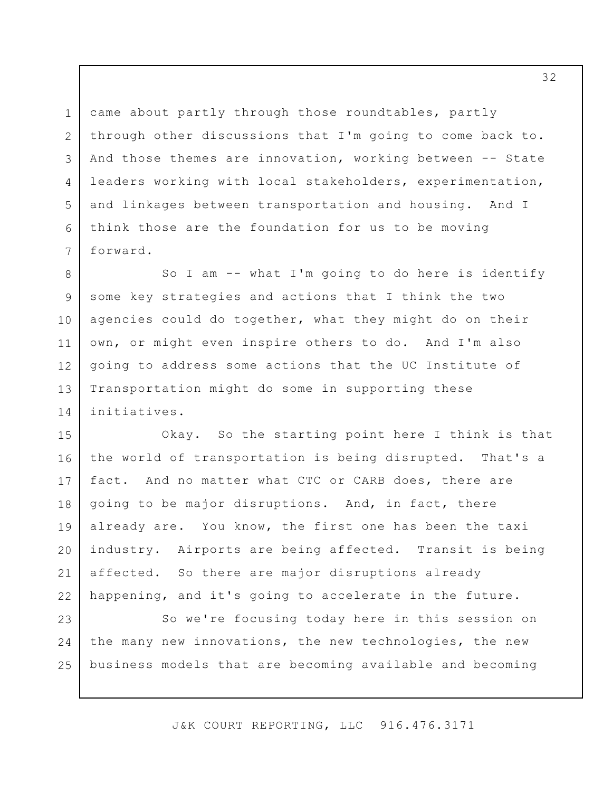came about partly through those roundtables, partly through other discussions that I'm going to come back to. And those themes are innovation, working between -- State leaders working with local stakeholders, experimentation, and linkages between transportation and housing. And I think those are the foundation for us to be moving forward. 3

1

2

4

5

6

7

So I am -- what I'm going to do here is identify some key strategies and actions that I think the two agencies could do together, what they might do on their own, or might even inspire others to do. And I'm also going to address some actions that the UC Institute of Transportation might do some in supporting these initiatives. 8 9 10 11 12 13 14

Okay. So the starting point here I think is that the world of transportation is being disrupted. That's a fact. And no matter what CTC or CARB does, there are going to be major disruptions. And, in fact, there already are. You know, the first one has been the taxi industry. Airports are being affected. Transit is being affected. So there are major disruptions already happening, and it's going to accelerate in the future. 15 16 17 18 19 20 21 22

So we're focusing today here in this session on the many new innovations, the new technologies, the new business models that are becoming available and becoming 23 24 25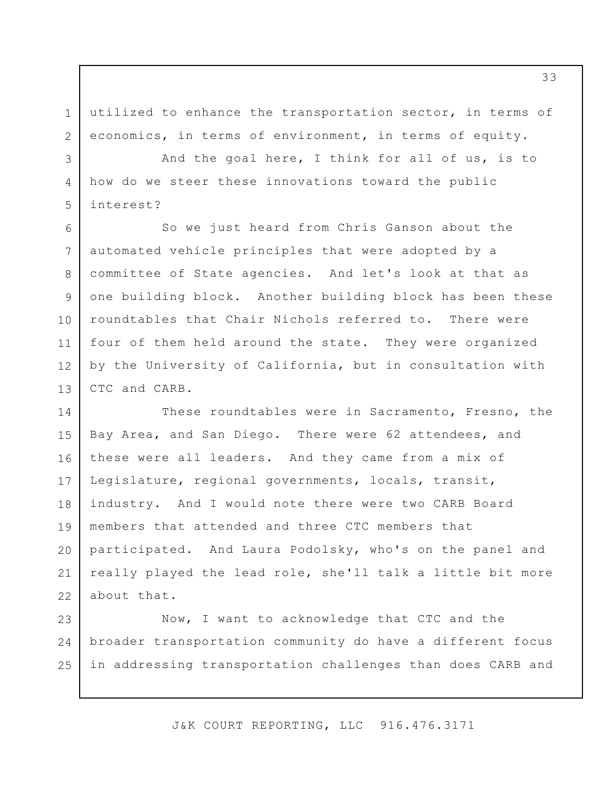utilized to enhance the transportation sector, in terms of economics, in terms of environment, in terms of equity. 1 2

And the goal here, I think for all of us, is to how do we steer these innovations toward the public interest?

3

4

5

So we just heard from Chris Ganson about the automated vehicle principles that were adopted by a committee of State agencies. And let's look at that as one building block. Another building block has been these roundtables that Chair Nichols referred to. There were four of them held around the state. They were organized by the University of California, but in consultation with CTC and CARB. 6 7 8 9 10 11 12 13

These roundtables were in Sacramento, Fresno, the Bay Area, and San Diego. There were 62 attendees, and these were all leaders. And they came from a mix of Legislature, regional governments, locals, transit, industry. And I would note there were two CARB Board members that attended and three CTC members that participated. And Laura Podolsky, who's on the panel and really played the lead role, she'll talk a little bit more about that. 14 15 16 17 18 19 20 21 22

Now, I want to acknowledge that CTC and the broader transportation community do have a different focus in addressing transportation challenges than does CARB and 23 24 25

J&K COURT REPORTING, LLC 916.476.3171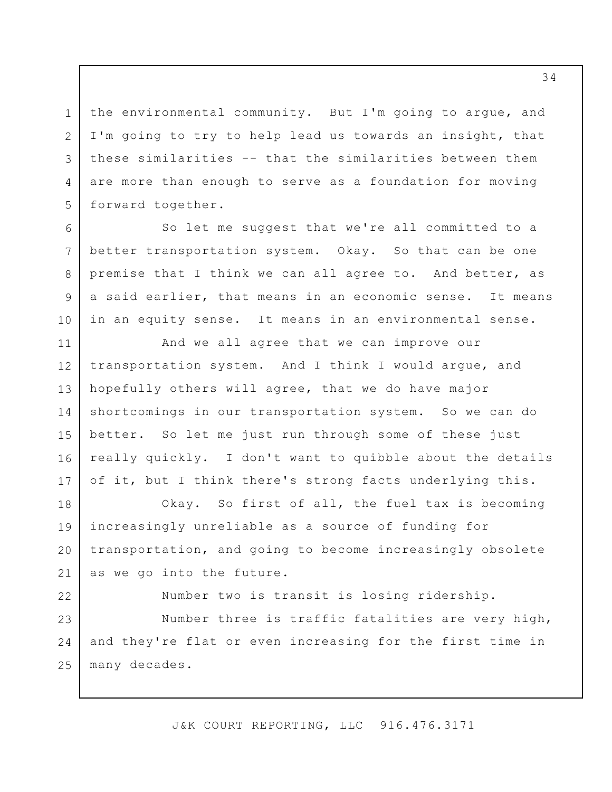the environmental community. But I'm going to argue, and I'm going to try to help lead us towards an insight, that these similarities -- that the similarities between them are more than enough to serve as a foundation for moving forward together.

1

2

3

4

5

6

7

8

9

10

So let me suggest that we're all committed to a better transportation system. Okay. So that can be one premise that I think we can all agree to. And better, as a said earlier, that means in an economic sense. It means in an equity sense. It means in an environmental sense.

And we all agree that we can improve our transportation system. And I think I would argue, and hopefully others will agree, that we do have major shortcomings in our transportation system. So we can do better. So let me just run through some of these just really quickly. I don't want to quibble about the details of it, but I think there's strong facts underlying this. 11 12 13 14 15 16 17

Okay. So first of all, the fuel tax is becoming increasingly unreliable as a source of funding for transportation, and going to become increasingly obsolete as we go into the future. 18 19 20 21

Number two is transit is losing ridership. Number three is traffic fatalities are very high, and they're flat or even increasing for the first time in many decades. 22 23 24 25

J&K COURT REPORTING, LLC 916.476.3171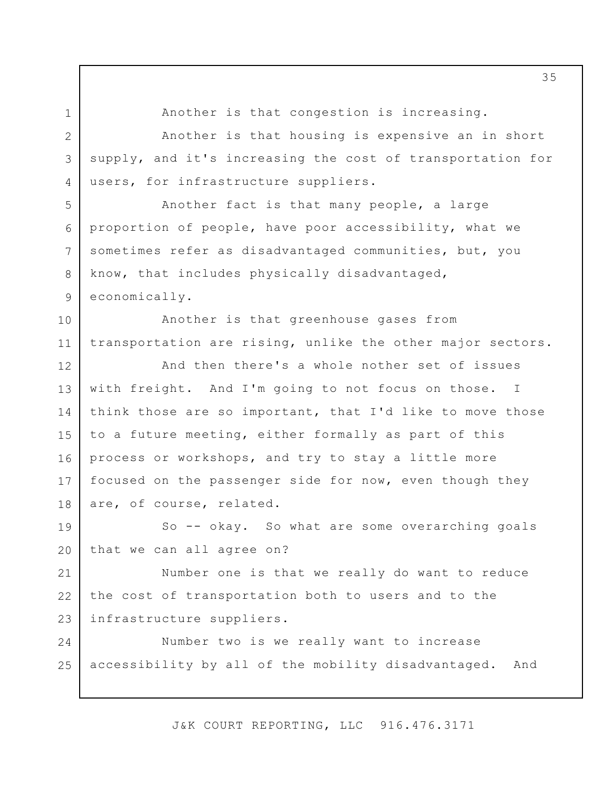Another is that congestion is increasing. Another is that housing is expensive an in short supply, and it's increasing the cost of transportation for users, for infrastructure suppliers. Another fact is that many people, a large proportion of people, have poor accessibility, what we sometimes refer as disadvantaged communities, but, you know, that includes physically disadvantaged, economically. Another is that greenhouse gases from transportation are rising, unlike the other major sectors. And then there's a whole nother set of issues with freight. And I'm going to not focus on those. I think those are so important, that I'd like to move those to a future meeting, either formally as part of this process or workshops, and try to stay a little more focused on the passenger side for now, even though they are, of course, related. So -- okay. So what are some overarching goals that we can all agree on? Number one is that we really do want to reduce the cost of transportation both to users and to the infrastructure suppliers. Number two is we really want to increase accessibility by all of the mobility disadvantaged. And 1 2 3 4 5 6 7 8 9 10 11 12 13 14 15 16 17 18 19 20 21 22 23 24 25

J&K COURT REPORTING, LLC 916.476.3171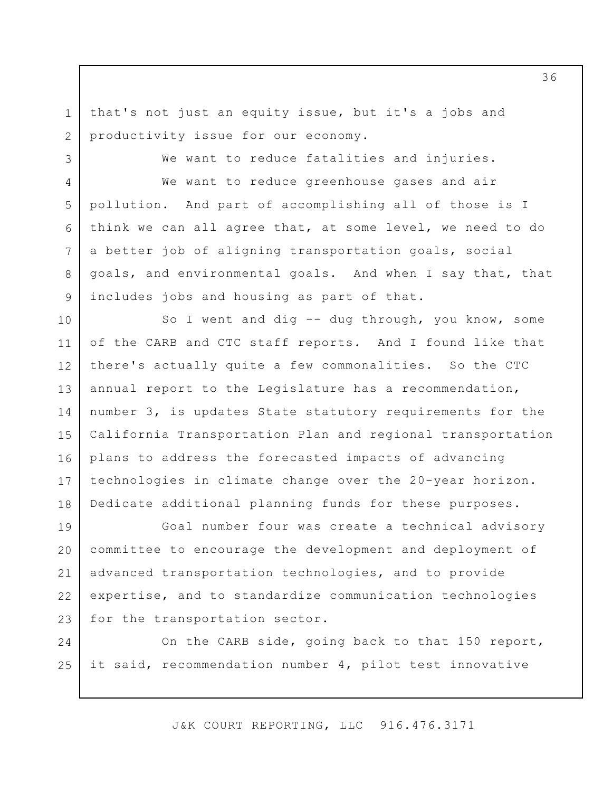that's not just an equity issue, but it's a jobs and productivity issue for our economy. 1 2

3

4

5

6

7

8

9

We want to reduce fatalities and injuries.

We want to reduce greenhouse gases and air pollution. And part of accomplishing all of those is I think we can all agree that, at some level, we need to do a better job of aligning transportation goals, social goals, and environmental goals. And when I say that, that includes jobs and housing as part of that.

So I went and dig -- dug through, you know, some of the CARB and CTC staff reports. And I found like that there's actually quite a few commonalities. So the CTC annual report to the Legislature has a recommendation, number 3, is updates State statutory requirements for the California Transportation Plan and regional transportation plans to address the forecasted impacts of advancing technologies in climate change over the 20-year horizon. Dedicate additional planning funds for these purposes. 10 11 12 13 14 15 16 17 18

Goal number four was create a technical advisory committee to encourage the development and deployment of advanced transportation technologies, and to provide expertise, and to standardize communication technologies for the transportation sector. 19 20 21 22 23

On the CARB side, going back to that 150 report, it said, recommendation number 4, pilot test innovative 24 25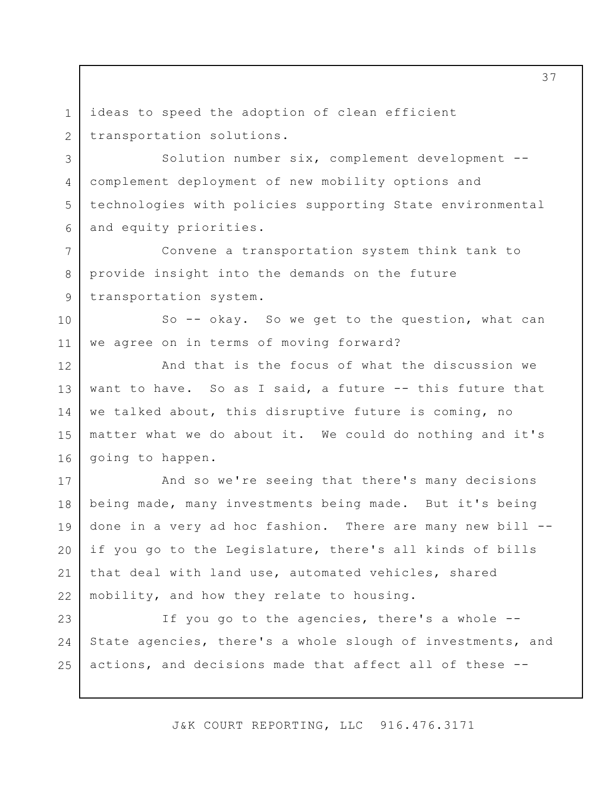ideas to speed the adoption of clean efficient transportation solutions. 1 2

3

4

5

6

7

8

9

Solution number six, complement development - complement deployment of new mobility options and technologies with policies supporting State environmental and equity priorities.

Convene a transportation system think tank to provide insight into the demands on the future transportation system.

So -- okay. So we get to the question, what can we agree on in terms of moving forward? 10 11

And that is the focus of what the discussion we want to have. So as I said, a future -- this future that we talked about, this disruptive future is coming, no matter what we do about it. We could do nothing and it's going to happen. 12 13 14 15 16

And so we're seeing that there's many decisions being made, many investments being made. But it's being done in a very ad hoc fashion. There are many new bill - if you go to the Legislature, there's all kinds of bills that deal with land use, automated vehicles, shared mobility, and how they relate to housing. 17 18 19 20 21 22

If you go to the agencies, there's a whole -- State agencies, there's a whole slough of investments, and actions, and decisions made that affect all of these -- 23 24 25

J&K COURT REPORTING, LLC 916.476.3171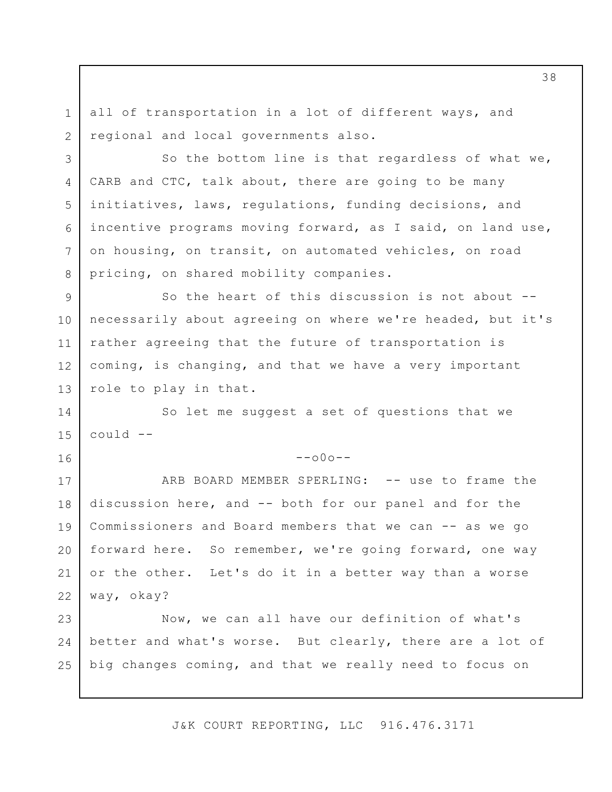all of transportation in a lot of different ways, and regional and local governments also.

1

2

3

4

5

6

7

8

14

15

16

So the bottom line is that regardless of what we, CARB and CTC, talk about, there are going to be many initiatives, laws, regulations, funding decisions, and incentive programs moving forward, as I said, on land use, on housing, on transit, on automated vehicles, on road pricing, on shared mobility companies.

So the heart of this discussion is not about - necessarily about agreeing on where we're headed, but it's rather agreeing that the future of transportation is coming, is changing, and that we have a very important role to play in that. 9 10 11 12 13

So let me suggest a set of questions that we could --

 $--000--$ 

ARB BOARD MEMBER SPERLING: -- use to frame the discussion here, and -- both for our panel and for the Commissioners and Board members that we can -- as we go forward here. So remember, we're going forward, one way or the other. Let's do it in a better way than a worse way, okay? 17 18 19 20 21 22

Now, we can all have our definition of what's better and what's worse. But clearly, there are a lot of big changes coming, and that we really need to focus on 23 24 25

J&K COURT REPORTING, LLC 916.476.3171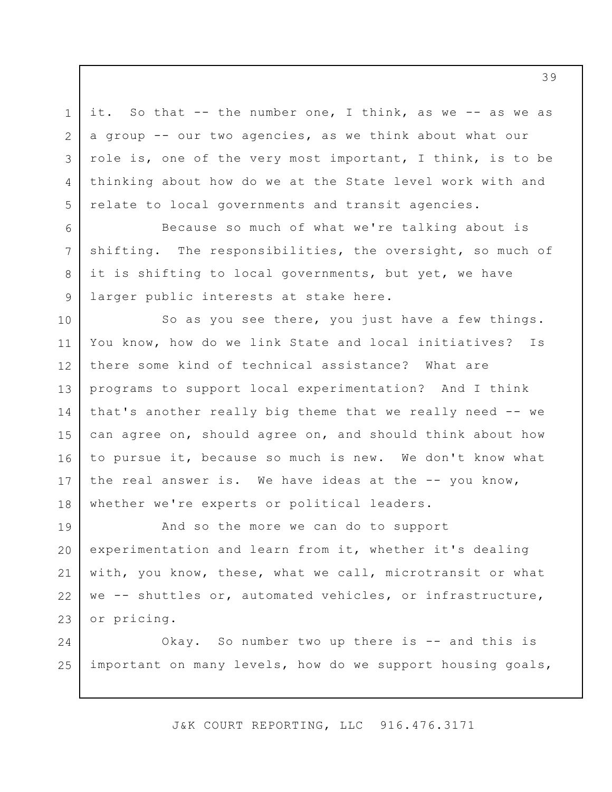it. So that -- the number one, I think, as we -- as we as a group -- our two agencies, as we think about what our role is, one of the very most important, I think, is to be thinking about how do we at the State level work with and relate to local governments and transit agencies.

1

2

3

4

5

6

7

8

9

Because so much of what we're talking about is shifting. The responsibilities, the oversight, so much of it is shifting to local governments, but yet, we have larger public interests at stake here.

So as you see there, you just have a few things. You know, how do we link State and local initiatives? Is there some kind of technical assistance? What are programs to support local experimentation? And I think that's another really big theme that we really need -- we can agree on, should agree on, and should think about how to pursue it, because so much is new. We don't know what the real answer is. We have ideas at the -- you know, whether we're experts or political leaders. 10 11 12 13 14 15 16 17 18

And so the more we can do to support experimentation and learn from it, whether it's dealing with, you know, these, what we call, microtransit or what we -- shuttles or, automated vehicles, or infrastructure, or pricing. 19 20 21 22 23

Okay. So number two up there is -- and this is important on many levels, how do we support housing goals, 24 25

J&K COURT REPORTING, LLC 916.476.3171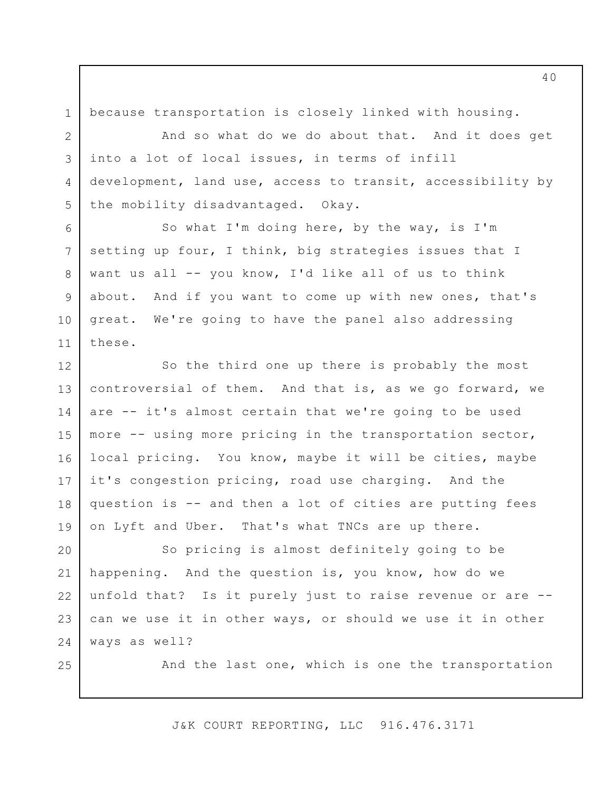because transportation is closely linked with housing.

1

2

3

4

5

8

9

10

11

25

And so what do we do about that. And it does get into a lot of local issues, in terms of infill development, land use, access to transit, accessibility by the mobility disadvantaged. Okay.

So what I'm doing here, by the way, is I'm setting up four, I think, big strategies issues that I want us all -- you know, I'd like all of us to think about. And if you want to come up with new ones, that's great. We're going to have the panel also addressing these. 6 7

So the third one up there is probably the most controversial of them. And that is, as we go forward, we are -- it's almost certain that we're going to be used more -- using more pricing in the transportation sector, local pricing. You know, maybe it will be cities, maybe it's congestion pricing, road use charging. And the question is -- and then a lot of cities are putting fees on Lyft and Uber. That's what TNCs are up there. 12 13 14 15 16 17 18 19

So pricing is almost definitely going to be happening. And the question is, you know, how do we unfold that? Is it purely just to raise revenue or are - can we use it in other ways, or should we use it in other ways as well? 20 21 22 23 24

And the last one, which is one the transportation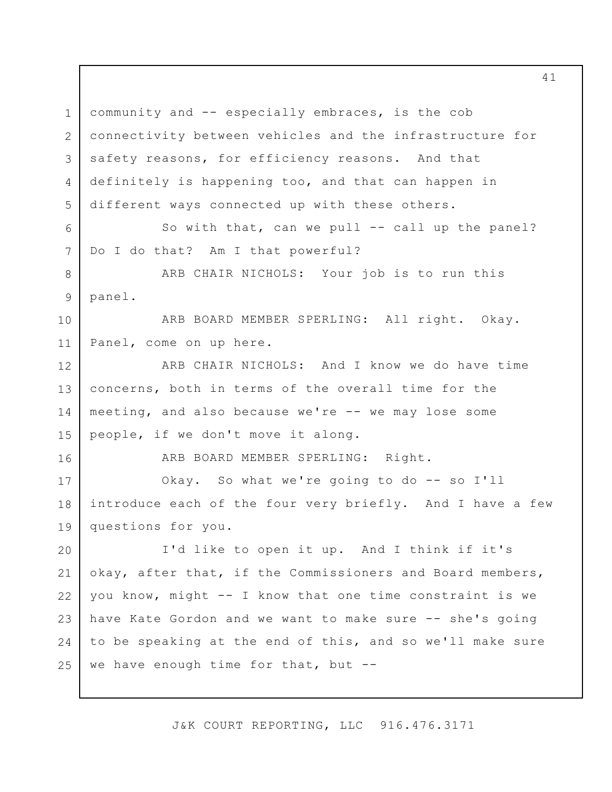community and -- especially embraces, is the cob connectivity between vehicles and the infrastructure for safety reasons, for efficiency reasons. And that definitely is happening too, and that can happen in different ways connected up with these others. So with that, can we pull -- call up the panel? Do I do that? Am I that powerful? ARB CHAIR NICHOLS: Your job is to run this panel. ARB BOARD MEMBER SPERLING: All right. Okay. Panel, come on up here. ARB CHAIR NICHOLS: And I know we do have time concerns, both in terms of the overall time for the meeting, and also because we're -- we may lose some people, if we don't move it along. ARB BOARD MEMBER SPERLING: Right. Okay. So what we're going to do -- so I'll introduce each of the four very briefly. And I have a few questions for you. I'd like to open it up. And I think if it's okay, after that, if the Commissioners and Board members, you know, might -- I know that one time constraint is we have Kate Gordon and we want to make sure -- she's going to be speaking at the end of this, and so we'll make sure we have enough time for that, but  $-$ -1 2 3 4 5 6 7 8 9 10 11 12 13 14 15 16 17 18 19 20 21 22 23 24 25

J&K COURT REPORTING, LLC 916.476.3171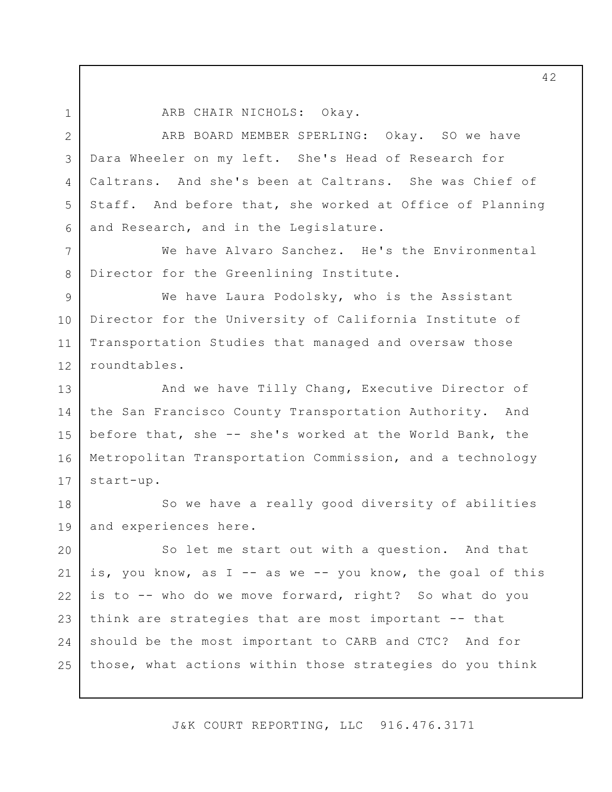1 2

7

8

ARB CHAIR NICHOLS: Okay.

ARB BOARD MEMBER SPERLING: Okay. SO we have Dara Wheeler on my left. She's Head of Research for Caltrans. And she's been at Caltrans. She was Chief of Staff. And before that, she worked at Office of Planning and Research, and in the Legislature. 3 4 5 6

We have Alvaro Sanchez. He's the Environmental Director for the Greenlining Institute.

We have Laura Podolsky, who is the Assistant Director for the University of California Institute of Transportation Studies that managed and oversaw those roundtables. 9 10 11 12

And we have Tilly Chang, Executive Director of the San Francisco County Transportation Authority. And before that, she -- she's worked at the World Bank, the Metropolitan Transportation Commission, and a technology start-up. 13 14 15 16 17

So we have a really good diversity of abilities and experiences here. 18 19

So let me start out with a question. And that is, you know, as I -- as we -- you know, the goal of this is to -- who do we move forward, right? So what do you think are strategies that are most important -- that should be the most important to CARB and CTC? And for those, what actions within those strategies do you think 20 21 22 23 24 25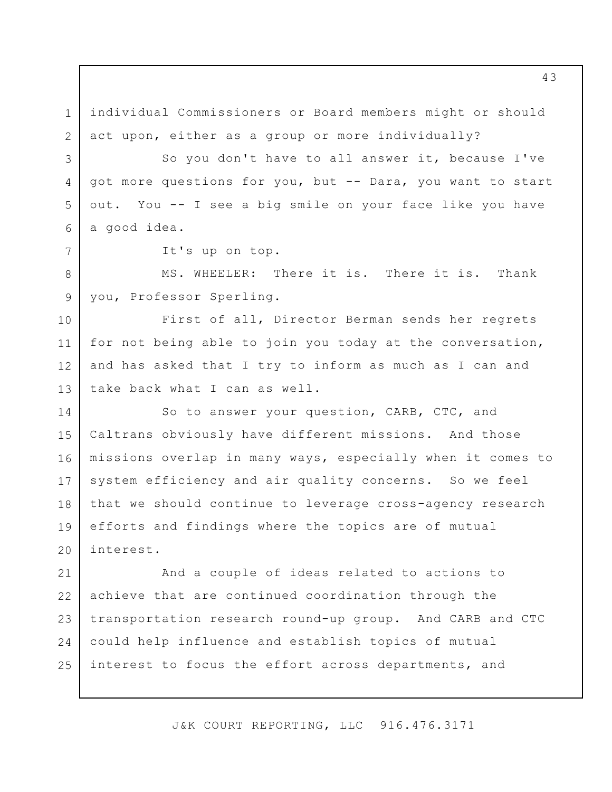individual Commissioners or Board members might or should act upon, either as a group or more individually? So you don't have to all answer it, because I've got more questions for you, but -- Dara, you want to start out. You -- I see a big smile on your face like you have a good idea. It's up on top. MS. WHEELER: There it is. There it is. Thank you, Professor Sperling. First of all, Director Berman sends her regrets for not being able to join you today at the conversation, and has asked that I try to inform as much as I can and take back what I can as well. So to answer your question, CARB, CTC, and Caltrans obviously have different missions. And those missions overlap in many ways, especially when it comes to system efficiency and air quality concerns. So we feel that we should continue to leverage cross-agency research efforts and findings where the topics are of mutual interest. And a couple of ideas related to actions to achieve that are continued coordination through the transportation research round-up group. And CARB and CTC could help influence and establish topics of mutual 1 2 3 4 5 6 7 8 9 10 11 12 13 14 15 16 17 18 19 20 21 22 23 24

J&K COURT REPORTING, LLC 916.476.3171

interest to focus the effort across departments, and

25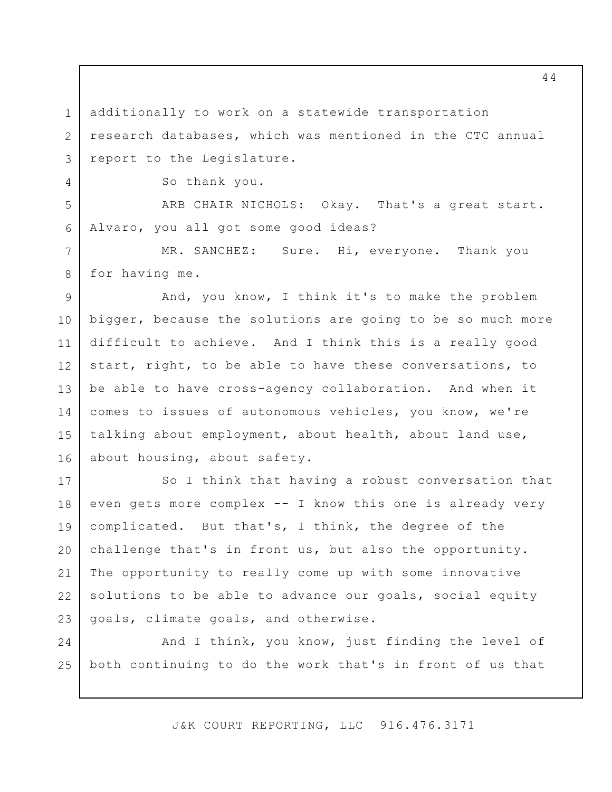additionally to work on a statewide transportation research databases, which was mentioned in the CTC annual report to the Legislature.

So thank you.

1

2

3

4

5

6

7

8

ARB CHAIR NICHOLS: Okay. That's a great start. Alvaro, you all got some good ideas?

MR. SANCHEZ: Sure. Hi, everyone. Thank you for having me.

And, you know, I think it's to make the problem bigger, because the solutions are going to be so much more difficult to achieve. And I think this is a really good start, right, to be able to have these conversations, to be able to have cross-agency collaboration. And when it comes to issues of autonomous vehicles, you know, we're talking about employment, about health, about land use, about housing, about safety. 9 10 11 12 13 14 15 16

So I think that having a robust conversation that even gets more complex -- I know this one is already very complicated. But that's, I think, the degree of the challenge that's in front us, but also the opportunity. The opportunity to really come up with some innovative solutions to be able to advance our goals, social equity goals, climate goals, and otherwise. 17 18 19 20 21 22 23

And I think, you know, just finding the level of both continuing to do the work that's in front of us that 24 25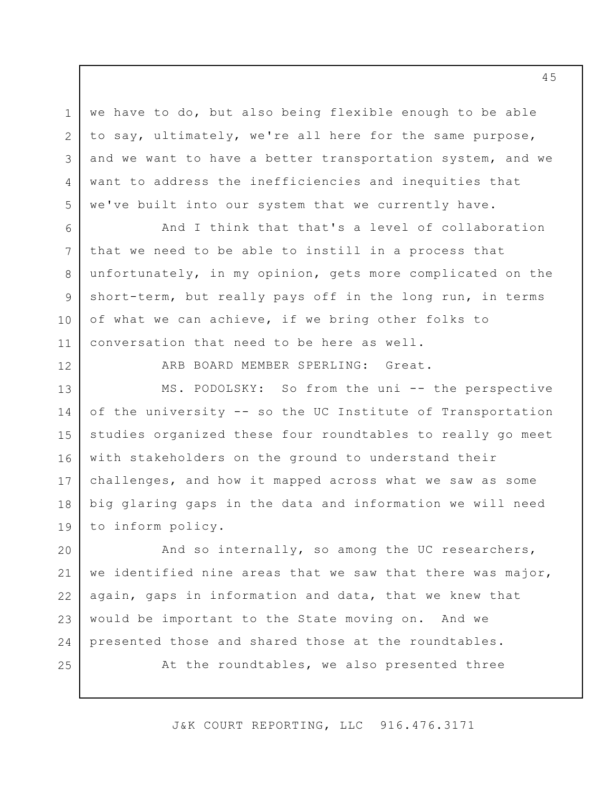we have to do, but also being flexible enough to be able to say, ultimately, we're all here for the same purpose, and we want to have a better transportation system, and we want to address the inefficiencies and inequities that we've built into our system that we currently have. 3

And I think that that's a level of collaboration that we need to be able to instill in a process that unfortunately, in my opinion, gets more complicated on the short-term, but really pays off in the long run, in terms of what we can achieve, if we bring other folks to conversation that need to be here as well.

ARB BOARD MEMBER SPERLING: Great.

MS. PODOLSKY: So from the uni -- the perspective of the university -- so the UC Institute of Transportation studies organized these four roundtables to really go meet with stakeholders on the ground to understand their challenges, and how it mapped across what we saw as some big glaring gaps in the data and information we will need to inform policy. 13 14 15 16 17 18 19

And so internally, so among the UC researchers, we identified nine areas that we saw that there was major, again, gaps in information and data, that we knew that would be important to the State moving on. And we presented those and shared those at the roundtables. 20 21 22 23 24

25

1

2

4

5

6

7

8

9

10

11

12

At the roundtables, we also presented three

J&K COURT REPORTING, LLC 916.476.3171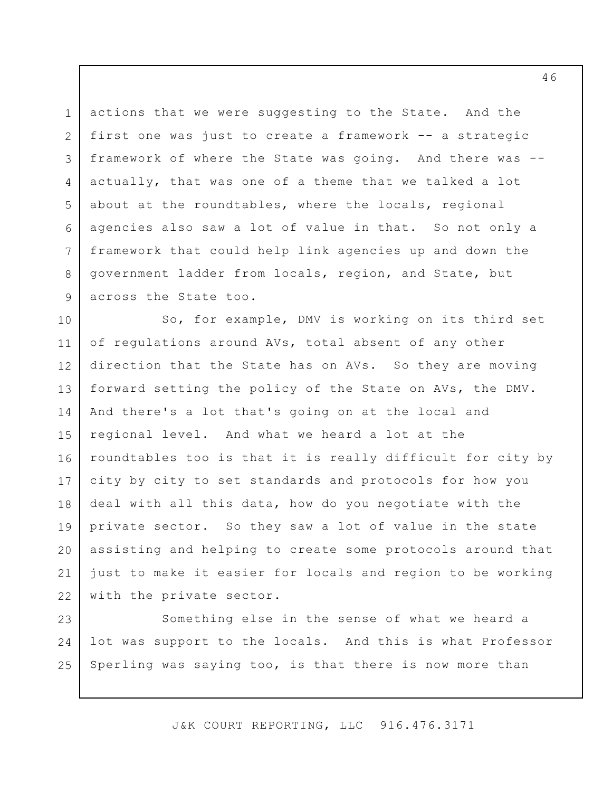actions that we were suggesting to the State. And the first one was just to create a framework -- a strategic framework of where the State was going. And there was - actually, that was one of a theme that we talked a lot about at the roundtables, where the locals, regional agencies also saw a lot of value in that. So not only a framework that could help link agencies up and down the government ladder from locals, region, and State, but across the State too. 1 2 3 4 5 6 7 8 9

So, for example, DMV is working on its third set of regulations around AVs, total absent of any other direction that the State has on AVs. So they are moving forward setting the policy of the State on AVs, the DMV. And there's a lot that's going on at the local and regional level. And what we heard a lot at the roundtables too is that it is really difficult for city by city by city to set standards and protocols for how you deal with all this data, how do you negotiate with the private sector. So they saw a lot of value in the state assisting and helping to create some protocols around that just to make it easier for locals and region to be working with the private sector. 10 11 12 13 14 15 16 17 18 19 20 21 22

Something else in the sense of what we heard a lot was support to the locals. And this is what Professor Sperling was saying too, is that there is now more than 23 24 25

J&K COURT REPORTING, LLC 916.476.3171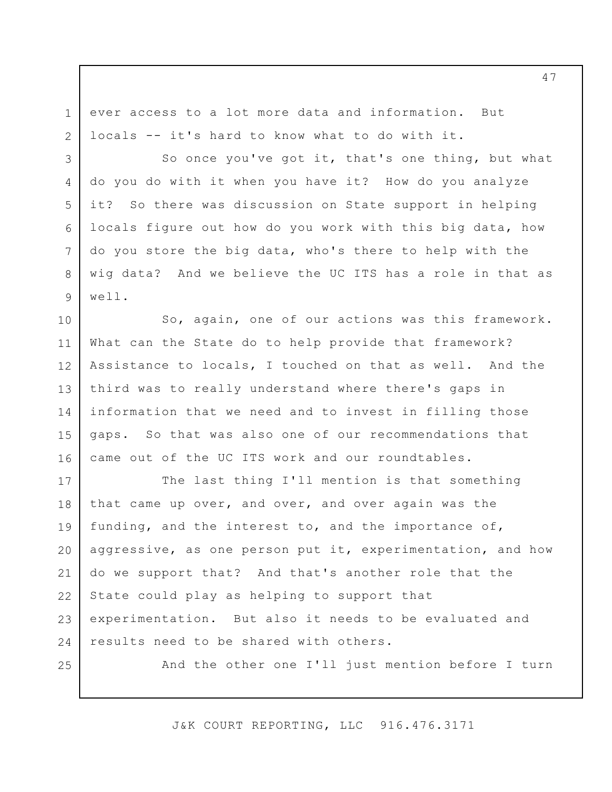ever access to a lot more data and information. But locals -- it's hard to know what to do with it.

So once you've got it, that's one thing, but what do you do with it when you have it? How do you analyze it? So there was discussion on State support in helping locals figure out how do you work with this big data, how do you store the big data, who's there to help with the wig data? And we believe the UC ITS has a role in that as well. 5 6

So, again, one of our actions was this framework. What can the State do to help provide that framework? Assistance to locals, I touched on that as well. And the third was to really understand where there's gaps in information that we need and to invest in filling those gaps. So that was also one of our recommendations that came out of the UC ITS work and our roundtables. 10 11 12 13 14 15 16

The last thing I'll mention is that something that came up over, and over, and over again was the funding, and the interest to, and the importance of, aggressive, as one person put it, experimentation, and how do we support that? And that's another role that the State could play as helping to support that experimentation. But also it needs to be evaluated and results need to be shared with others. 17 18 19 20 21 22 23 24

25

1

2

3

4

7

8

9

And the other one I'll just mention before I turn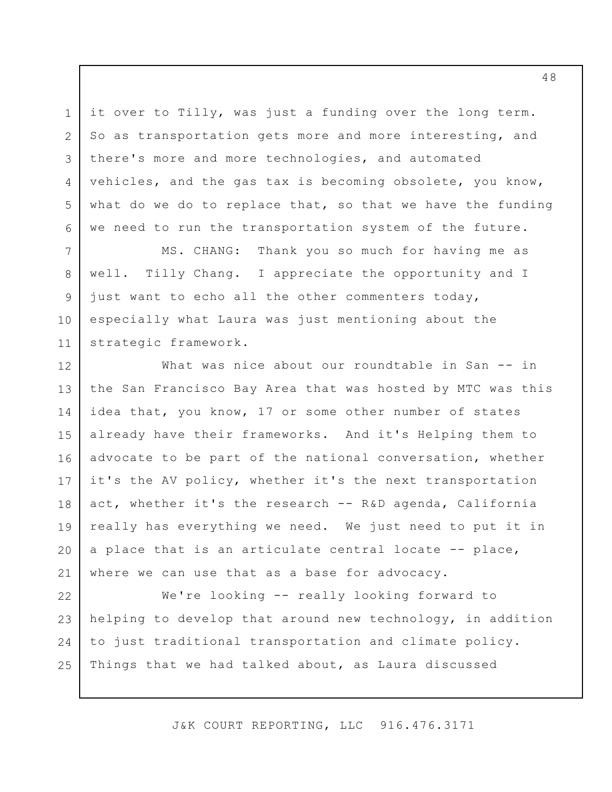it over to Tilly, was just a funding over the long term. So as transportation gets more and more interesting, and there's more and more technologies, and automated vehicles, and the gas tax is becoming obsolete, you know, what do we do to replace that, so that we have the funding we need to run the transportation system of the future.

1

2

3

4

5

6

7

8

9

10

11

MS. CHANG: Thank you so much for having me as well. Tilly Chang. I appreciate the opportunity and I just want to echo all the other commenters today, especially what Laura was just mentioning about the strategic framework.

What was nice about our roundtable in San -- in the San Francisco Bay Area that was hosted by MTC was this idea that, you know, 17 or some other number of states already have their frameworks. And it's Helping them to advocate to be part of the national conversation, whether it's the AV policy, whether it's the next transportation act, whether it's the research -- R&D agenda, California really has everything we need. We just need to put it in a place that is an articulate central locate -- place, where we can use that as a base for advocacy. 12 13 14 15 16 17 18 19 20 21

We're looking -- really looking forward to helping to develop that around new technology, in addition to just traditional transportation and climate policy. Things that we had talked about, as Laura discussed 22 23 24 25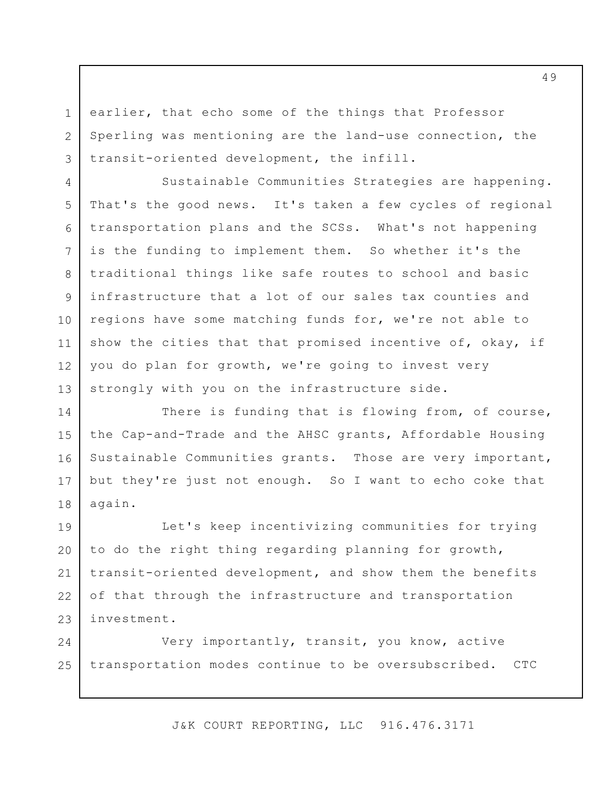earlier, that echo some of the things that Professor Sperling was mentioning are the land-use connection, the transit-oriented development, the infill.

1

2

3

4

5

6

7

8

9

10

11

12

13

Sustainable Communities Strategies are happening. That's the good news. It's taken a few cycles of regional transportation plans and the SCSs. What's not happening is the funding to implement them. So whether it's the traditional things like safe routes to school and basic infrastructure that a lot of our sales tax counties and regions have some matching funds for, we're not able to show the cities that that promised incentive of, okay, if you do plan for growth, we're going to invest very strongly with you on the infrastructure side.

There is funding that is flowing from, of course, the Cap-and-Trade and the AHSC grants, Affordable Housing Sustainable Communities grants. Those are very important, but they're just not enough. So I want to echo coke that again. 14 15 16 17 18

Let's keep incentivizing communities for trying to do the right thing regarding planning for growth, transit-oriented development, and show them the benefits of that through the infrastructure and transportation investment. 19 20 21 22 23

Very importantly, transit, you know, active transportation modes continue to be oversubscribed. CTC 24 25

J&K COURT REPORTING, LLC 916.476.3171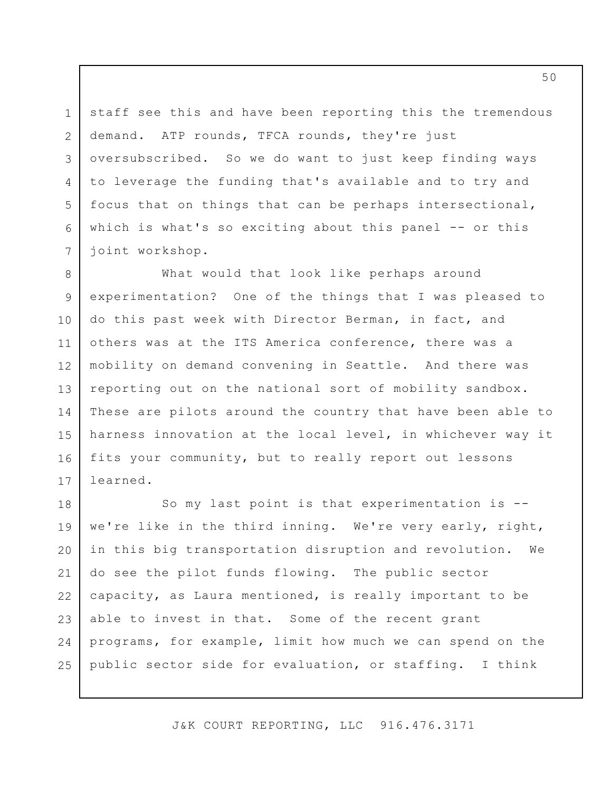staff see this and have been reporting this the tremendous demand. ATP rounds, TFCA rounds, they're just oversubscribed. So we do want to just keep finding ways to leverage the funding that's available and to try and focus that on things that can be perhaps intersectional, which is what's so exciting about this panel -- or this joint workshop.

1

2

3

4

5

6

7

What would that look like perhaps around experimentation? One of the things that I was pleased to do this past week with Director Berman, in fact, and others was at the ITS America conference, there was a mobility on demand convening in Seattle. And there was reporting out on the national sort of mobility sandbox. These are pilots around the country that have been able to harness innovation at the local level, in whichever way it fits your community, but to really report out lessons learned. 8 9 10 11 12 13 14 15 16 17

So my last point is that experimentation is - we're like in the third inning. We're very early, right, in this big transportation disruption and revolution. We do see the pilot funds flowing. The public sector capacity, as Laura mentioned, is really important to be able to invest in that. Some of the recent grant programs, for example, limit how much we can spend on the public sector side for evaluation, or staffing. I think 18 19 20 21 22 23 24 25

J&K COURT REPORTING, LLC 916.476.3171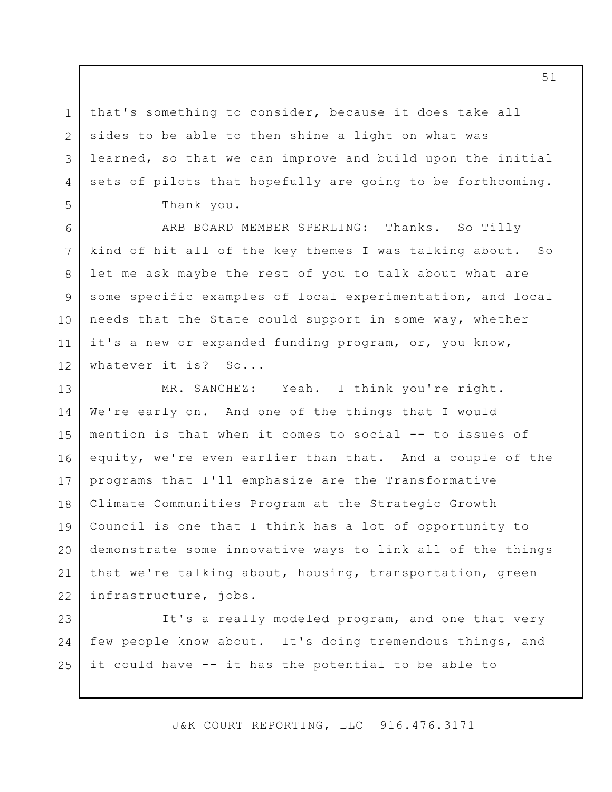that's something to consider, because it does take all sides to be able to then shine a light on what was learned, so that we can improve and build upon the initial sets of pilots that hopefully are going to be forthcoming. Thank you.

1

2

3

4

5

6

7

8

9

10

11

12

ARB BOARD MEMBER SPERLING: Thanks. So Tilly kind of hit all of the key themes I was talking about. So let me ask maybe the rest of you to talk about what are some specific examples of local experimentation, and local needs that the State could support in some way, whether it's a new or expanded funding program, or, you know, whatever it is? So...

MR. SANCHEZ: Yeah. I think you're right. We're early on. And one of the things that I would mention is that when it comes to social -- to issues of equity, we're even earlier than that. And a couple of the programs that I'll emphasize are the Transformative Climate Communities Program at the Strategic Growth Council is one that I think has a lot of opportunity to demonstrate some innovative ways to link all of the things that we're talking about, housing, transportation, green infrastructure, jobs. 13 14 15 16 17 18 19 20 21 22

It's a really modeled program, and one that very few people know about. It's doing tremendous things, and it could have -- it has the potential to be able to 23 24 25

J&K COURT REPORTING, LLC 916.476.3171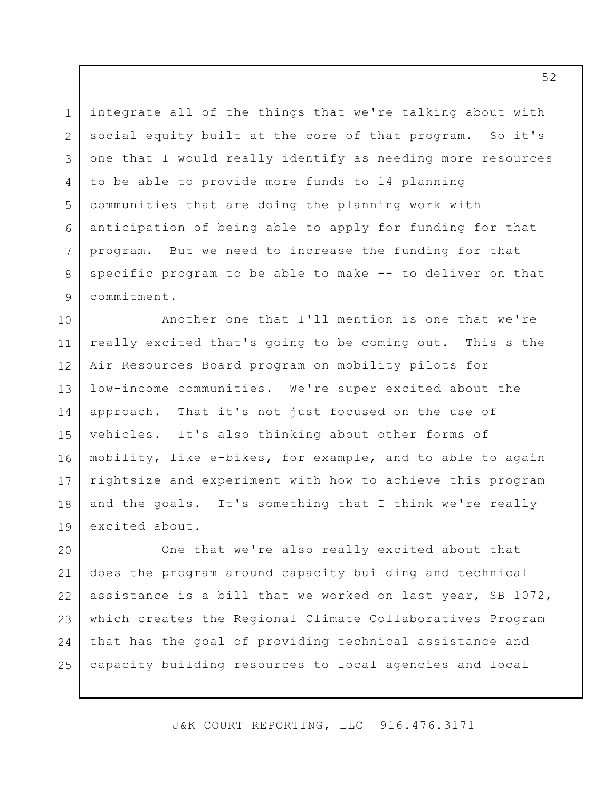integrate all of the things that we're talking about with social equity built at the core of that program. So it's one that I would really identify as needing more resources to be able to provide more funds to 14 planning communities that are doing the planning work with anticipation of being able to apply for funding for that program. But we need to increase the funding for that specific program to be able to make -- to deliver on that commitment. 1 2 3 4 5 6 7 8 9

Another one that I'll mention is one that we're really excited that's going to be coming out. This s the Air Resources Board program on mobility pilots for low-income communities. We're super excited about the approach. That it's not just focused on the use of vehicles. It's also thinking about other forms of mobility, like e-bikes, for example, and to able to again rightsize and experiment with how to achieve this program and the goals. It's something that I think we're really excited about. 10 11 12 13 14 15 16 17 18 19

One that we're also really excited about that does the program around capacity building and technical assistance is a bill that we worked on last year, SB 1072, which creates the Regional Climate Collaboratives Program that has the goal of providing technical assistance and capacity building resources to local agencies and local 20 21 22 23 24 25

J&K COURT REPORTING, LLC 916.476.3171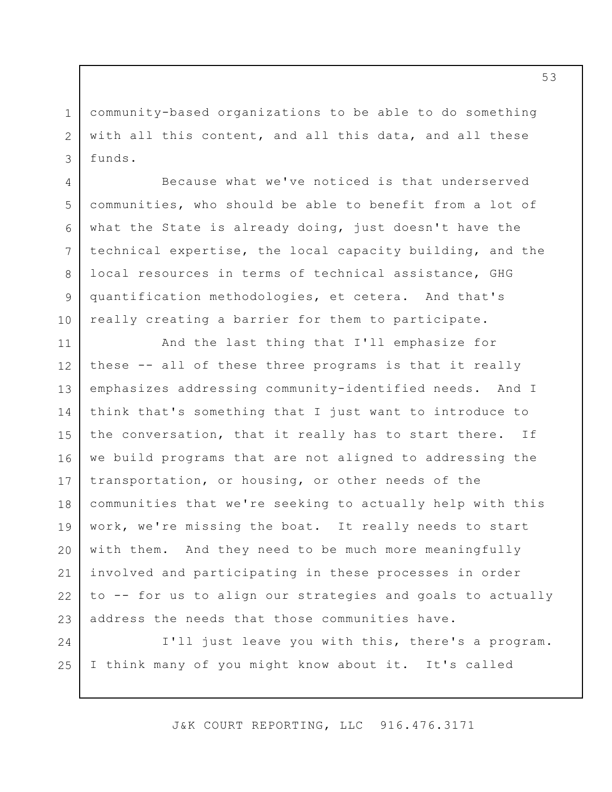community-based organizations to be able to do something with all this content, and all this data, and all these funds. 1 2 3

4

5

6

7

8

9

10

24

25

Because what we've noticed is that underserved communities, who should be able to benefit from a lot of what the State is already doing, just doesn't have the technical expertise, the local capacity building, and the local resources in terms of technical assistance, GHG quantification methodologies, et cetera. And that's really creating a barrier for them to participate.

And the last thing that I'll emphasize for these -- all of these three programs is that it really emphasizes addressing community-identified needs. And I think that's something that I just want to introduce to the conversation, that it really has to start there. If we build programs that are not aligned to addressing the transportation, or housing, or other needs of the communities that we're seeking to actually help with this work, we're missing the boat. It really needs to start with them. And they need to be much more meaningfully involved and participating in these processes in order to -- for us to align our strategies and goals to actually address the needs that those communities have. 11 12 13 14 15 16 17 18 19 20 21 22 23

I'll just leave you with this, there's a program. I think many of you might know about it. It's called

J&K COURT REPORTING, LLC 916.476.3171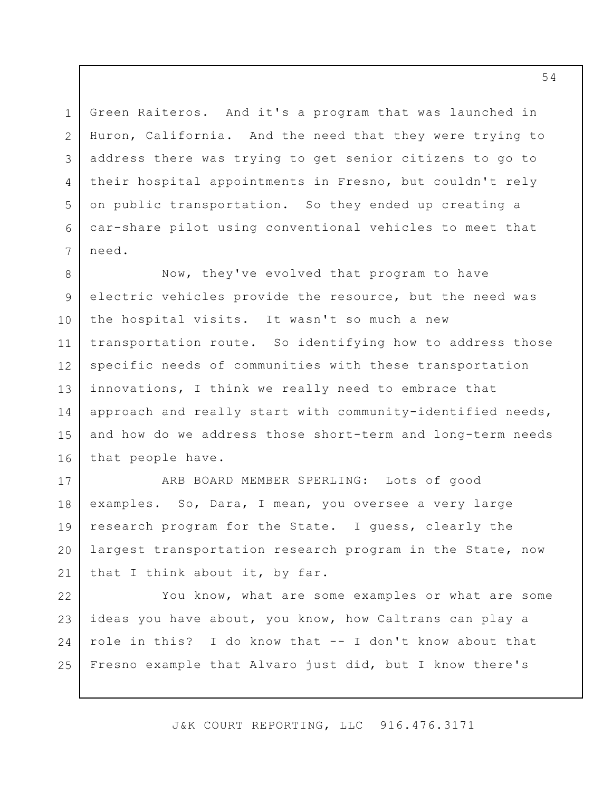Green Raiteros. And it's a program that was launched in Huron, California. And the need that they were trying to address there was trying to get senior citizens to go to their hospital appointments in Fresno, but couldn't rely on public transportation. So they ended up creating a car-share pilot using conventional vehicles to meet that need.

1

2

3

4

5

6

7

Now, they've evolved that program to have electric vehicles provide the resource, but the need was the hospital visits. It wasn't so much a new transportation route. So identifying how to address those specific needs of communities with these transportation innovations, I think we really need to embrace that approach and really start with community-identified needs, and how do we address those short-term and long-term needs that people have. 8 9 10 11 12 13 14 15 16

ARB BOARD MEMBER SPERLING: Lots of good examples. So, Dara, I mean, you oversee a very large research program for the State. I guess, clearly the largest transportation research program in the State, now that I think about it, by far. 17 18 19 20 21

You know, what are some examples or what are some ideas you have about, you know, how Caltrans can play a role in this? I do know that -- I don't know about that Fresno example that Alvaro just did, but I know there's 22 23 24 25

J&K COURT REPORTING, LLC 916.476.3171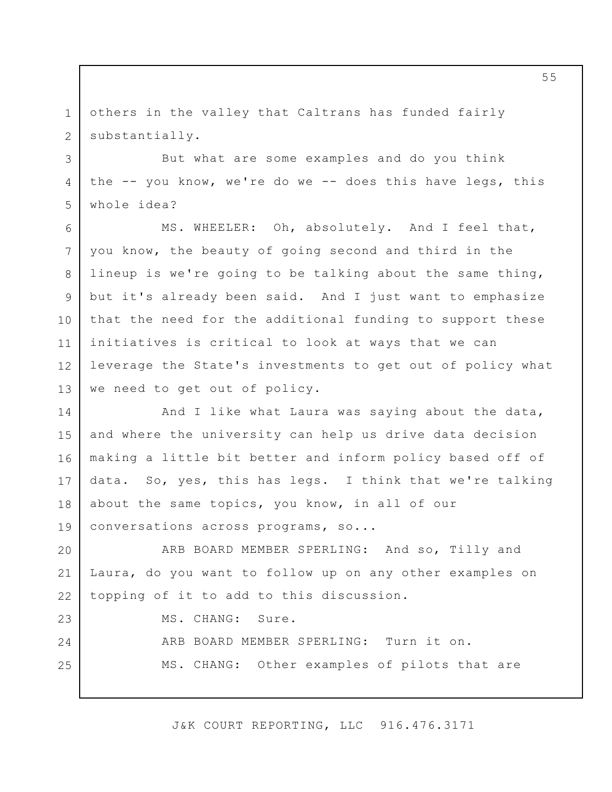others in the valley that Caltrans has funded fairly substantially. 1 2

3

4

5

23

24

25

But what are some examples and do you think the -- you know, we're do we -- does this have legs, this whole idea?

MS. WHEELER: Oh, absolutely. And I feel that, you know, the beauty of going second and third in the lineup is we're going to be talking about the same thing, but it's already been said. And I just want to emphasize that the need for the additional funding to support these initiatives is critical to look at ways that we can leverage the State's investments to get out of policy what we need to get out of policy. 6 7 8 9 10 11 12 13

And I like what Laura was saying about the data, and where the university can help us drive data decision making a little bit better and inform policy based off of data. So, yes, this has legs. I think that we're talking about the same topics, you know, in all of our conversations across programs, so... 14 15 16 17 18 19

ARB BOARD MEMBER SPERLING: And so, Tilly and Laura, do you want to follow up on any other examples on topping of it to add to this discussion. 20 21 22

MS. CHANG: Sure.

ARB BOARD MEMBER SPERLING: Turn it on. MS. CHANG: Other examples of pilots that are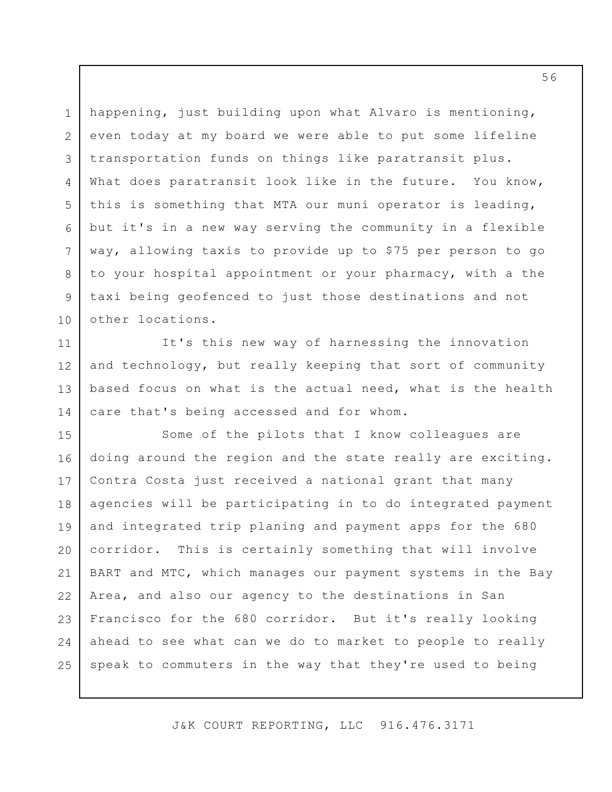happening, just building upon what Alvaro is mentioning, even today at my board we were able to put some lifeline transportation funds on things like paratransit plus. What does paratransit look like in the future. You know, this is something that MTA our muni operator is leading, but it's in a new way serving the community in a flexible way, allowing taxis to provide up to \$75 per person to go to your hospital appointment or your pharmacy, with a the taxi being geofenced to just those destinations and not other locations. 1 2 3 4 5 6 7 8 9 10

It's this new way of harnessing the innovation and technology, but really keeping that sort of community based focus on what is the actual need, what is the health care that's being accessed and for whom. 11 12 13 14

Some of the pilots that I know colleagues are doing around the region and the state really are exciting. Contra Costa just received a national grant that many agencies will be participating in to do integrated payment and integrated trip planing and payment apps for the 680 corridor. This is certainly something that will involve BART and MTC, which manages our payment systems in the Bay Area, and also our agency to the destinations in San Francisco for the 680 corridor. But it's really looking ahead to see what can we do to market to people to really speak to commuters in the way that they're used to being 15 16 17 18 19 20 21 22 23 24 25

J&K COURT REPORTING, LLC 916.476.3171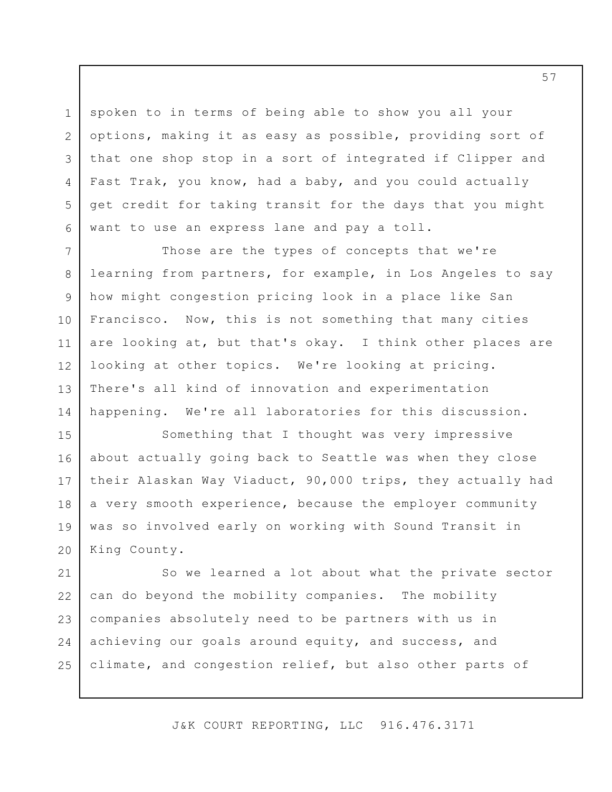spoken to in terms of being able to show you all your options, making it as easy as possible, providing sort of that one shop stop in a sort of integrated if Clipper and Fast Trak, you know, had a baby, and you could actually get credit for taking transit for the days that you might want to use an express lane and pay a toll.

1

2

3

4

5

6

Those are the types of concepts that we're learning from partners, for example, in Los Angeles to say how might congestion pricing look in a place like San Francisco. Now, this is not something that many cities are looking at, but that's okay. I think other places are looking at other topics. We're looking at pricing. There's all kind of innovation and experimentation happening. We're all laboratories for this discussion. 7 8 9 10 11 12 13 14

Something that I thought was very impressive about actually going back to Seattle was when they close their Alaskan Way Viaduct, 90,000 trips, they actually had a very smooth experience, because the employer community was so involved early on working with Sound Transit in King County. 15 16 17 18 19 20

So we learned a lot about what the private sector can do beyond the mobility companies. The mobility companies absolutely need to be partners with us in achieving our goals around equity, and success, and climate, and congestion relief, but also other parts of 21 22 23 24 25

J&K COURT REPORTING, LLC 916.476.3171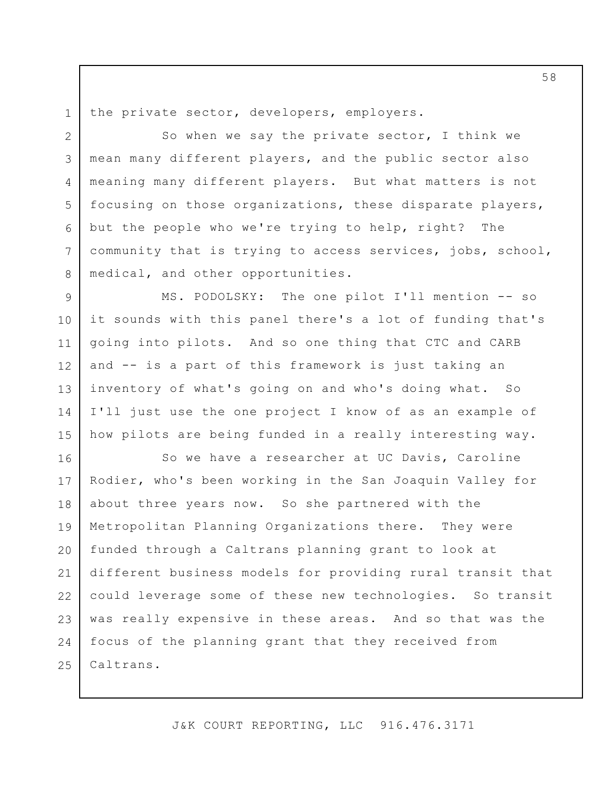1 2

4

5

6

7

8

the private sector, developers, employers.

So when we say the private sector, I think we mean many different players, and the public sector also meaning many different players. But what matters is not focusing on those organizations, these disparate players, but the people who we're trying to help, right? The community that is trying to access services, jobs, school, medical, and other opportunities. 3

MS. PODOLSKY: The one pilot I'll mention -- so it sounds with this panel there's a lot of funding that's going into pilots. And so one thing that CTC and CARB and -- is a part of this framework is just taking an inventory of what's going on and who's doing what. So I'll just use the one project I know of as an example of how pilots are being funded in a really interesting way. 9 10 11 12 13 14 15

So we have a researcher at UC Davis, Caroline Rodier, who's been working in the San Joaquin Valley for about three years now. So she partnered with the Metropolitan Planning Organizations there. They were funded through a Caltrans planning grant to look at different business models for providing rural transit that could leverage some of these new technologies. So transit was really expensive in these areas. And so that was the focus of the planning grant that they received from Caltrans. 16 17 18 19 20 21 22 23 24 25

J&K COURT REPORTING, LLC 916.476.3171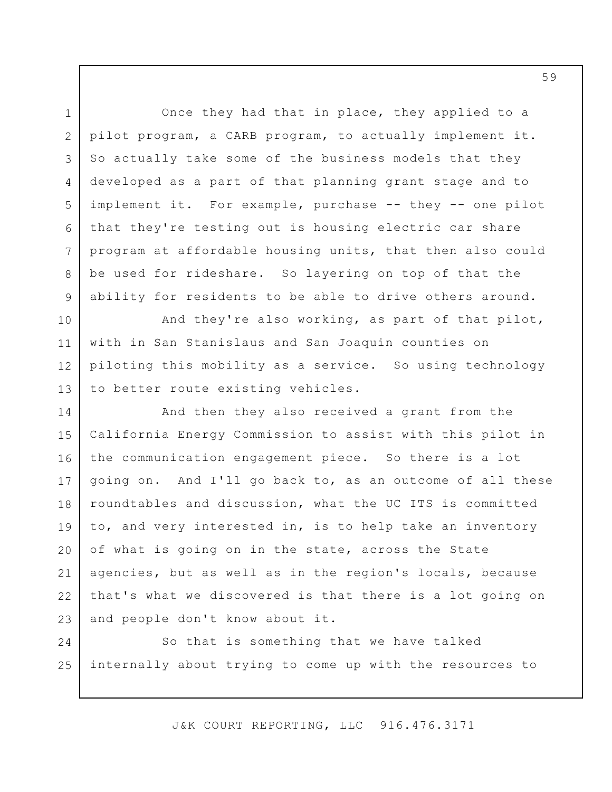Once they had that in place, they applied to a pilot program, a CARB program, to actually implement it. So actually take some of the business models that they developed as a part of that planning grant stage and to implement it. For example, purchase -- they -- one pilot that they're testing out is housing electric car share program at affordable housing units, that then also could be used for rideshare. So layering on top of that the ability for residents to be able to drive others around. And they're also working, as part of that pilot, with in San Stanislaus and San Joaquin counties on piloting this mobility as a service. So using technology to better route existing vehicles. And then they also received a grant from the California Energy Commission to assist with this pilot in the communication engagement piece. So there is a lot going on. And I'll go back to, as an outcome of all these roundtables and discussion, what the UC ITS is committed to, and very interested in, is to help take an inventory of what is going on in the state, across the State agencies, but as well as in the region's locals, because that's what we discovered is that there is a lot going on and people don't know about it. So that is something that we have talked 1 2 3 4 5 6 7 8 9 10 11 12 13 14 15 16 17 18 19 20 21 22 23 24

J&K COURT REPORTING, LLC 916.476.3171

internally about trying to come up with the resources to

25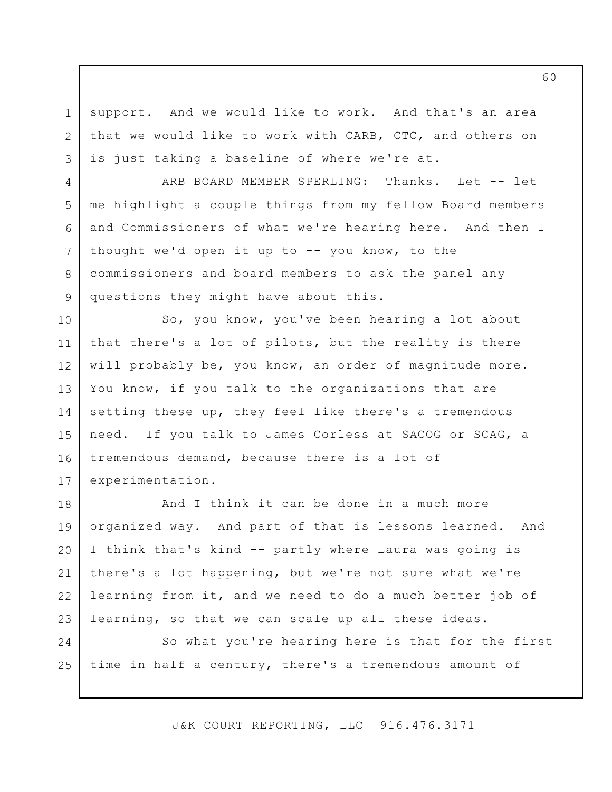support. And we would like to work. And that's an area that we would like to work with CARB, CTC, and others on is just taking a baseline of where we're at.

1

2

3

4

5

6

7

8

9

ARB BOARD MEMBER SPERLING: Thanks. Let -- let me highlight a couple things from my fellow Board members and Commissioners of what we're hearing here. And then I thought we'd open it up to -- you know, to the commissioners and board members to ask the panel any questions they might have about this.

So, you know, you've been hearing a lot about that there's a lot of pilots, but the reality is there will probably be, you know, an order of magnitude more. You know, if you talk to the organizations that are setting these up, they feel like there's a tremendous need. If you talk to James Corless at SACOG or SCAG, a tremendous demand, because there is a lot of experimentation. 10 11 12 13 14 15 16 17

And I think it can be done in a much more organized way. And part of that is lessons learned. And I think that's kind -- partly where Laura was going is there's a lot happening, but we're not sure what we're learning from it, and we need to do a much better job of learning, so that we can scale up all these ideas. 18 19 20 21 22 23

So what you're hearing here is that for the first time in half a century, there's a tremendous amount of 24 25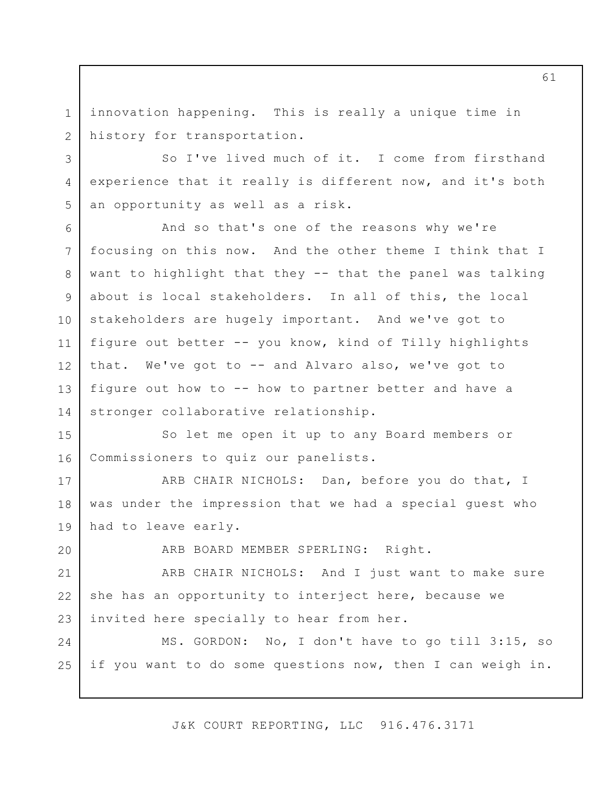innovation happening. This is really a unique time in history for transportation. 1 2

3

4

5

20

So I've lived much of it. I come from firsthand experience that it really is different now, and it's both an opportunity as well as a risk.

And so that's one of the reasons why we're focusing on this now. And the other theme I think that I want to highlight that they -- that the panel was talking about is local stakeholders. In all of this, the local stakeholders are hugely important. And we've got to figure out better -- you know, kind of Tilly highlights that. We've got to -- and Alvaro also, we've got to figure out how to -- how to partner better and have a stronger collaborative relationship. 6 7 8 9 10 11 12 13 14

So let me open it up to any Board members or Commissioners to quiz our panelists. 15 16

ARB CHAIR NICHOLS: Dan, before you do that, I was under the impression that we had a special guest who had to leave early. 17 18 19

ARB BOARD MEMBER SPERLING: Right.

ARB CHAIR NICHOLS: And I just want to make sure she has an opportunity to interject here, because we invited here specially to hear from her. 21 22 23

MS. GORDON: No, I don't have to go till 3:15, so if you want to do some questions now, then I can weigh in. 24 25

J&K COURT REPORTING, LLC 916.476.3171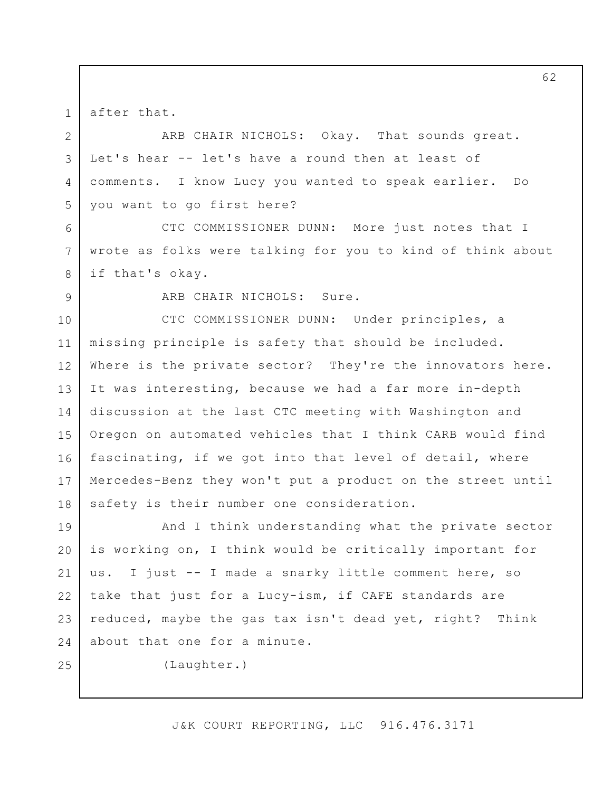after that.

ARB CHAIR NICHOLS: Okay. That sounds great. Let's hear -- let's have a round then at least of comments. I know Lucy you wanted to speak earlier. Do you want to go first here? 2 3 4 5

CTC COMMISSIONER DUNN: More just notes that I wrote as folks were talking for you to kind of think about if that's okay.

9

6

7

8

1

ARB CHAIR NICHOLS: Sure.

CTC COMMISSIONER DUNN: Under principles, a missing principle is safety that should be included. Where is the private sector? They're the innovators here. It was interesting, because we had a far more in-depth discussion at the last CTC meeting with Washington and Oregon on automated vehicles that I think CARB would find fascinating, if we got into that level of detail, where Mercedes-Benz they won't put a product on the street until safety is their number one consideration. 10 11 12 13 14 15 16 17 18

And I think understanding what the private sector is working on, I think would be critically important for us. I just -- I made a snarky little comment here, so take that just for a Lucy-ism, if CAFE standards are reduced, maybe the gas tax isn't dead yet, right? Think about that one for a minute. 19 20 21 22 23 24

25

(Laughter.)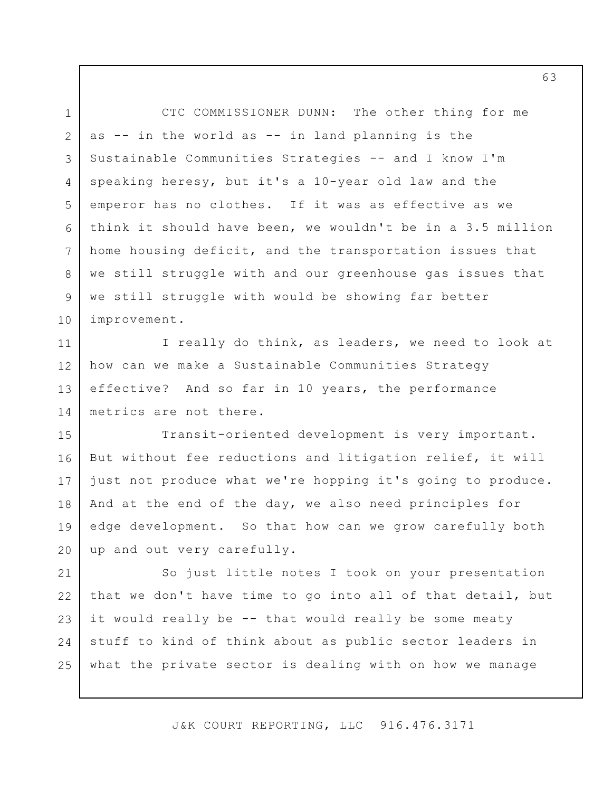CTC COMMISSIONER DUNN: The other thing for me as -- in the world as -- in land planning is the Sustainable Communities Strategies -- and I know I'm speaking heresy, but it's a 10-year old law and the emperor has no clothes. If it was as effective as we think it should have been, we wouldn't be in a 3.5 million home housing deficit, and the transportation issues that we still struggle with and our greenhouse gas issues that we still struggle with would be showing far better improvement. 1 2 3 4 5 6 7 8 9 10

I really do think, as leaders, we need to look at how can we make a Sustainable Communities Strategy effective? And so far in 10 years, the performance metrics are not there. 11 12 13 14

Transit-oriented development is very important. But without fee reductions and litigation relief, it will just not produce what we're hopping it's going to produce. And at the end of the day, we also need principles for edge development. So that how can we grow carefully both up and out very carefully. 15 16 17 18 19 20

So just little notes I took on your presentation that we don't have time to go into all of that detail, but it would really be -- that would really be some meaty stuff to kind of think about as public sector leaders in what the private sector is dealing with on how we manage 21 22 23 24 25

J&K COURT REPORTING, LLC 916.476.3171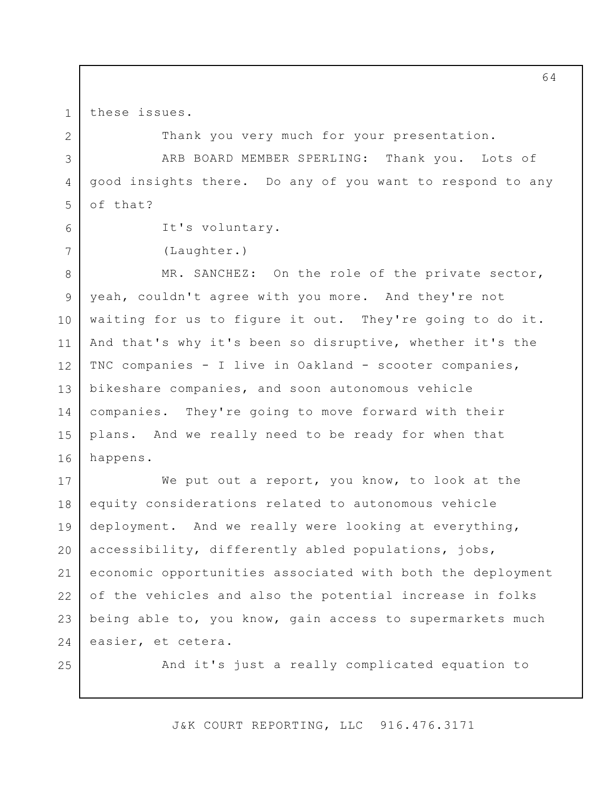these issues.

1

2

3

4

5

6

7

Thank you very much for your presentation.

ARB BOARD MEMBER SPERLING: Thank you. Lots of good insights there. Do any of you want to respond to any of that?

```
It's voluntary.
```
(Laughter.)

MR. SANCHEZ: On the role of the private sector, yeah, couldn't agree with you more. And they're not waiting for us to figure it out. They're going to do it. And that's why it's been so disruptive, whether it's the TNC companies - I live in Oakland - scooter companies, bikeshare companies, and soon autonomous vehicle companies. They're going to move forward with their plans. And we really need to be ready for when that happens. 8 9 10 11 12 13 14 15 16

We put out a report, you know, to look at the equity considerations related to autonomous vehicle deployment. And we really were looking at everything, accessibility, differently abled populations, jobs, economic opportunities associated with both the deployment of the vehicles and also the potential increase in folks being able to, you know, gain access to supermarkets much easier, et cetera. 17 18 19 20 21 22 23 24

25

And it's just a really complicated equation to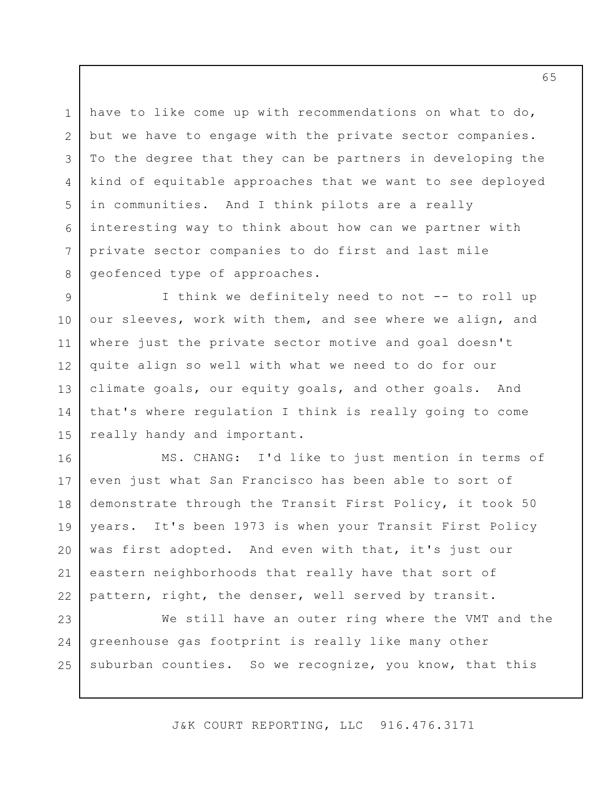have to like come up with recommendations on what to do, but we have to engage with the private sector companies. To the degree that they can be partners in developing the kind of equitable approaches that we want to see deployed in communities. And I think pilots are a really interesting way to think about how can we partner with private sector companies to do first and last mile geofenced type of approaches.

1

2

3

4

5

6

7

8

I think we definitely need to not -- to roll up our sleeves, work with them, and see where we align, and where just the private sector motive and goal doesn't quite align so well with what we need to do for our climate goals, our equity goals, and other goals. And that's where regulation I think is really going to come really handy and important. 9 10 11 12 13 14 15

MS. CHANG: I'd like to just mention in terms of even just what San Francisco has been able to sort of demonstrate through the Transit First Policy, it took 50 years. It's been 1973 is when your Transit First Policy was first adopted. And even with that, it's just our eastern neighborhoods that really have that sort of pattern, right, the denser, well served by transit. 16 17 18 19 20 21 22

We still have an outer ring where the VMT and the greenhouse gas footprint is really like many other suburban counties. So we recognize, you know, that this 23 24 25

J&K COURT REPORTING, LLC 916.476.3171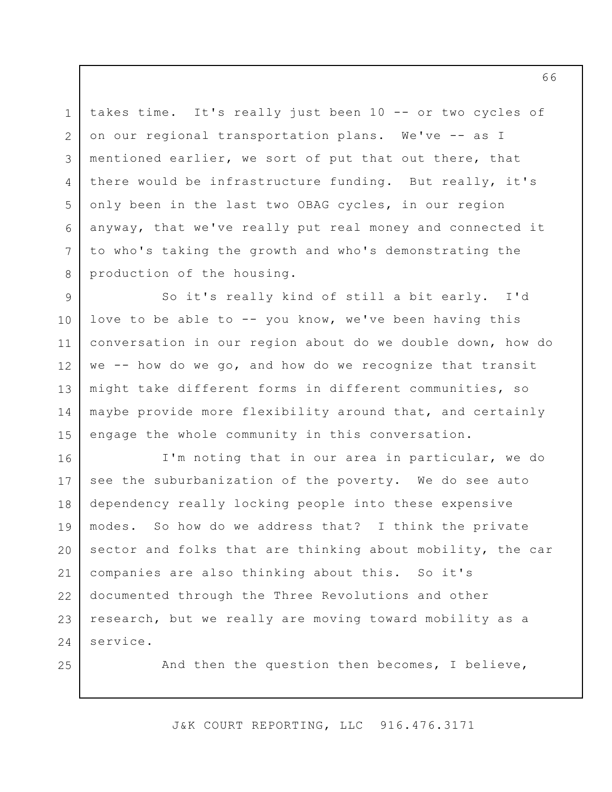takes time. It's really just been 10 -- or two cycles of on our regional transportation plans. We've -- as I mentioned earlier, we sort of put that out there, that there would be infrastructure funding. But really, it's only been in the last two OBAG cycles, in our region anyway, that we've really put real money and connected it to who's taking the growth and who's demonstrating the production of the housing.

So it's really kind of still a bit early. I'd love to be able to -- you know, we've been having this conversation in our region about do we double down, how do we -- how do we go, and how do we recognize that transit might take different forms in different communities, so maybe provide more flexibility around that, and certainly engage the whole community in this conversation. 9 10 11 12 13 14 15

I'm noting that in our area in particular, we do see the suburbanization of the poverty. We do see auto dependency really locking people into these expensive modes. So how do we address that? I think the private sector and folks that are thinking about mobility, the car companies are also thinking about this. So it's documented through the Three Revolutions and other research, but we really are moving toward mobility as a service. 16 17 18 19 20 21 22 23 24

25

1

2

3

4

5

6

7

8

And then the question then becomes, I believe,

J&K COURT REPORTING, LLC 916.476.3171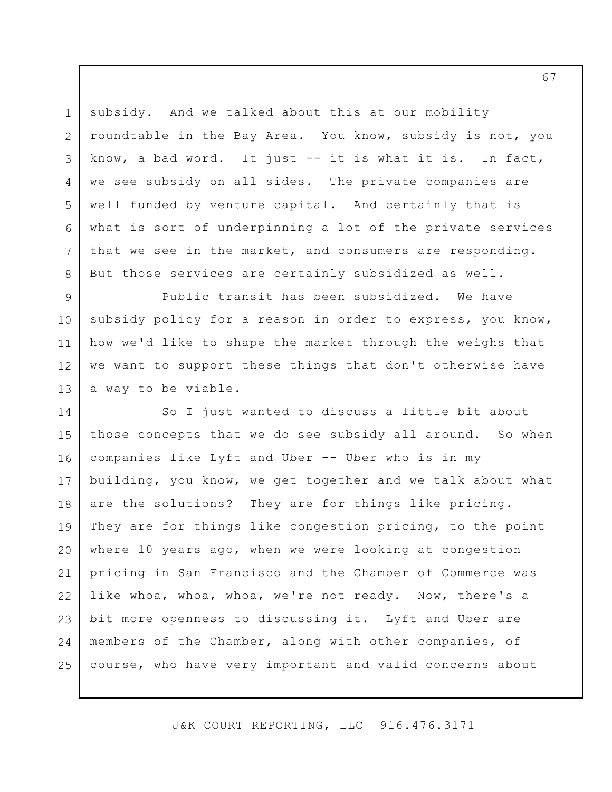subsidy. And we talked about this at our mobility roundtable in the Bay Area. You know, subsidy is not, you know, a bad word. It just -- it is what it is. In fact, we see subsidy on all sides. The private companies are well funded by venture capital. And certainly that is what is sort of underpinning a lot of the private services that we see in the market, and consumers are responding. But those services are certainly subsidized as well. 3

1

2

4

5

6

7

8

Public transit has been subsidized. We have subsidy policy for a reason in order to express, you know, how we'd like to shape the market through the weighs that we want to support these things that don't otherwise have a way to be viable. 9 10 11 12 13

So I just wanted to discuss a little bit about those concepts that we do see subsidy all around. So when companies like Lyft and Uber -- Uber who is in my building, you know, we get together and we talk about what are the solutions? They are for things like pricing. They are for things like congestion pricing, to the point where 10 years ago, when we were looking at congestion pricing in San Francisco and the Chamber of Commerce was like whoa, whoa, whoa, we're not ready. Now, there's a bit more openness to discussing it. Lyft and Uber are members of the Chamber, along with other companies, of course, who have very important and valid concerns about 14 15 16 17 18 19 20 21 22 23 24 25

J&K COURT REPORTING, LLC 916.476.3171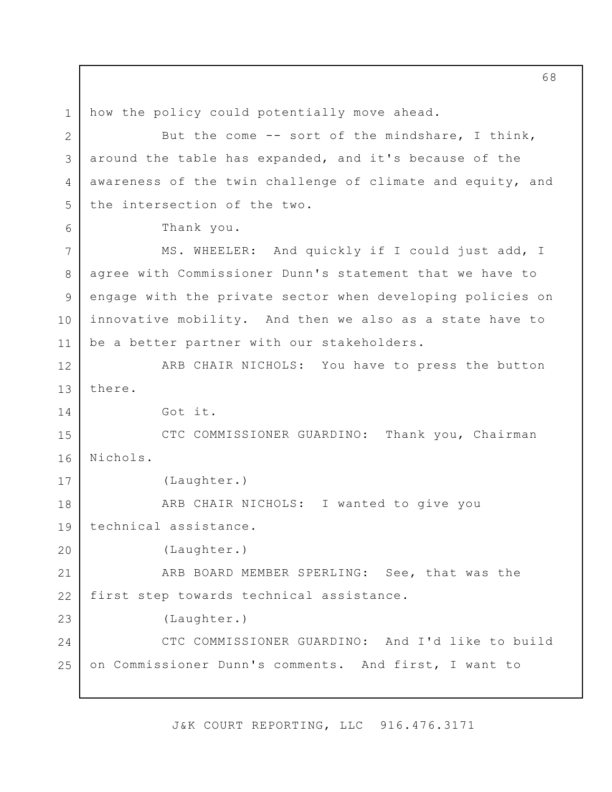how the policy could potentially move ahead. But the come -- sort of the mindshare, I think, around the table has expanded, and it's because of the awareness of the twin challenge of climate and equity, and the intersection of the two. Thank you. MS. WHEELER: And quickly if I could just add, I agree with Commissioner Dunn's statement that we have to engage with the private sector when developing policies on innovative mobility. And then we also as a state have to be a better partner with our stakeholders. ARB CHAIR NICHOLS: You have to press the button there. Got it. CTC COMMISSIONER GUARDINO: Thank you, Chairman Nichols. (Laughter.) ARB CHAIR NICHOLS: I wanted to give you technical assistance. (Laughter.) ARB BOARD MEMBER SPERLING: See, that was the first step towards technical assistance. (Laughter.) CTC COMMISSIONER GUARDINO: And I'd like to build on Commissioner Dunn's comments. And first, I want to 1 2 3 4 5 6 7 8 9 10 11 12 13 14 15 16 17 18 19 20 21 22 23 24 25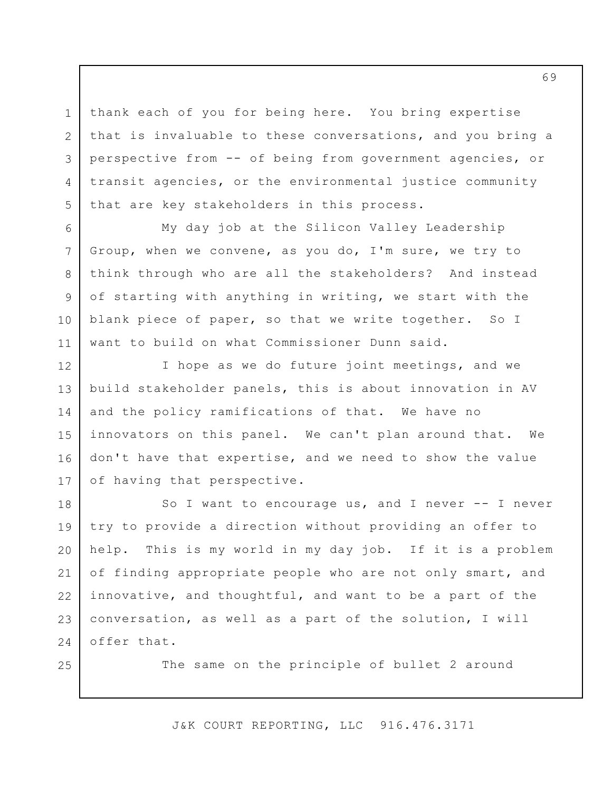thank each of you for being here. You bring expertise that is invaluable to these conversations, and you bring a perspective from -- of being from government agencies, or transit agencies, or the environmental justice community that are key stakeholders in this process.

My day job at the Silicon Valley Leadership Group, when we convene, as you do, I'm sure, we try to think through who are all the stakeholders? And instead of starting with anything in writing, we start with the blank piece of paper, so that we write together. So I want to build on what Commissioner Dunn said.

I hope as we do future joint meetings, and we build stakeholder panels, this is about innovation in AV and the policy ramifications of that. We have no innovators on this panel. We can't plan around that. We don't have that expertise, and we need to show the value of having that perspective. 12 13 14 15 16 17

So I want to encourage us, and I never -- I never try to provide a direction without providing an offer to help. This is my world in my day job. If it is a problem of finding appropriate people who are not only smart, and innovative, and thoughtful, and want to be a part of the conversation, as well as a part of the solution, I will offer that. 18 19 20 21 22 23 24

25

1

2

3

4

5

6

7

8

9

10

11

The same on the principle of bullet 2 around

J&K COURT REPORTING, LLC 916.476.3171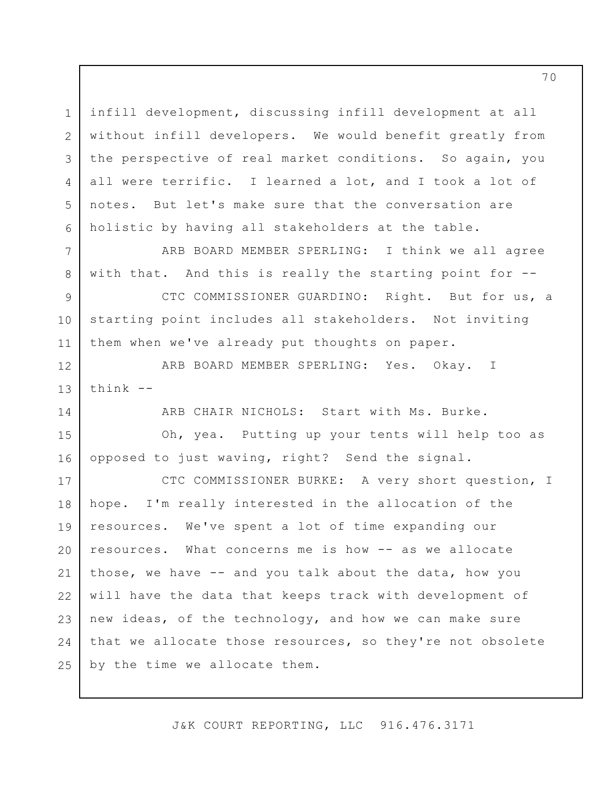infill development, discussing infill development at all without infill developers. We would benefit greatly from the perspective of real market conditions. So again, you all were terrific. I learned a lot, and I took a lot of notes. But let's make sure that the conversation are holistic by having all stakeholders at the table. 1 2 3 4 5 6

ARB BOARD MEMBER SPERLING: I think we all agree with that. And this is really the starting point for --

CTC COMMISSIONER GUARDINO: Right. But for us, a starting point includes all stakeholders. Not inviting them when we've already put thoughts on paper. 9 10 11

ARB BOARD MEMBER SPERLING: Yes. Okay. I think -- 12 13

7

8

14

ARB CHAIR NICHOLS: Start with Ms. Burke.

Oh, yea. Putting up your tents will help too as opposed to just waving, right? Send the signal. 15 16

CTC COMMISSIONER BURKE: A very short question, I hope. I'm really interested in the allocation of the resources. We've spent a lot of time expanding our resources. What concerns me is how -- as we allocate those, we have -- and you talk about the data, how you will have the data that keeps track with development of new ideas, of the technology, and how we can make sure that we allocate those resources, so they're not obsolete by the time we allocate them. 17 18 19 20 21 22 23 24 25

J&K COURT REPORTING, LLC 916.476.3171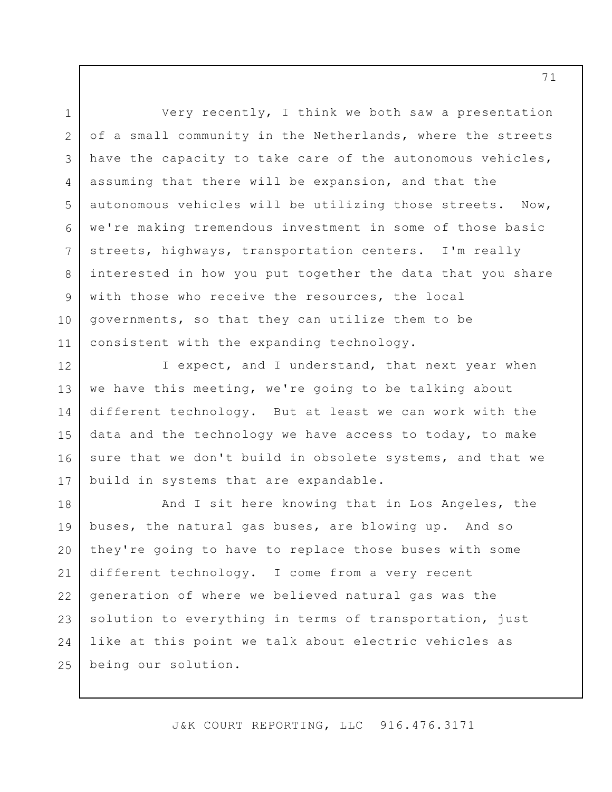Very recently, I think we both saw a presentation of a small community in the Netherlands, where the streets have the capacity to take care of the autonomous vehicles, assuming that there will be expansion, and that the autonomous vehicles will be utilizing those streets. Now, we're making tremendous investment in some of those basic streets, highways, transportation centers. I'm really interested in how you put together the data that you share with those who receive the resources, the local governments, so that they can utilize them to be consistent with the expanding technology. 1 2 3 4 5 6 7 8 9 10 11

I expect, and I understand, that next year when we have this meeting, we're going to be talking about different technology. But at least we can work with the data and the technology we have access to today, to make sure that we don't build in obsolete systems, and that we build in systems that are expandable. 12 13 14 15 16 17

And I sit here knowing that in Los Angeles, the buses, the natural gas buses, are blowing up. And so they're going to have to replace those buses with some different technology. I come from a very recent generation of where we believed natural gas was the solution to everything in terms of transportation, just like at this point we talk about electric vehicles as being our solution. 18 19 20 21 22 23 24 25

J&K COURT REPORTING, LLC 916.476.3171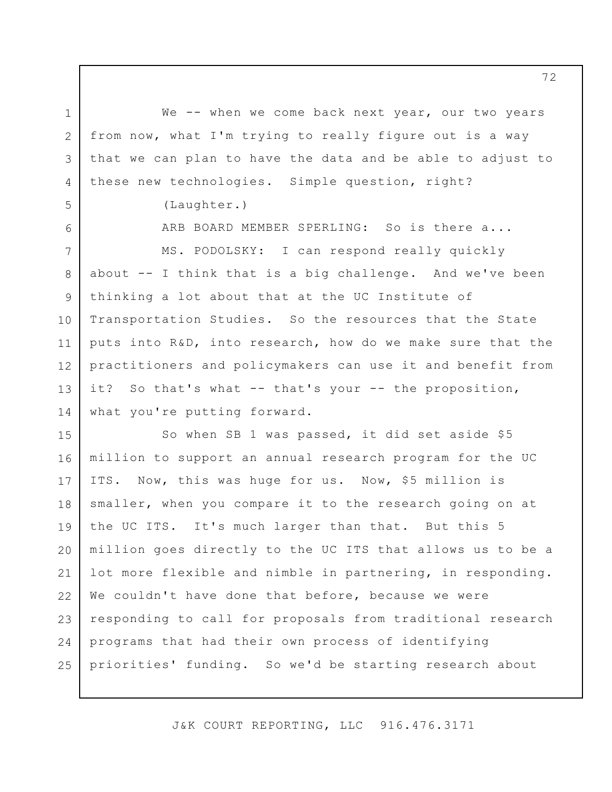We -- when we come back next year, our two years from now, what I'm trying to really figure out is a way that we can plan to have the data and be able to adjust to these new technologies. Simple question, right?

(Laughter.)

1

2

3

4

5

6

7

8

9

10

11

12

13

14

ARB BOARD MEMBER SPERLING: So is there a...

MS. PODOLSKY: I can respond really quickly about -- I think that is a big challenge. And we've been thinking a lot about that at the UC Institute of Transportation Studies. So the resources that the State puts into R&D, into research, how do we make sure that the practitioners and policymakers can use it and benefit from it? So that's what -- that's your -- the proposition, what you're putting forward.

So when SB 1 was passed, it did set aside \$5 million to support an annual research program for the UC ITS. Now, this was huge for us. Now, \$5 million is smaller, when you compare it to the research going on at the UC ITS. It's much larger than that. But this 5 million goes directly to the UC ITS that allows us to be a lot more flexible and nimble in partnering, in responding. We couldn't have done that before, because we were responding to call for proposals from traditional research programs that had their own process of identifying priorities' funding. So we'd be starting research about 15 16 17 18 19 20 21 22 23 24 25

J&K COURT REPORTING, LLC 916.476.3171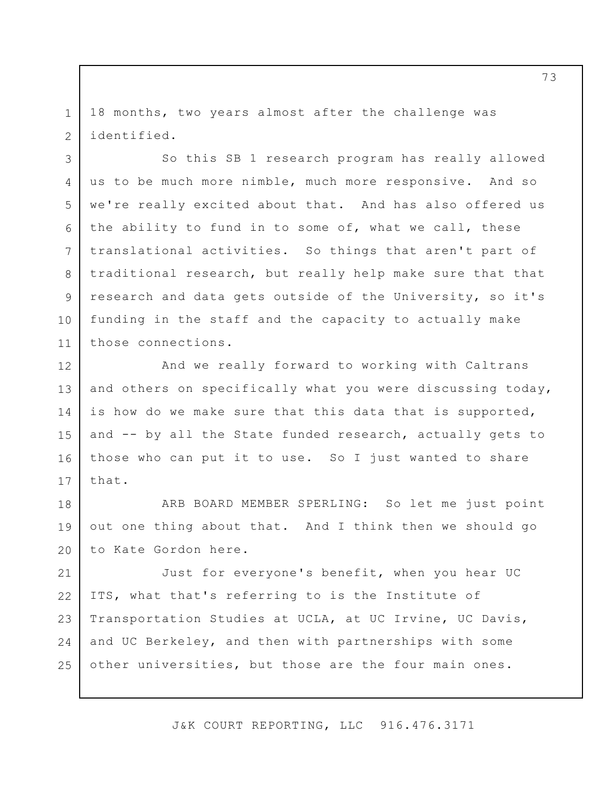18 months, two years almost after the challenge was identified.

1

2

3

4

5

6

7

8

9

10

11

So this SB 1 research program has really allowed us to be much more nimble, much more responsive. And so we're really excited about that. And has also offered us the ability to fund in to some of, what we call, these translational activities. So things that aren't part of traditional research, but really help make sure that that research and data gets outside of the University, so it's funding in the staff and the capacity to actually make those connections.

And we really forward to working with Caltrans and others on specifically what you were discussing today, is how do we make sure that this data that is supported, and -- by all the State funded research, actually gets to those who can put it to use. So I just wanted to share that. 12 13 14 15 16 17

ARB BOARD MEMBER SPERLING: So let me just point out one thing about that. And I think then we should go to Kate Gordon here. 18 19 20

Just for everyone's benefit, when you hear UC ITS, what that's referring to is the Institute of Transportation Studies at UCLA, at UC Irvine, UC Davis, and UC Berkeley, and then with partnerships with some other universities, but those are the four main ones. 21 22 23 24 25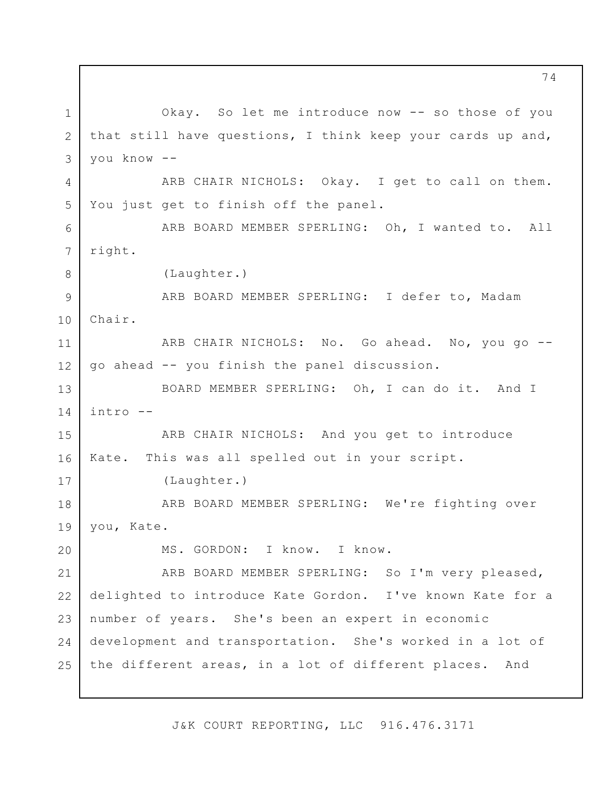Okay. So let me introduce now -- so those of you that still have questions, I think keep your cards up and, you know -- ARB CHAIR NICHOLS: Okay. I get to call on them. You just get to finish off the panel. ARB BOARD MEMBER SPERLING: Oh, I wanted to. All right. (Laughter.) ARB BOARD MEMBER SPERLING: I defer to, Madam Chair. ARB CHAIR NICHOLS: No. Go ahead. No, you go - go ahead -- you finish the panel discussion. BOARD MEMBER SPERLING: Oh, I can do it. And I intro -- ARB CHAIR NICHOLS: And you get to introduce Kate. This was all spelled out in your script. (Laughter.) ARB BOARD MEMBER SPERLING: We're fighting over you, Kate. MS. GORDON: I know. I know. ARB BOARD MEMBER SPERLING: So I'm very pleased, delighted to introduce Kate Gordon. I've known Kate for a number of years. She's been an expert in economic development and transportation. She's worked in a lot of the different areas, in a lot of different places. And 1 2 3 4 5 6 7 8 9 10 11 12 13 14 15 16 17 18 19 20 21 22 23 24 25

J&K COURT REPORTING, LLC 916.476.3171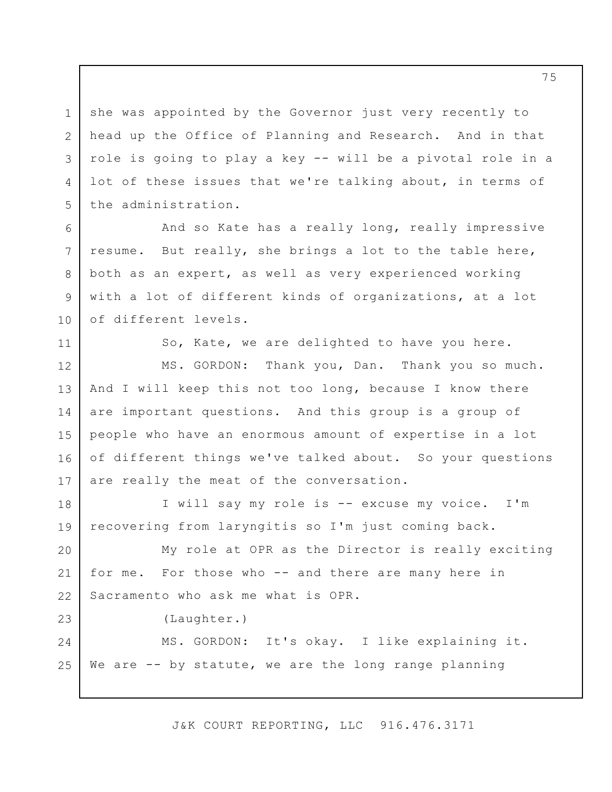she was appointed by the Governor just very recently to head up the Office of Planning and Research. And in that role is going to play a key -- will be a pivotal role in a lot of these issues that we're talking about, in terms of the administration. 1 2 3 4 5

And so Kate has a really long, really impressive resume. But really, she brings a lot to the table here, both as an expert, as well as very experienced working with a lot of different kinds of organizations, at a lot of different levels.

So, Kate, we are delighted to have you here.

MS. GORDON: Thank you, Dan. Thank you so much. And I will keep this not too long, because I know there are important questions. And this group is a group of people who have an enormous amount of expertise in a lot of different things we've talked about. So your questions are really the meat of the conversation. 12 13 14 15 16 17

I will say my role is -- excuse my voice. I'm recovering from laryngitis so I'm just coming back. 18 19

My role at OPR as the Director is really exciting for me. For those who -- and there are many here in Sacramento who ask me what is OPR. 20 21 22

(Laughter.)

6

7

8

9

10

11

23

MS. GORDON: It's okay. I like explaining it. We are -- by statute, we are the long range planning 24 25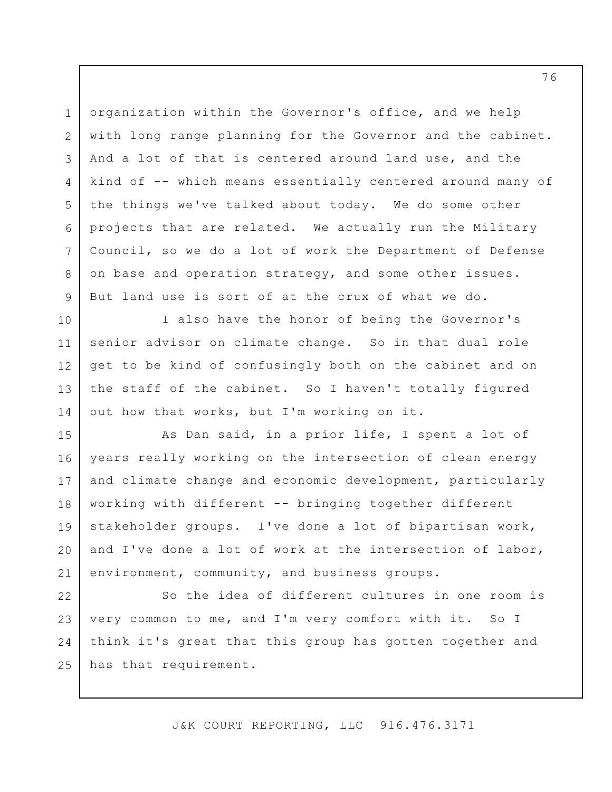organization within the Governor's office, and we help with long range planning for the Governor and the cabinet. And a lot of that is centered around land use, and the kind of -- which means essentially centered around many of the things we've talked about today. We do some other projects that are related. We actually run the Military Council, so we do a lot of work the Department of Defense on base and operation strategy, and some other issues. But land use is sort of at the crux of what we do. 1 2 3 4 5 6 7 8 9

I also have the honor of being the Governor's senior advisor on climate change. So in that dual role get to be kind of confusingly both on the cabinet and on the staff of the cabinet. So I haven't totally figured out how that works, but I'm working on it.

10

11

12

13

14

As Dan said, in a prior life, I spent a lot of years really working on the intersection of clean energy and climate change and economic development, particularly working with different -- bringing together different stakeholder groups. I've done a lot of bipartisan work, and I've done a lot of work at the intersection of labor, environment, community, and business groups. 15 16 17 18 19 20 21

So the idea of different cultures in one room is very common to me, and I'm very comfort with it. So I think it's great that this group has gotten together and has that requirement. 22 23 24 25

J&K COURT REPORTING, LLC 916.476.3171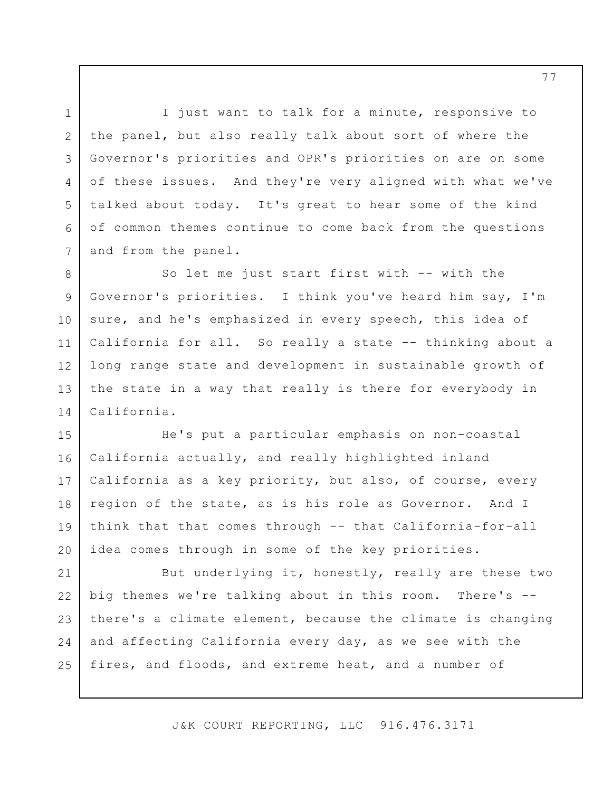I just want to talk for a minute, responsive to the panel, but also really talk about sort of where the Governor's priorities and OPR's priorities on are on some of these issues. And they're very aligned with what we've talked about today. It's great to hear some of the kind of common themes continue to come back from the questions and from the panel.

1

2

3

4

5

6

7

So let me just start first with -- with the Governor's priorities. I think you've heard him say, I'm sure, and he's emphasized in every speech, this idea of California for all. So really a state -- thinking about a long range state and development in sustainable growth of the state in a way that really is there for everybody in California. 8 9 10 11 12 13 14

He's put a particular emphasis on non-coastal California actually, and really highlighted inland California as a key priority, but also, of course, every region of the state, as is his role as Governor. And I think that that comes through -- that California-for-all idea comes through in some of the key priorities. 15 16 17 18 19 20

But underlying it, honestly, really are these two big themes we're talking about in this room. There's - there's a climate element, because the climate is changing and affecting California every day, as we see with the fires, and floods, and extreme heat, and a number of 21 22 23 24 25

J&K COURT REPORTING, LLC 916.476.3171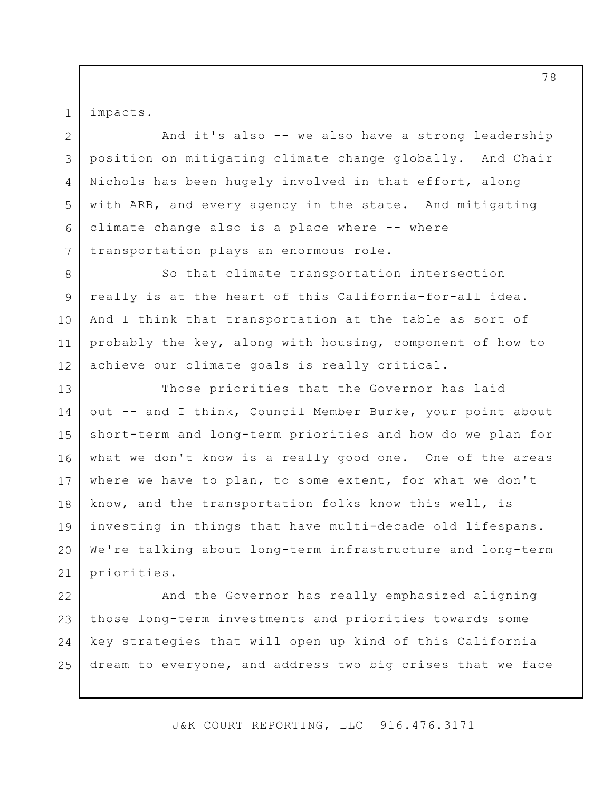impacts.

1

2

4

5

7

And it's also -- we also have a strong leadership position on mitigating climate change globally. And Chair Nichols has been hugely involved in that effort, along with ARB, and every agency in the state. And mitigating climate change also is a place where -- where transportation plays an enormous role. 3 6

So that climate transportation intersection really is at the heart of this California-for-all idea. And I think that transportation at the table as sort of probably the key, along with housing, component of how to achieve our climate goals is really critical. 8 9 10 11 12

Those priorities that the Governor has laid out -- and I think, Council Member Burke, your point about short-term and long-term priorities and how do we plan for what we don't know is a really good one. One of the areas where we have to plan, to some extent, for what we don't know, and the transportation folks know this well, is investing in things that have multi-decade old lifespans. We're talking about long-term infrastructure and long-term priorities. 13 14 15 16 17 18 19 20 21

And the Governor has really emphasized aligning those long-term investments and priorities towards some key strategies that will open up kind of this California dream to everyone, and address two big crises that we face 22 23 24 25

J&K COURT REPORTING, LLC 916.476.3171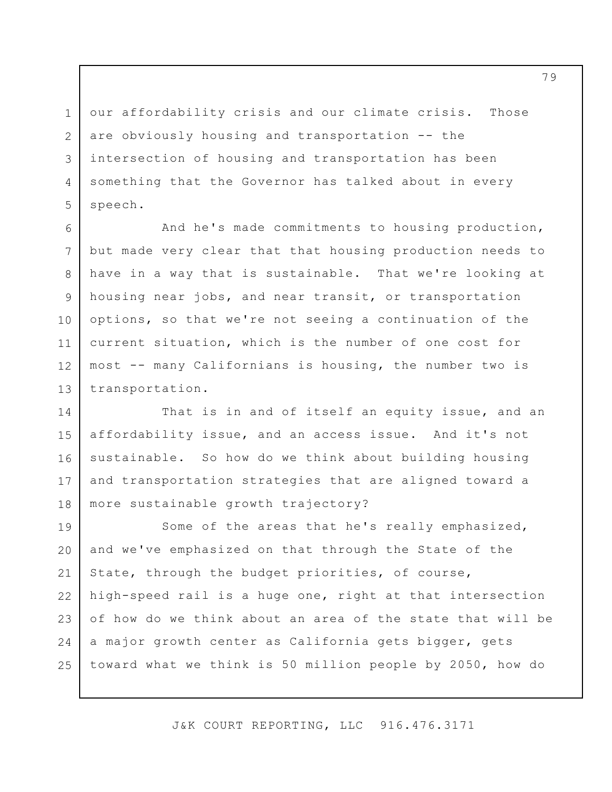our affordability crisis and our climate crisis. Those are obviously housing and transportation -- the intersection of housing and transportation has been something that the Governor has talked about in every speech. 1 2 3 4 5

And he's made commitments to housing production, but made very clear that that housing production needs to have in a way that is sustainable. That we're looking at housing near jobs, and near transit, or transportation options, so that we're not seeing a continuation of the current situation, which is the number of one cost for most -- many Californians is housing, the number two is transportation. 6 7 8 9 10 11 12 13

That is in and of itself an equity issue, and an affordability issue, and an access issue. And it's not sustainable. So how do we think about building housing and transportation strategies that are aligned toward a more sustainable growth trajectory? 14 15 16 17 18

Some of the areas that he's really emphasized, and we've emphasized on that through the State of the State, through the budget priorities, of course, high-speed rail is a huge one, right at that intersection of how do we think about an area of the state that will be a major growth center as California gets bigger, gets toward what we think is 50 million people by 2050, how do 19 20 21 22 23 24 25

J&K COURT REPORTING, LLC 916.476.3171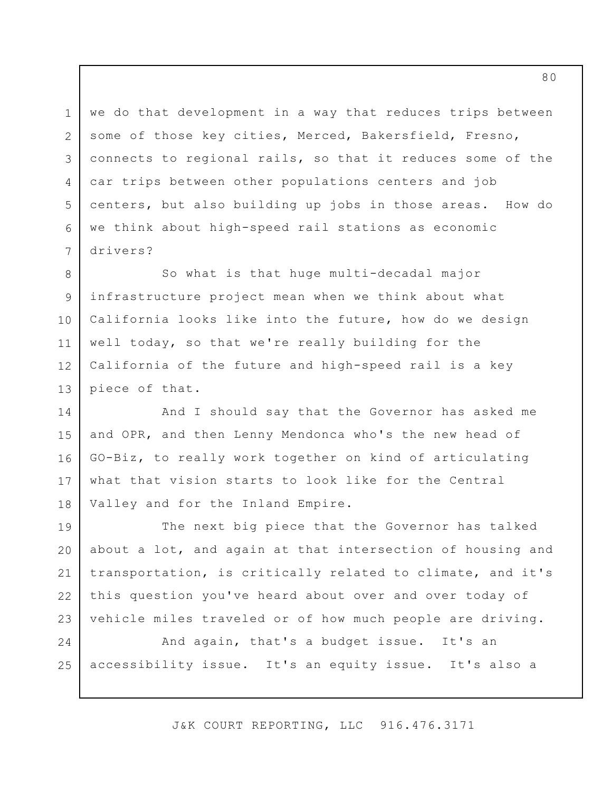we do that development in a way that reduces trips between some of those key cities, Merced, Bakersfield, Fresno, connects to regional rails, so that it reduces some of the car trips between other populations centers and job centers, but also building up jobs in those areas. How do we think about high-speed rail stations as economic drivers? 3

1

2

4

5

6

7

So what is that huge multi-decadal major infrastructure project mean when we think about what California looks like into the future, how do we design well today, so that we're really building for the California of the future and high-speed rail is a key piece of that. 8 9 10 11 12 13

And I should say that the Governor has asked me and OPR, and then Lenny Mendonca who's the new head of GO-Biz, to really work together on kind of articulating what that vision starts to look like for the Central Valley and for the Inland Empire. 14 15 16 17 18

The next big piece that the Governor has talked about a lot, and again at that intersection of housing and transportation, is critically related to climate, and it's this question you've heard about over and over today of vehicle miles traveled or of how much people are driving. 19 20 21 22 23

And again, that's a budget issue. It's an accessibility issue. It's an equity issue. It's also a 24 25

J&K COURT REPORTING, LLC 916.476.3171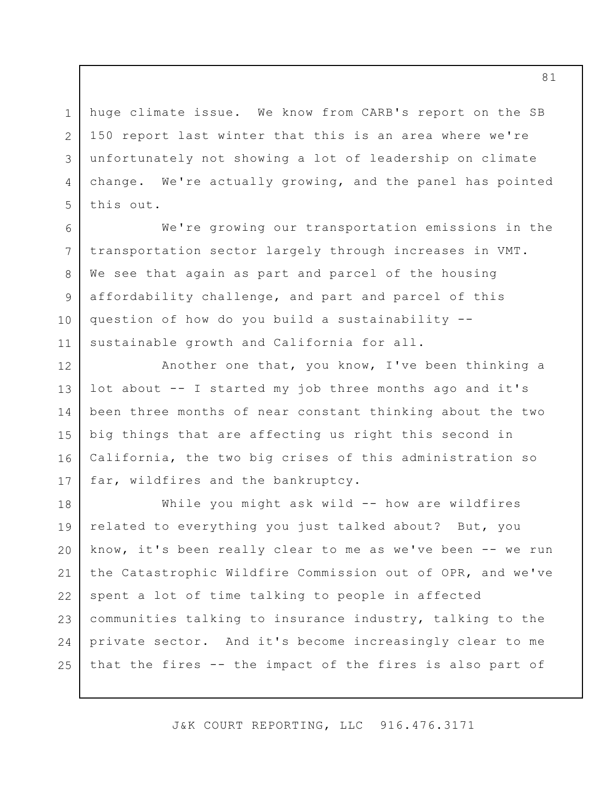huge climate issue. We know from CARB's report on the SB 150 report last winter that this is an area where we're unfortunately not showing a lot of leadership on climate change. We're actually growing, and the panel has pointed this out.

1

2

3

4

5

6

7

8

9

10

11

12

13

14

15

16

17

We're growing our transportation emissions in the transportation sector largely through increases in VMT. We see that again as part and parcel of the housing affordability challenge, and part and parcel of this question of how do you build a sustainability - sustainable growth and California for all.

Another one that, you know, I've been thinking a lot about -- I started my job three months ago and it's been three months of near constant thinking about the two big things that are affecting us right this second in California, the two big crises of this administration so far, wildfires and the bankruptcy.

While you might ask wild -- how are wildfires related to everything you just talked about? But, you know, it's been really clear to me as we've been -- we run the Catastrophic Wildfire Commission out of OPR, and we've spent a lot of time talking to people in affected communities talking to insurance industry, talking to the private sector. And it's become increasingly clear to me that the fires -- the impact of the fires is also part of 18 19 20 21 22 23 24 25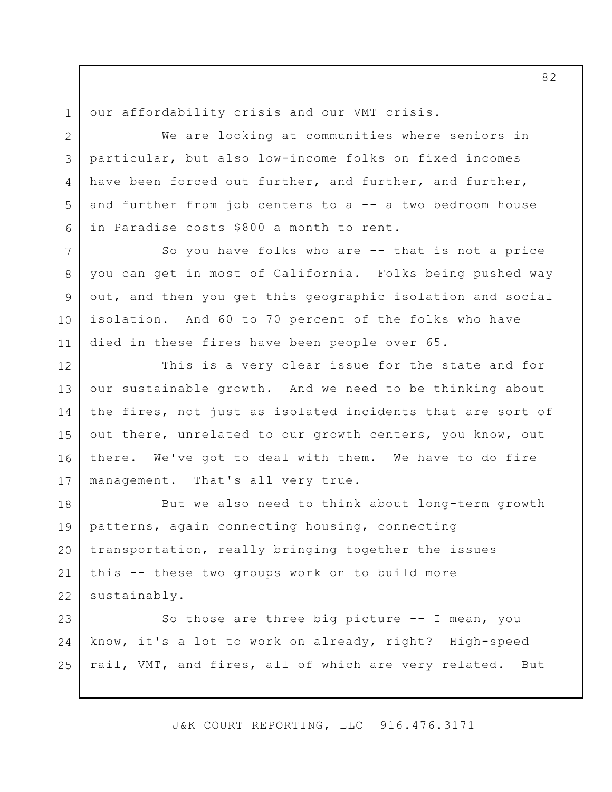1 2

3

4

5

6

our affordability crisis and our VMT crisis.

We are looking at communities where seniors in particular, but also low-income folks on fixed incomes have been forced out further, and further, and further, and further from job centers to a -- a two bedroom house in Paradise costs \$800 a month to rent.

So you have folks who are -- that is not a price you can get in most of California. Folks being pushed way out, and then you get this geographic isolation and social isolation. And 60 to 70 percent of the folks who have died in these fires have been people over 65. 7 8 9 10 11

This is a very clear issue for the state and for our sustainable growth. And we need to be thinking about the fires, not just as isolated incidents that are sort of out there, unrelated to our growth centers, you know, out there. We've got to deal with them. We have to do fire management. That's all very true. 12 13 14 15 16 17

But we also need to think about long-term growth patterns, again connecting housing, connecting transportation, really bringing together the issues this -- these two groups work on to build more sustainably. 18 19 20 21 22

So those are three big picture -- I mean, you know, it's a lot to work on already, right? High-speed rail, VMT, and fires, all of which are very related. But 23 24 25

J&K COURT REPORTING, LLC 916.476.3171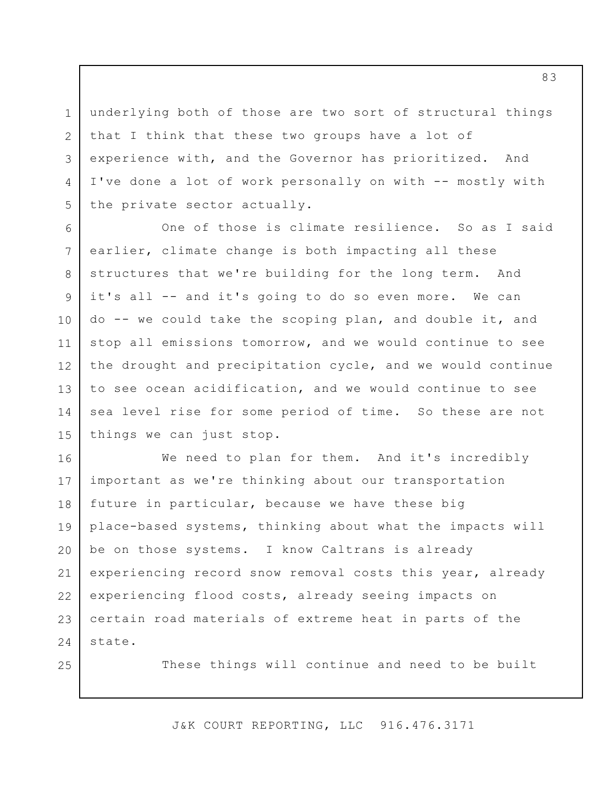underlying both of those are two sort of structural things that I think that these two groups have a lot of experience with, and the Governor has prioritized. And I've done a lot of work personally on with -- mostly with the private sector actually. 3

1

2

4

5

25

One of those is climate resilience. So as I said earlier, climate change is both impacting all these structures that we're building for the long term. And it's all -- and it's going to do so even more. We can do -- we could take the scoping plan, and double it, and stop all emissions tomorrow, and we would continue to see the drought and precipitation cycle, and we would continue to see ocean acidification, and we would continue to see sea level rise for some period of time. So these are not things we can just stop. 6 7 8 9 10 11 12 13 14 15

We need to plan for them. And it's incredibly important as we're thinking about our transportation future in particular, because we have these big place-based systems, thinking about what the impacts will be on those systems. I know Caltrans is already experiencing record snow removal costs this year, already experiencing flood costs, already seeing impacts on certain road materials of extreme heat in parts of the state. 16 17 18 19 20 21 22 23 24

These things will continue and need to be built

J&K COURT REPORTING, LLC 916.476.3171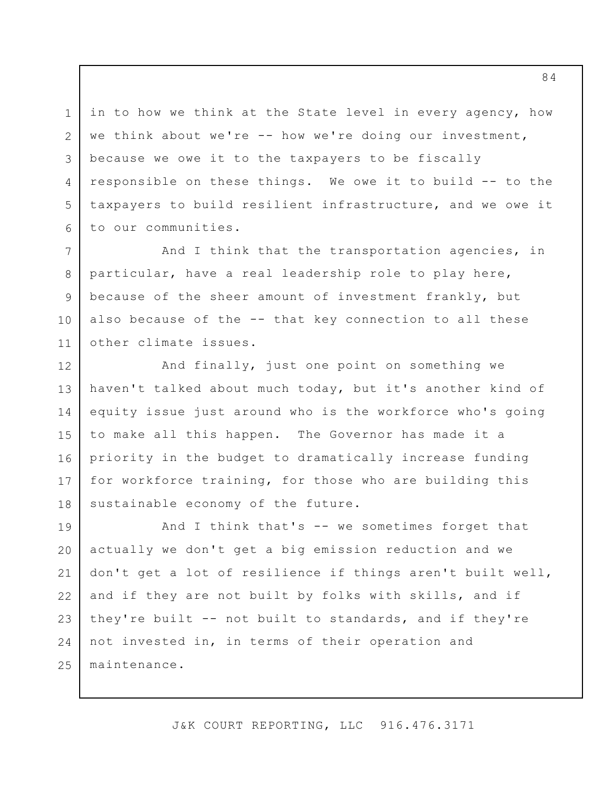in to how we think at the State level in every agency, how we think about we're -- how we're doing our investment, because we owe it to the taxpayers to be fiscally responsible on these things. We owe it to build -- to the taxpayers to build resilient infrastructure, and we owe it to our communities. 3 5 6

1

2

4

And I think that the transportation agencies, in particular, have a real leadership role to play here, because of the sheer amount of investment frankly, but also because of the -- that key connection to all these other climate issues. 7 8 9 10 11

And finally, just one point on something we haven't talked about much today, but it's another kind of equity issue just around who is the workforce who's going to make all this happen. The Governor has made it a priority in the budget to dramatically increase funding for workforce training, for those who are building this sustainable economy of the future. 12 13 14 15 16 17 18

And I think that's -- we sometimes forget that actually we don't get a big emission reduction and we don't get a lot of resilience if things aren't built well, and if they are not built by folks with skills, and if they're built -- not built to standards, and if they're not invested in, in terms of their operation and maintenance. 19 20 21 22 23 24 25

J&K COURT REPORTING, LLC 916.476.3171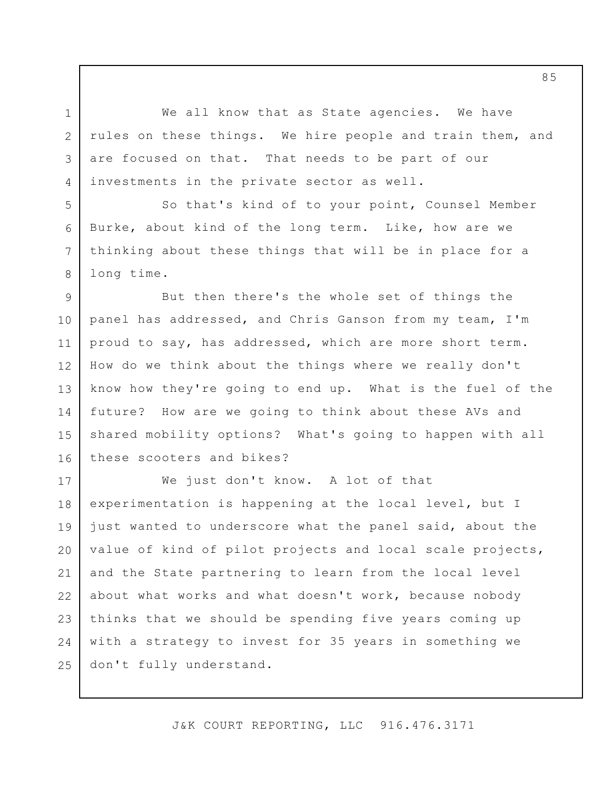We all know that as State agencies. We have rules on these things. We hire people and train them, and are focused on that. That needs to be part of our investments in the private sector as well.

1

2

3

4

5

6

7

8

So that's kind of to your point, Counsel Member Burke, about kind of the long term. Like, how are we thinking about these things that will be in place for a long time.

But then there's the whole set of things the panel has addressed, and Chris Ganson from my team, I'm proud to say, has addressed, which are more short term. How do we think about the things where we really don't know how they're going to end up. What is the fuel of the future? How are we going to think about these AVs and shared mobility options? What's going to happen with all these scooters and bikes? 9 10 11 12 13 14 15 16

We just don't know. A lot of that experimentation is happening at the local level, but I just wanted to underscore what the panel said, about the value of kind of pilot projects and local scale projects, and the State partnering to learn from the local level about what works and what doesn't work, because nobody thinks that we should be spending five years coming up with a strategy to invest for 35 years in something we don't fully understand. 17 18 19 20 21 22 23 24 25

J&K COURT REPORTING, LLC 916.476.3171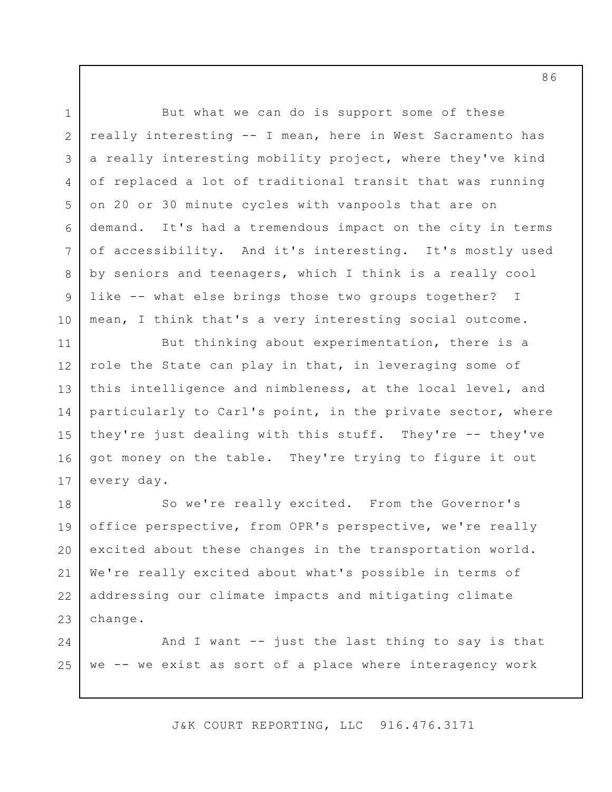But what we can do is support some of these really interesting -- I mean, here in West Sacramento has a really interesting mobility project, where they've kind of replaced a lot of traditional transit that was running on 20 or 30 minute cycles with vanpools that are on demand. It's had a tremendous impact on the city in terms of accessibility. And it's interesting. It's mostly used by seniors and teenagers, which I think is a really cool like -- what else brings those two groups together? I mean, I think that's a very interesting social outcome. But thinking about experimentation, there is a role the State can play in that, in leveraging some of this intelligence and nimbleness, at the local level, and particularly to Carl's point, in the private sector, where they're just dealing with this stuff. They're -- they've got money on the table. They're trying to figure it out every day. So we're really excited. From the Governor's office perspective, from OPR's perspective, we're really excited about these changes in the transportation world. We're really excited about what's possible in terms of addressing our climate impacts and mitigating climate change. And I want -- just the last thing to say is that we -- we exist as sort of a place where interagency work 1 2 3 4 5 6 7 8 9 10 11 12 13 14 15 16 17 18 19 20 21 22 23 24 25

J&K COURT REPORTING, LLC 916.476.3171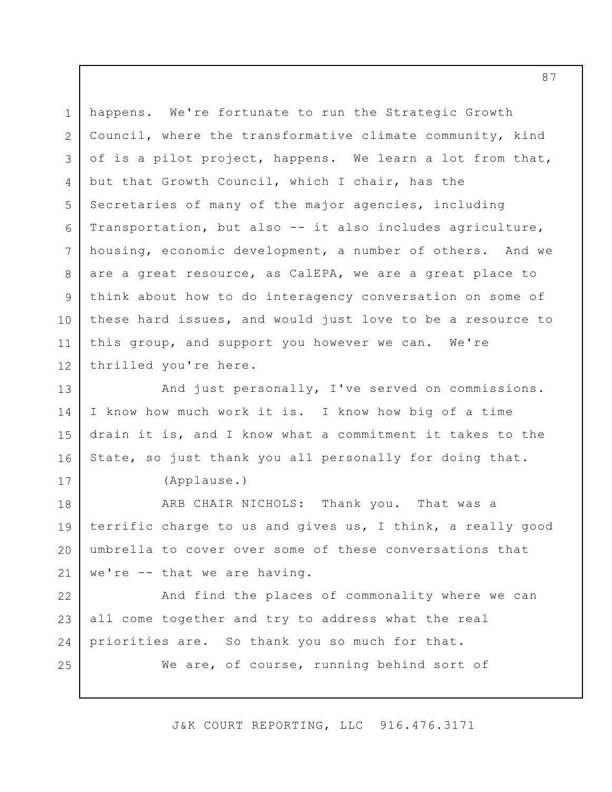happens. We're fortunate to run the Strategic Growth Council, where the transformative climate community, kind of is a pilot project, happens. We learn a lot from that, but that Growth Council, which I chair, has the Secretaries of many of the major agencies, including Transportation, but also -- it also includes agriculture, housing, economic development, a number of others. And we are a great resource, as CalEPA, we are a great place to think about how to do interagency conversation on some of these hard issues, and would just love to be a resource to this group, and support you however we can. We're thrilled you're here. And just personally, I've served on commissions. I know how much work it is. I know how big of a time drain it is, and I know what a commitment it takes to the State, so just thank you all personally for doing that. 1 2 3 4 5 6 7 8 9 10 11 12 13 14 15 16

(Applause.)

17

ARB CHAIR NICHOLS: Thank you. That was a terrific charge to us and gives us, I think, a really good umbrella to cover over some of these conversations that we're -- that we are having. 18 19 20 21

And find the places of commonality where we can all come together and try to address what the real priorities are. So thank you so much for that. We are, of course, running behind sort of 22 23 24 25

J&K COURT REPORTING, LLC 916.476.3171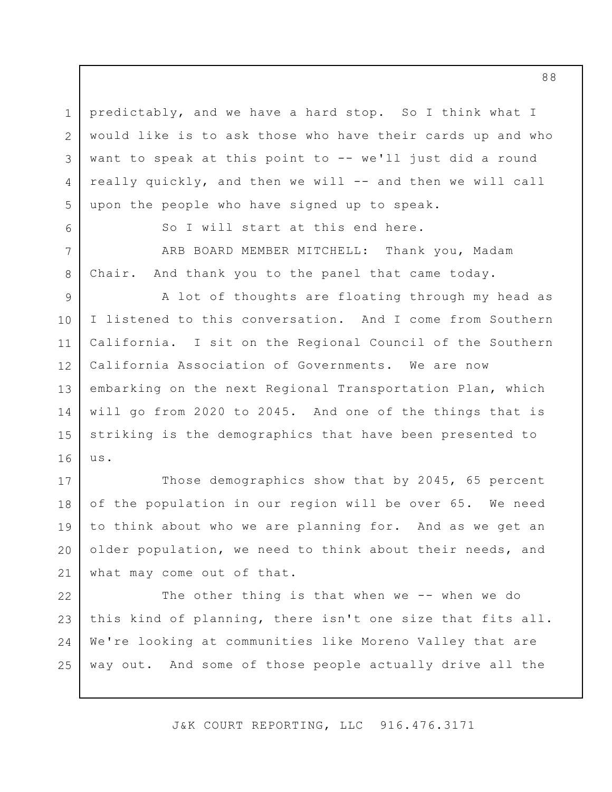predictably, and we have a hard stop. So I think what I would like is to ask those who have their cards up and who want to speak at this point to -- we'll just did a round really quickly, and then we will -- and then we will call upon the people who have signed up to speak.

So I will start at this end here.

1

2

3

4

5

6

7

8

ARB BOARD MEMBER MITCHELL: Thank you, Madam Chair. And thank you to the panel that came today.

A lot of thoughts are floating through my head as I listened to this conversation. And I come from Southern California. I sit on the Regional Council of the Southern California Association of Governments. We are now embarking on the next Regional Transportation Plan, which will go from 2020 to 2045. And one of the things that is striking is the demographics that have been presented to us. 9 10 11 12 13 14 15 16

Those demographics show that by 2045, 65 percent of the population in our region will be over 65. We need to think about who we are planning for. And as we get an older population, we need to think about their needs, and what may come out of that. 17 18 19 20 21

The other thing is that when we -- when we do this kind of planning, there isn't one size that fits all. We're looking at communities like Moreno Valley that are way out. And some of those people actually drive all the 22 23 24 25

J&K COURT REPORTING, LLC 916.476.3171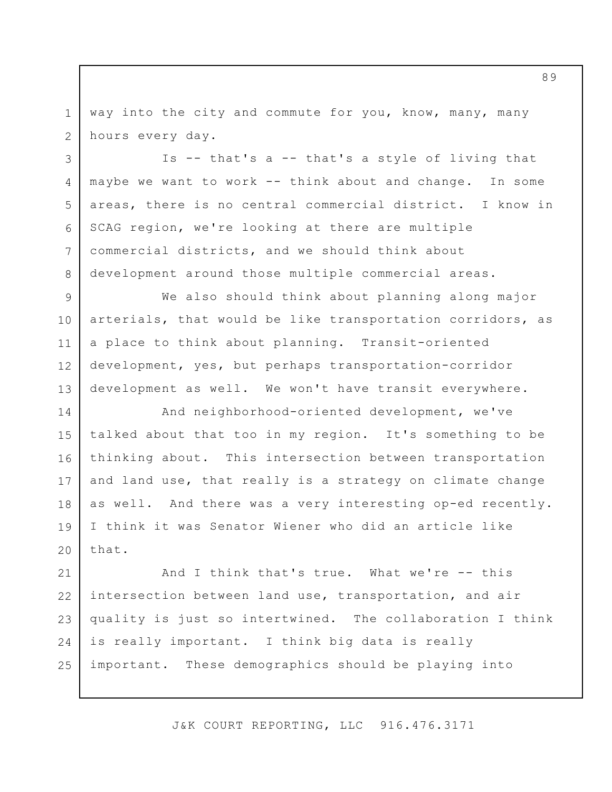way into the city and commute for you, know, many, many hours every day. 1 2

Is -- that's a -- that's a style of living that maybe we want to work -- think about and change. In some areas, there is no central commercial district. I know in SCAG region, we're looking at there are multiple commercial districts, and we should think about development around those multiple commercial areas. 3 4 5 6 7 8

We also should think about planning along major arterials, that would be like transportation corridors, as a place to think about planning. Transit-oriented development, yes, but perhaps transportation-corridor development as well. We won't have transit everywhere. 9 10 11 12 13

And neighborhood-oriented development, we've talked about that too in my region. It's something to be thinking about. This intersection between transportation and land use, that really is a strategy on climate change as well. And there was a very interesting op-ed recently. I think it was Senator Wiener who did an article like that. 14 15 16 17 18 19 20

And I think that's true. What we're -- this intersection between land use, transportation, and air quality is just so intertwined. The collaboration I think is really important. I think big data is really important. These demographics should be playing into 21 22 23 24 25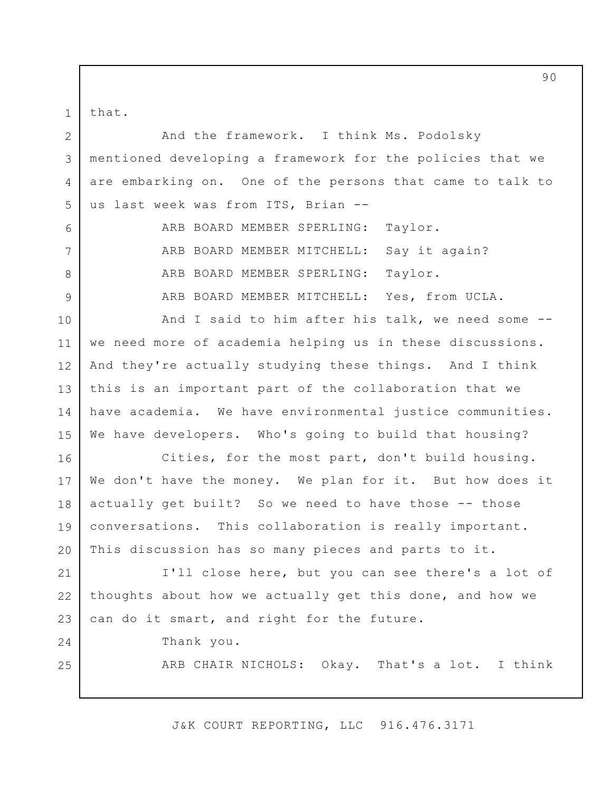that. 1

6

7

8

9

And the framework. I think Ms. Podolsky mentioned developing a framework for the policies that we are embarking on. One of the persons that came to talk to us last week was from ITS, Brian -- 2 3 4 5

> ARB BOARD MEMBER SPERLING: Taylor. ARB BOARD MEMBER MITCHELL: Say it again? ARB BOARD MEMBER SPERLING: Taylor. ARB BOARD MEMBER MITCHELL: Yes, from UCLA.

And I said to him after his talk, we need some - we need more of academia helping us in these discussions. And they're actually studying these things. And I think this is an important part of the collaboration that we have academia. We have environmental justice communities. We have developers. Who's going to build that housing? 10 11 12 13 14 15

Cities, for the most part, don't build housing. We don't have the money. We plan for it. But how does it actually get built? So we need to have those -- those conversations. This collaboration is really important. This discussion has so many pieces and parts to it. 16 17 18 19 20

I'll close here, but you can see there's a lot of thoughts about how we actually get this done, and how we can do it smart, and right for the future. 21 22 23

24

25

Thank you.

ARB CHAIR NICHOLS: Okay. That's a lot. I think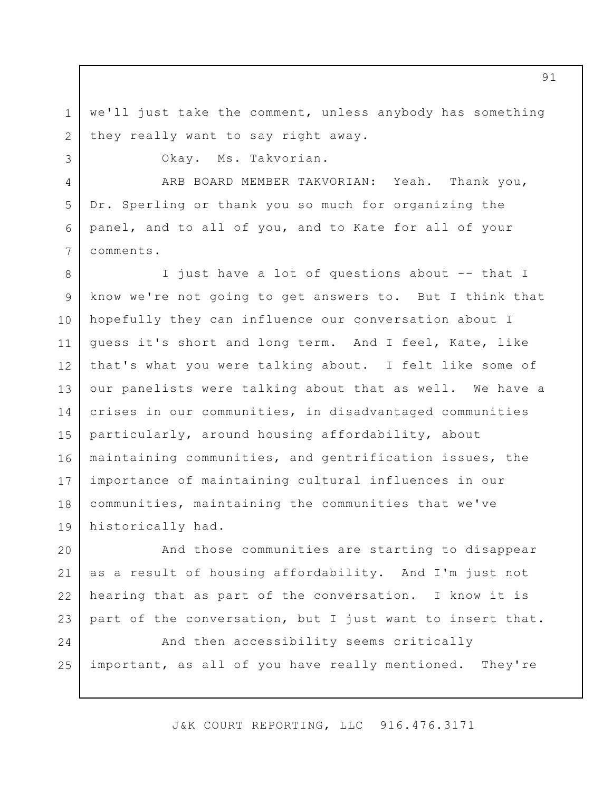we'll just take the comment, unless anybody has something they really want to say right away.

2 3

4

5

6

7

1

Okay. Ms. Takvorian.

ARB BOARD MEMBER TAKVORIAN: Yeah. Thank you, Dr. Sperling or thank you so much for organizing the panel, and to all of you, and to Kate for all of your comments.

I just have a lot of questions about -- that I know we're not going to get answers to. But I think that hopefully they can influence our conversation about I guess it's short and long term. And I feel, Kate, like that's what you were talking about. I felt like some of our panelists were talking about that as well. We have a crises in our communities, in disadvantaged communities particularly, around housing affordability, about maintaining communities, and gentrification issues, the importance of maintaining cultural influences in our communities, maintaining the communities that we've historically had. 8 9 10 11 12 13 14 15 16 17 18 19

And those communities are starting to disappear as a result of housing affordability. And I'm just not hearing that as part of the conversation. I know it is part of the conversation, but I just want to insert that. 20 21 22 23

And then accessibility seems critically important, as all of you have really mentioned. They're 24 25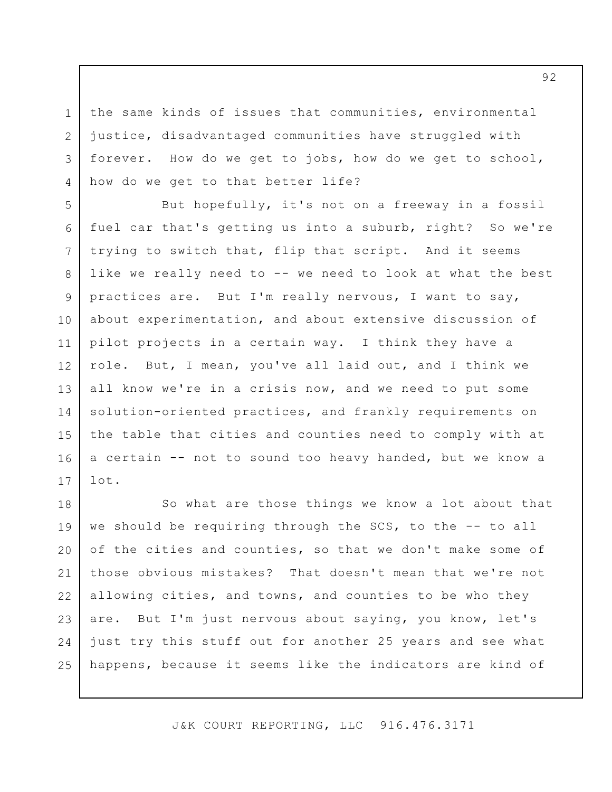the same kinds of issues that communities, environmental justice, disadvantaged communities have struggled with forever. How do we get to jobs, how do we get to school, how do we get to that better life?

1

2

3

4

But hopefully, it's not on a freeway in a fossil fuel car that's getting us into a suburb, right? So we're trying to switch that, flip that script. And it seems like we really need to -- we need to look at what the best practices are. But I'm really nervous, I want to say, about experimentation, and about extensive discussion of pilot projects in a certain way. I think they have a role. But, I mean, you've all laid out, and I think we all know we're in a crisis now, and we need to put some solution-oriented practices, and frankly requirements on the table that cities and counties need to comply with at a certain -- not to sound too heavy handed, but we know a lot. 5 6 7 8 9 10 11 12 13 14 15 16 17

So what are those things we know a lot about that we should be requiring through the SCS, to the -- to all of the cities and counties, so that we don't make some of those obvious mistakes? That doesn't mean that we're not allowing cities, and towns, and counties to be who they are. But I'm just nervous about saying, you know, let's just try this stuff out for another 25 years and see what happens, because it seems like the indicators are kind of 18 19 20 21 22 23 24 25

J&K COURT REPORTING, LLC 916.476.3171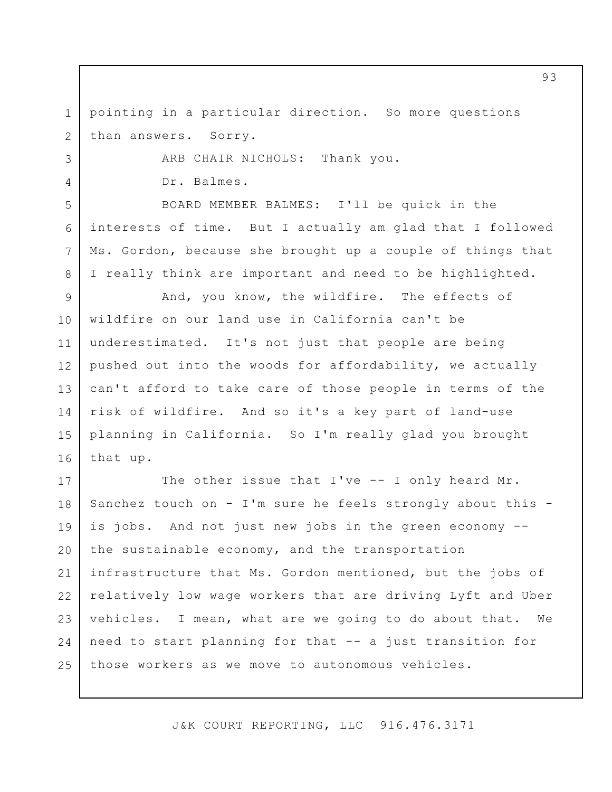pointing in a particular direction. So more questions than answers. Sorry. 1 2

ARB CHAIR NICHOLS: Thank you.

Dr. Balmes.

3

4

5

6

7

8

BOARD MEMBER BALMES: I'll be quick in the interests of time. But I actually am glad that I followed Ms. Gordon, because she brought up a couple of things that I really think are important and need to be highlighted.

And, you know, the wildfire. The effects of wildfire on our land use in California can't be underestimated. It's not just that people are being pushed out into the woods for affordability, we actually can't afford to take care of those people in terms of the risk of wildfire. And so it's a key part of land-use planning in California. So I'm really glad you brought that up. 9 10 11 12 13 14 15 16

The other issue that I've -- I only heard Mr. Sanchez touch on - I'm sure he feels strongly about this is jobs. And not just new jobs in the green economy - the sustainable economy, and the transportation infrastructure that Ms. Gordon mentioned, but the jobs of relatively low wage workers that are driving Lyft and Uber vehicles. I mean, what are we going to do about that. We need to start planning for that -- a just transition for those workers as we move to autonomous vehicles. 17 18 19 20 21 22 23 24 25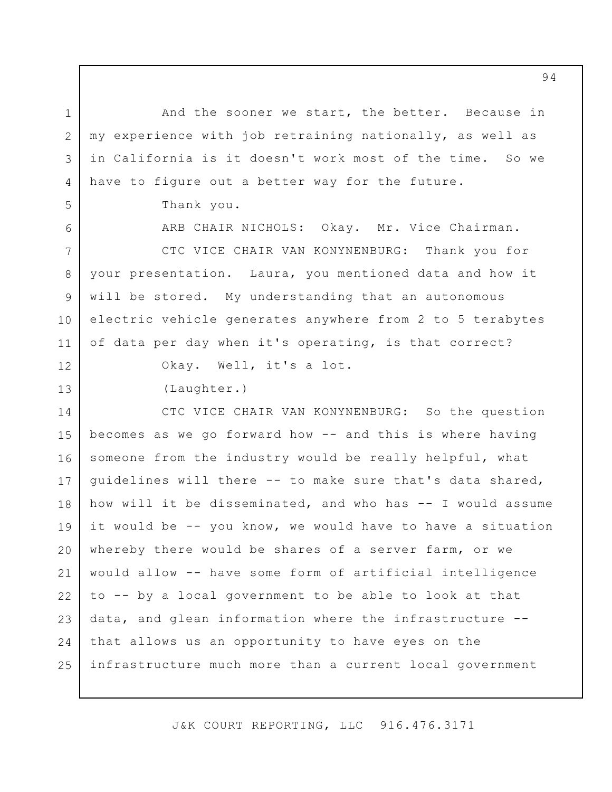And the sooner we start, the better. Because in my experience with job retraining nationally, as well as in California is it doesn't work most of the time. So we have to figure out a better way for the future.

Thank you.

ARB CHAIR NICHOLS: Okay. Mr. Vice Chairman.

CTC VICE CHAIR VAN KONYNENBURG: Thank you for your presentation. Laura, you mentioned data and how it will be stored. My understanding that an autonomous electric vehicle generates anywhere from 2 to 5 terabytes of data per day when it's operating, is that correct? 7 8 9 10 11

12

13

1

2

3

4

5

6

Okay. Well, it's a lot.

(Laughter.)

CTC VICE CHAIR VAN KONYNENBURG: So the question becomes as we go forward how -- and this is where having someone from the industry would be really helpful, what guidelines will there -- to make sure that's data shared, how will it be disseminated, and who has -- I would assume it would be -- you know, we would have to have a situation whereby there would be shares of a server farm, or we would allow -- have some form of artificial intelligence to -- by a local government to be able to look at that data, and glean information where the infrastructure - that allows us an opportunity to have eyes on the infrastructure much more than a current local government 14 15 16 17 18 19 20 21 22 23 24 25

J&K COURT REPORTING, LLC 916.476.3171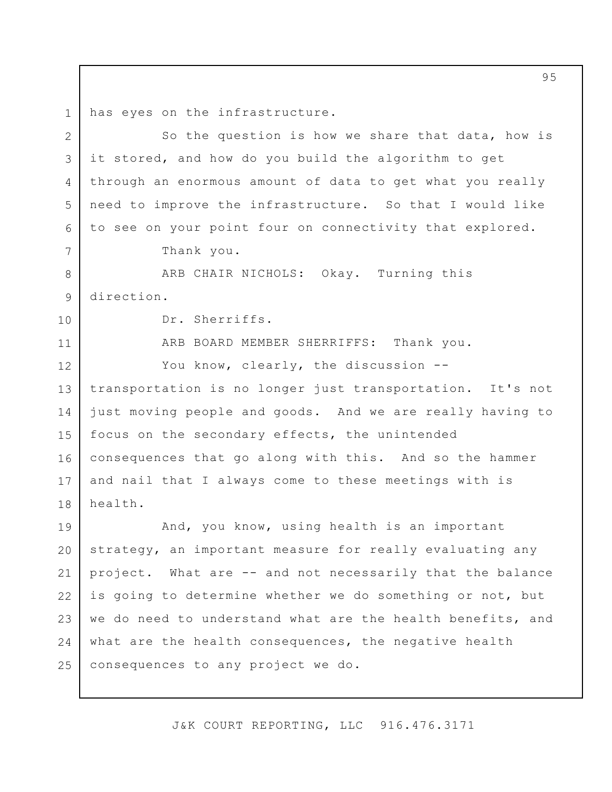has eyes on the infrastructure. 1

So the question is how we share that data, how is it stored, and how do you build the algorithm to get through an enormous amount of data to get what you really need to improve the infrastructure. So that I would like to see on your point four on connectivity that explored. Thank you. ARB CHAIR NICHOLS: Okay. Turning this direction. Dr. Sherriffs. ARB BOARD MEMBER SHERRIFFS: Thank you. You know, clearly, the discussion -transportation is no longer just transportation. It's not just moving people and goods. And we are really having to focus on the secondary effects, the unintended consequences that go along with this. And so the hammer and nail that I always come to these meetings with is health. And, you know, using health is an important strategy, an important measure for really evaluating any project. What are -- and not necessarily that the balance is going to determine whether we do something or not, but we do need to understand what are the health benefits, and what are the health consequences, the negative health consequences to any project we do. 2 3 4 5 6 7 8 9 10 11 12 13 14 15 16 17 18 19 20 21 22 23 24 25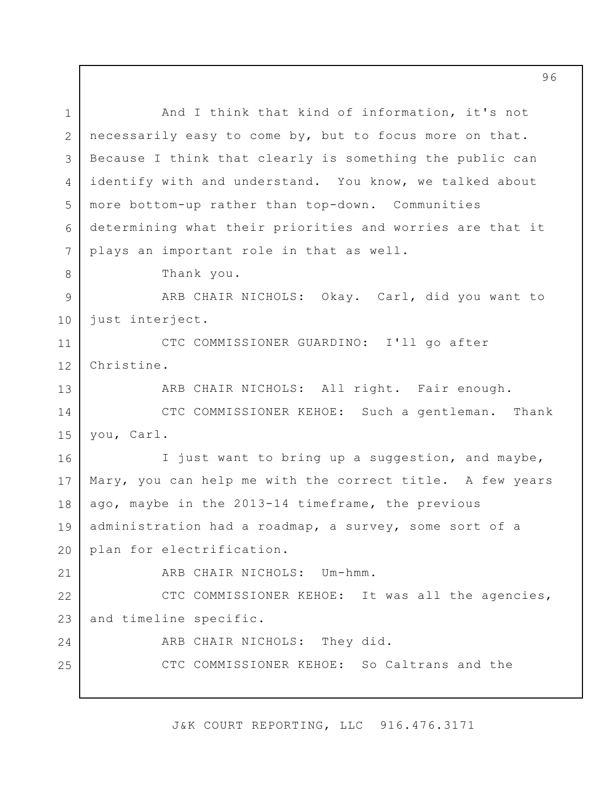And I think that kind of information, it's not necessarily easy to come by, but to focus more on that. Because I think that clearly is something the public can identify with and understand. You know, we talked about more bottom-up rather than top-down. Communities determining what their priorities and worries are that it plays an important role in that as well. Thank you. ARB CHAIR NICHOLS: Okay. Carl, did you want to just interject. CTC COMMISSIONER GUARDINO: I'll go after Christine. ARB CHAIR NICHOLS: All right. Fair enough. CTC COMMISSIONER KEHOE: Such a gentleman. Thank you, Carl. I just want to bring up a suggestion, and maybe, Mary, you can help me with the correct title. A few years ago, maybe in the 2013-14 timeframe, the previous administration had a roadmap, a survey, some sort of a plan for electrification. ARB CHAIR NICHOLS: Um-hmm. CTC COMMISSIONER KEHOE: It was all the agencies, and timeline specific. ARB CHAIR NICHOLS: They did. CTC COMMISSIONER KEHOE: So Caltrans and the 1 2 3 4 5 6 7 8 9 10 11 12 13 14 15 16 17 18 19 20 21 22 23 24 25

J&K COURT REPORTING, LLC 916.476.3171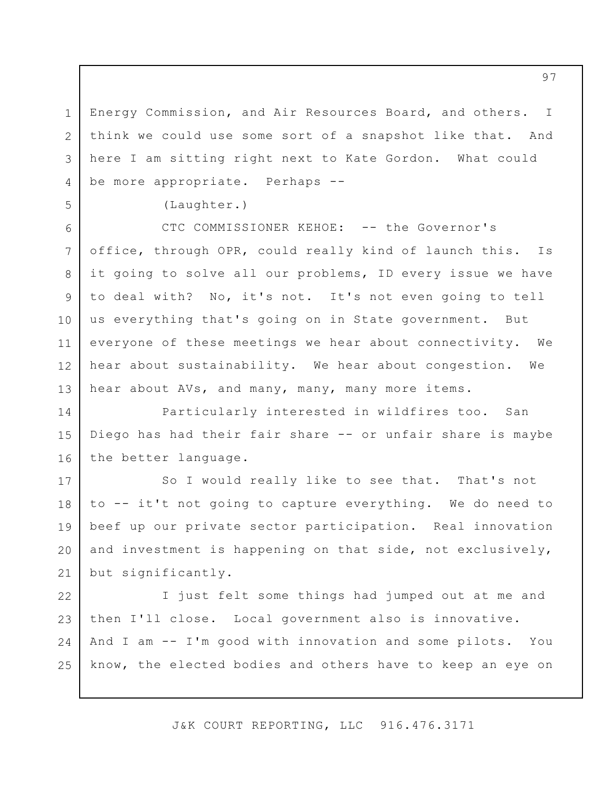Energy Commission, and Air Resources Board, and others. I think we could use some sort of a snapshot like that. And here I am sitting right next to Kate Gordon. What could be more appropriate. Perhaps --

(Laughter.)

1

2

3

4

5

6

7

8

9

10

11

12

13

CTC COMMISSIONER KEHOE: -- the Governor's office, through OPR, could really kind of launch this. Is it going to solve all our problems, ID every issue we have to deal with? No, it's not. It's not even going to tell us everything that's going on in State government. But everyone of these meetings we hear about connectivity. We hear about sustainability. We hear about congestion. We hear about AVs, and many, many, many more items.

Particularly interested in wildfires too. San Diego has had their fair share -- or unfair share is maybe the better language. 14 15 16

So I would really like to see that. That's not to -- it't not going to capture everything. We do need to beef up our private sector participation. Real innovation and investment is happening on that side, not exclusively, but significantly. 17 18 19 20 21

I just felt some things had jumped out at me and then I'll close. Local government also is innovative. And I am -- I'm good with innovation and some pilots. You know, the elected bodies and others have to keep an eye on 22 23 24 25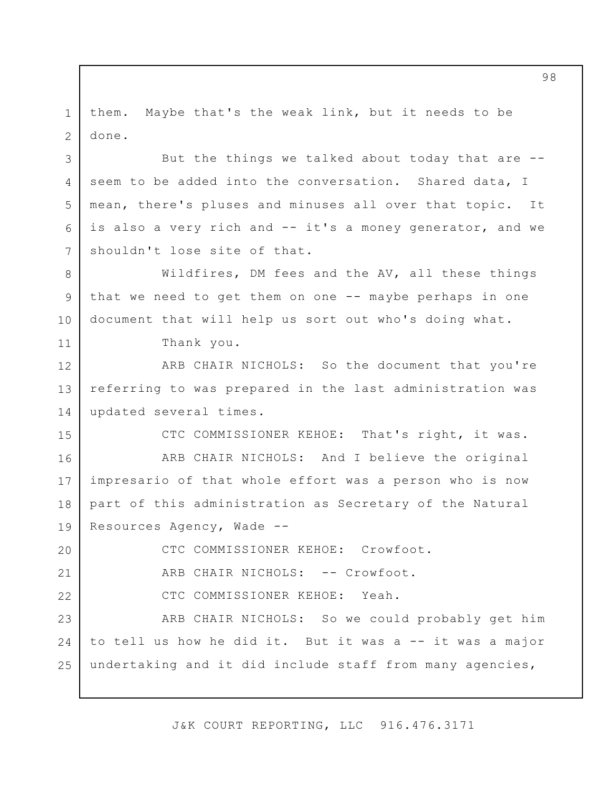them. Maybe that's the weak link, but it needs to be done. 1 2

But the things we talked about today that are - seem to be added into the conversation. Shared data, I mean, there's pluses and minuses all over that topic. It is also a very rich and -- it's a money generator, and we shouldn't lose site of that. 3 4 5 6 7

Wildfires, DM fees and the AV, all these things that we need to get them on one -- maybe perhaps in one document that will help us sort out who's doing what. 8 9 10

Thank you.

11

15

20

21

22

ARB CHAIR NICHOLS: So the document that you're referring to was prepared in the last administration was updated several times. 12 13 14

CTC COMMISSIONER KEHOE: That's right, it was.

ARB CHAIR NICHOLS: And I believe the original impresario of that whole effort was a person who is now part of this administration as Secretary of the Natural Resources Agency, Wade -- 16 17 18 19

CTC COMMISSIONER KEHOE: Crowfoot.

ARB CHAIR NICHOLS: -- Crowfoot.

CTC COMMISSIONER KEHOE: Yeah.

ARB CHAIR NICHOLS: So we could probably get him to tell us how he did it. But it was a -- it was a major undertaking and it did include staff from many agencies, 23 24 25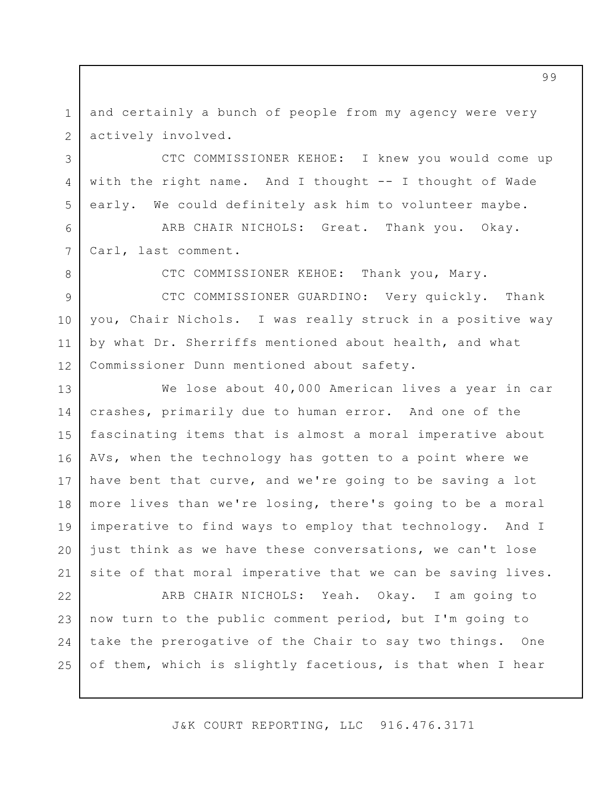and certainly a bunch of people from my agency were very actively involved. 1 2

3

4

5

6

7

8

CTC COMMISSIONER KEHOE: I knew you would come up with the right name. And I thought -- I thought of Wade early. We could definitely ask him to volunteer maybe.

ARB CHAIR NICHOLS: Great. Thank you. Okay. Carl, last comment.

CTC COMMISSIONER KEHOE: Thank you, Mary.

CTC COMMISSIONER GUARDINO: Very quickly. Thank you, Chair Nichols. I was really struck in a positive way by what Dr. Sherriffs mentioned about health, and what Commissioner Dunn mentioned about safety. 9 10 11 12

We lose about 40,000 American lives a year in car crashes, primarily due to human error. And one of the fascinating items that is almost a moral imperative about AVs, when the technology has gotten to a point where we have bent that curve, and we're going to be saving a lot more lives than we're losing, there's going to be a moral imperative to find ways to employ that technology. And I just think as we have these conversations, we can't lose site of that moral imperative that we can be saving lives. 13 14 15 16 17 18 19 20 21

ARB CHAIR NICHOLS: Yeah. Okay. I am going to now turn to the public comment period, but I'm going to take the prerogative of the Chair to say two things. One of them, which is slightly facetious, is that when I hear 22 23 24 25

J&K COURT REPORTING, LLC 916.476.3171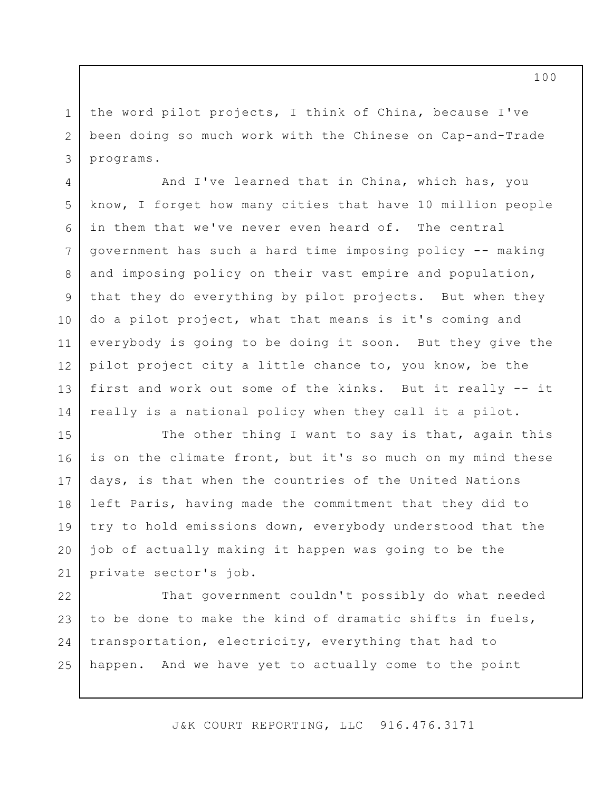the word pilot projects, I think of China, because I've been doing so much work with the Chinese on Cap-and-Trade programs.

1

2

3

4

5

8

9

10

11

14

And I've learned that in China, which has, you know, I forget how many cities that have 10 million people in them that we've never even heard of. The central government has such a hard time imposing policy -- making and imposing policy on their vast empire and population, that they do everything by pilot projects. But when they do a pilot project, what that means is it's coming and everybody is going to be doing it soon. But they give the pilot project city a little chance to, you know, be the first and work out some of the kinks. But it really -- it really is a national policy when they call it a pilot. 6 7 12 13

The other thing I want to say is that, again this is on the climate front, but it's so much on my mind these days, is that when the countries of the United Nations left Paris, having made the commitment that they did to try to hold emissions down, everybody understood that the job of actually making it happen was going to be the private sector's job. 15 16 17 18 19 20 21

That government couldn't possibly do what needed to be done to make the kind of dramatic shifts in fuels, transportation, electricity, everything that had to happen. And we have yet to actually come to the point 22 23 24 25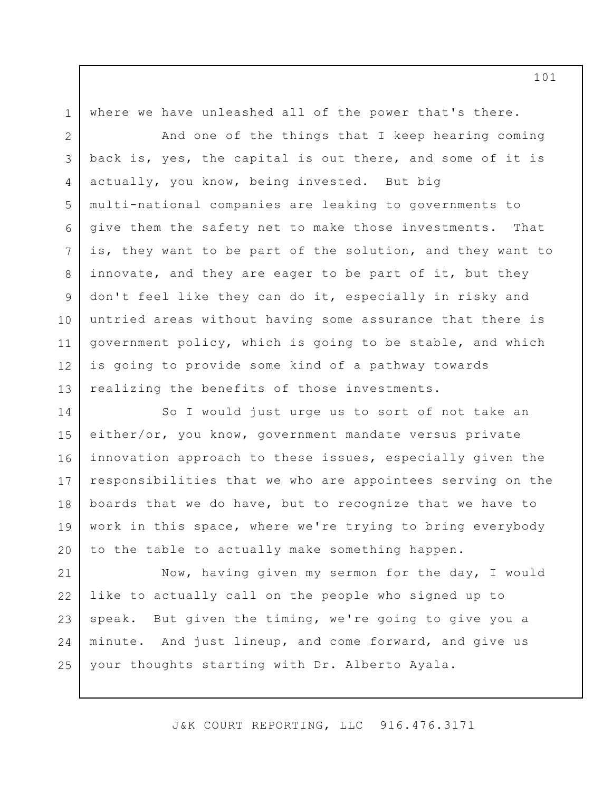where we have unleashed all of the power that's there.

1

And one of the things that I keep hearing coming back is, yes, the capital is out there, and some of it is actually, you know, being invested. But big multi-national companies are leaking to governments to give them the safety net to make those investments. That is, they want to be part of the solution, and they want to innovate, and they are eager to be part of it, but they don't feel like they can do it, especially in risky and untried areas without having some assurance that there is government policy, which is going to be stable, and which is going to provide some kind of a pathway towards realizing the benefits of those investments. 2 3 4 5 6 7 8 9 10 11 12 13

So I would just urge us to sort of not take an either/or, you know, government mandate versus private innovation approach to these issues, especially given the responsibilities that we who are appointees serving on the boards that we do have, but to recognize that we have to work in this space, where we're trying to bring everybody to the table to actually make something happen. 14 15 16 17 18 19 20

Now, having given my sermon for the day, I would like to actually call on the people who signed up to speak. But given the timing, we're going to give you a minute. And just lineup, and come forward, and give us your thoughts starting with Dr. Alberto Ayala. 21 22 23 24 25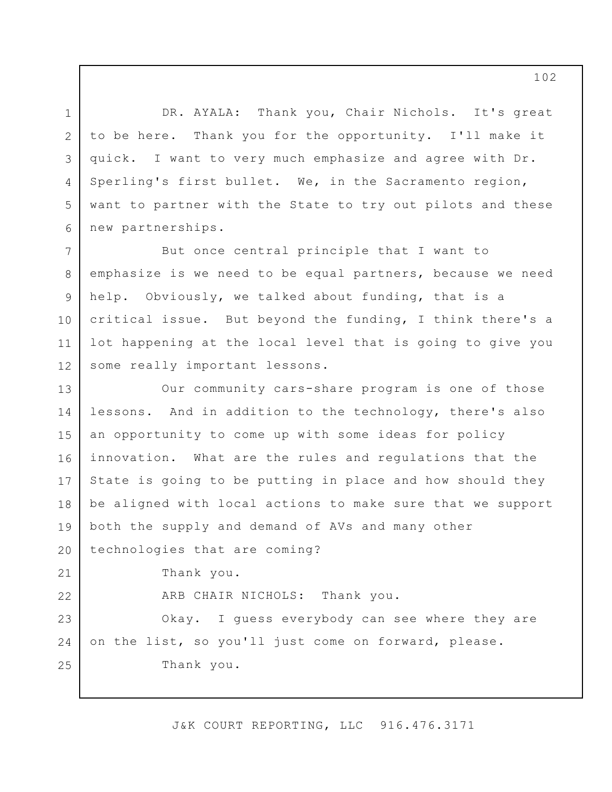DR. AYALA: Thank you, Chair Nichols. It's great to be here. Thank you for the opportunity. I'll make it quick. I want to very much emphasize and agree with Dr. Sperling's first bullet. We, in the Sacramento region, want to partner with the State to try out pilots and these new partnerships. 3 5 6

1

2

4

But once central principle that I want to emphasize is we need to be equal partners, because we need help. Obviously, we talked about funding, that is a critical issue. But beyond the funding, I think there's a lot happening at the local level that is going to give you some really important lessons. 7 8 9 10 11 12

Our community cars-share program is one of those lessons. And in addition to the technology, there's also an opportunity to come up with some ideas for policy innovation. What are the rules and regulations that the State is going to be putting in place and how should they be aligned with local actions to make sure that we support both the supply and demand of AVs and many other technologies that are coming? Thank you. ARB CHAIR NICHOLS: Thank you. Okay. I guess everybody can see where they are on the list, so you'll just come on forward, please. Thank you. 13 14 15 16 17 18 19 20 21 22 23 24 25

J&K COURT REPORTING, LLC 916.476.3171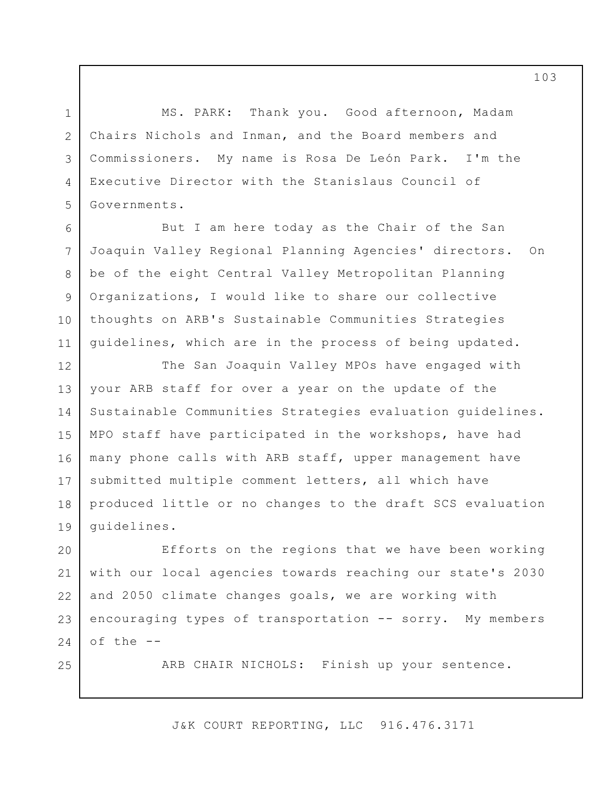MS. PARK: Thank you. Good afternoon, Madam Chairs Nichols and Inman, and the Board members and Commissioners. My name is Rosa De León Park. I'm the Executive Director with the Stanislaus Council of Governments.

1

2

3

4

5

6

7

8

9

10

11

25

But I am here today as the Chair of the San Joaquin Valley Regional Planning Agencies' directors. On be of the eight Central Valley Metropolitan Planning Organizations, I would like to share our collective thoughts on ARB's Sustainable Communities Strategies guidelines, which are in the process of being updated.

The San Joaquin Valley MPOs have engaged with your ARB staff for over a year on the update of the Sustainable Communities Strategies evaluation guidelines. MPO staff have participated in the workshops, have had many phone calls with ARB staff, upper management have submitted multiple comment letters, all which have produced little or no changes to the draft SCS evaluation guidelines. 12 13 14 15 16 17 18 19

Efforts on the regions that we have been working with our local agencies towards reaching our state's 2030 and 2050 climate changes goals, we are working with encouraging types of transportation -- sorry. My members of the -- 20 21 22 23 24

ARB CHAIR NICHOLS: Finish up your sentence.

J&K COURT REPORTING, LLC 916.476.3171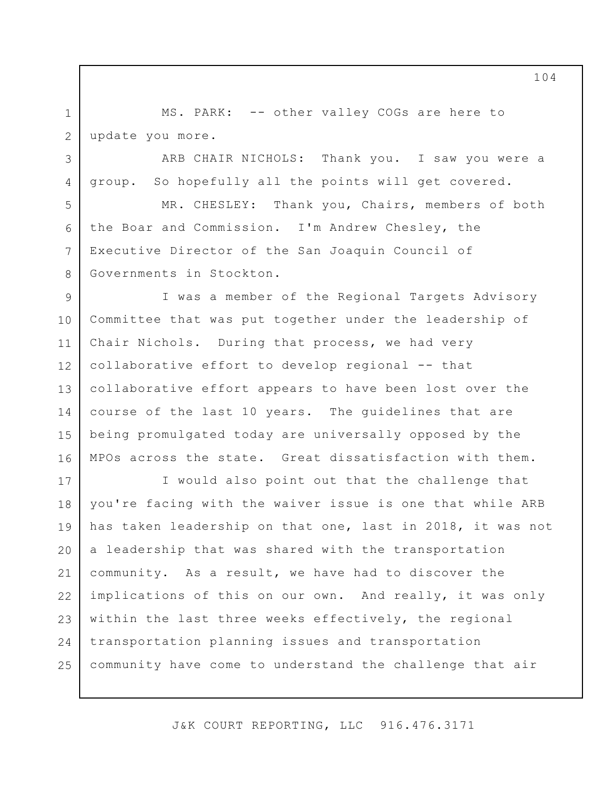MS. PARK: -- other valley COGs are here to update you more. 1 2

3

4

5

6

7

8

ARB CHAIR NICHOLS: Thank you. I saw you were a group. So hopefully all the points will get covered.

MR. CHESLEY: Thank you, Chairs, members of both the Boar and Commission. I'm Andrew Chesley, the Executive Director of the San Joaquin Council of Governments in Stockton.

I was a member of the Regional Targets Advisory Committee that was put together under the leadership of Chair Nichols. During that process, we had very collaborative effort to develop regional -- that collaborative effort appears to have been lost over the course of the last 10 years. The guidelines that are being promulgated today are universally opposed by the MPOs across the state. Great dissatisfaction with them. 9 10 11 12 13 14 15 16

I would also point out that the challenge that you're facing with the waiver issue is one that while ARB has taken leadership on that one, last in 2018, it was not a leadership that was shared with the transportation community. As a result, we have had to discover the implications of this on our own. And really, it was only within the last three weeks effectively, the regional transportation planning issues and transportation community have come to understand the challenge that air 17 18 19 20 21 22 23 24 25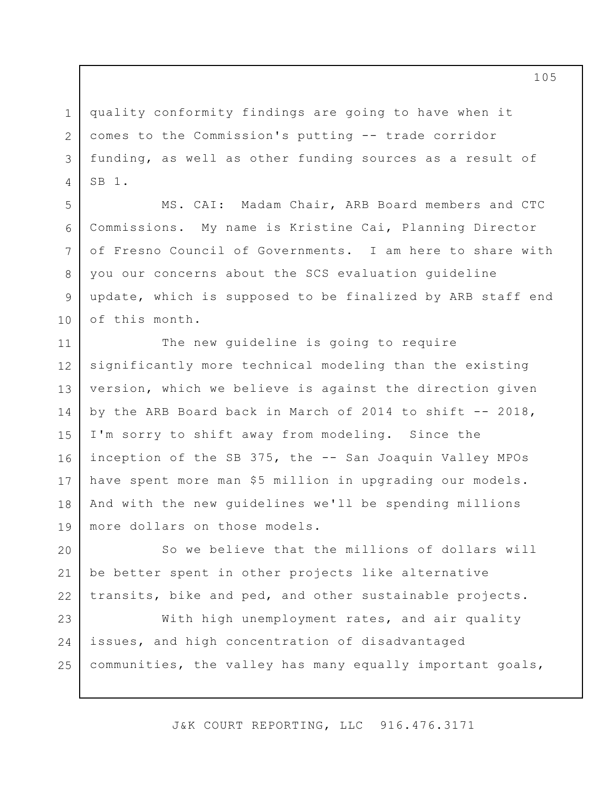quality conformity findings are going to have when it comes to the Commission's putting -- trade corridor funding, as well as other funding sources as a result of SB 1. 1 2 3 4

5

6

7

8

9

10

MS. CAI: Madam Chair, ARB Board members and CTC Commissions. My name is Kristine Cai, Planning Director of Fresno Council of Governments. I am here to share with you our concerns about the SCS evaluation guideline update, which is supposed to be finalized by ARB staff end of this month.

The new guideline is going to require significantly more technical modeling than the existing version, which we believe is against the direction given by the ARB Board back in March of 2014 to shift  $-$ - 2018, I'm sorry to shift away from modeling. Since the inception of the SB 375, the -- San Joaquin Valley MPOs have spent more man \$5 million in upgrading our models. And with the new guidelines we'll be spending millions more dollars on those models. 11 12 13 14 15 16 17 18 19

So we believe that the millions of dollars will be better spent in other projects like alternative transits, bike and ped, and other sustainable projects. 20 21 22

With high unemployment rates, and air quality issues, and high concentration of disadvantaged communities, the valley has many equally important goals, 23 24 25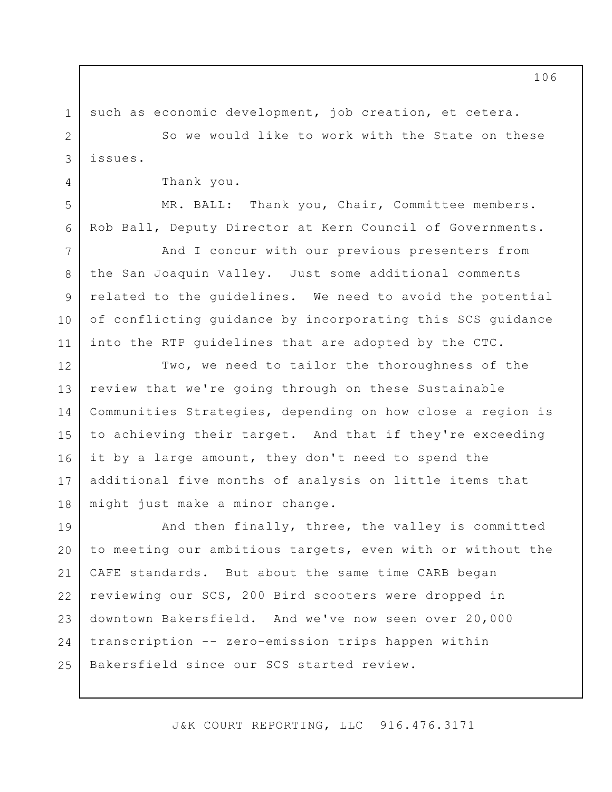such as economic development, job creation, et cetera.

So we would like to work with the State on these issues.

Thank you.

1

2

3

4

5

6

7

8

9

10

11

MR. BALL: Thank you, Chair, Committee members. Rob Ball, Deputy Director at Kern Council of Governments.

And I concur with our previous presenters from the San Joaquin Valley. Just some additional comments related to the guidelines. We need to avoid the potential of conflicting guidance by incorporating this SCS guidance into the RTP guidelines that are adopted by the CTC.

Two, we need to tailor the thoroughness of the review that we're going through on these Sustainable Communities Strategies, depending on how close a region is to achieving their target. And that if they're exceeding it by a large amount, they don't need to spend the additional five months of analysis on little items that might just make a minor change. 12 13 14 15 16 17 18

And then finally, three, the valley is committed to meeting our ambitious targets, even with or without the CAFE standards. But about the same time CARB began reviewing our SCS, 200 Bird scooters were dropped in downtown Bakersfield. And we've now seen over 20,000 transcription -- zero-emission trips happen within Bakersfield since our SCS started review. 19 20 21 22 23 24 25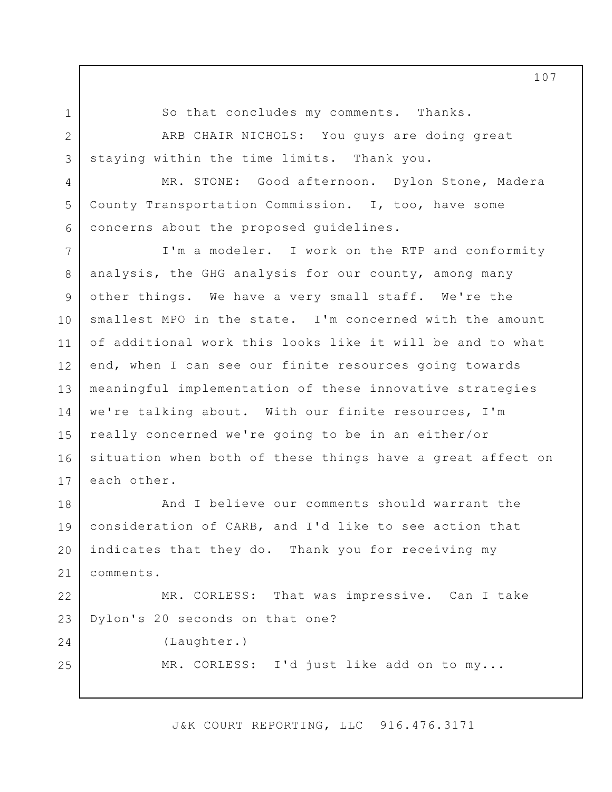1 2

3

4

5

6

25

So that concludes my comments. Thanks.

ARB CHAIR NICHOLS: You guys are doing great staying within the time limits. Thank you.

MR. STONE: Good afternoon. Dylon Stone, Madera County Transportation Commission. I, too, have some concerns about the proposed guidelines.

I'm a modeler. I work on the RTP and conformity analysis, the GHG analysis for our county, among many other things. We have a very small staff. We're the smallest MPO in the state. I'm concerned with the amount of additional work this looks like it will be and to what end, when I can see our finite resources going towards meaningful implementation of these innovative strategies we're talking about. With our finite resources, I'm really concerned we're going to be in an either/or situation when both of these things have a great affect on each other. 7 8 9 10 11 12 13 14 15 16 17

And I believe our comments should warrant the consideration of CARB, and I'd like to see action that indicates that they do. Thank you for receiving my comments. 18 19 20 21

MR. CORLESS: That was impressive. Can I take Dylon's 20 seconds on that one? 22 23 24

(Laughter.)

MR. CORLESS: I'd just like add on to my...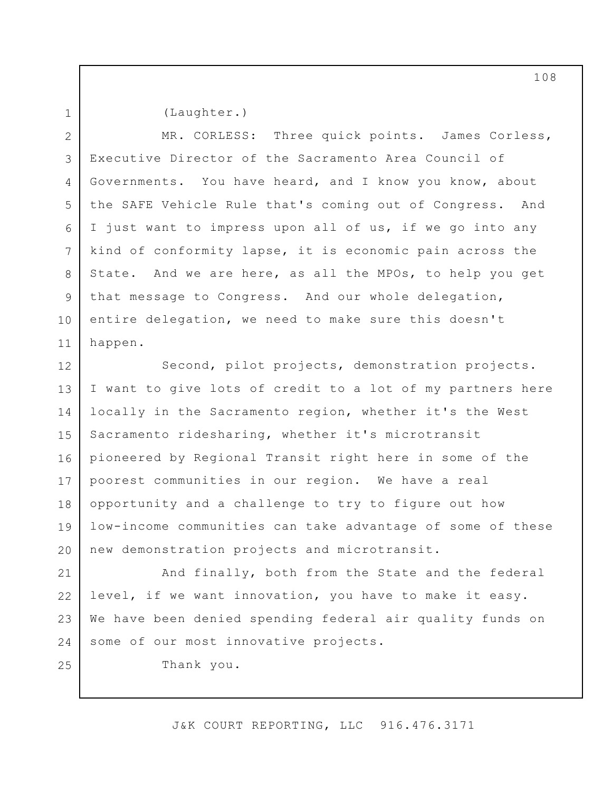1

(Laughter.)

MR. CORLESS: Three quick points. James Corless, Executive Director of the Sacramento Area Council of Governments. You have heard, and I know you know, about the SAFE Vehicle Rule that's coming out of Congress. And I just want to impress upon all of us, if we go into any kind of conformity lapse, it is economic pain across the State. And we are here, as all the MPOs, to help you get that message to Congress. And our whole delegation, entire delegation, we need to make sure this doesn't happen. 2 3 4 5 6 7 8 9 10 11

Second, pilot projects, demonstration projects. I want to give lots of credit to a lot of my partners here locally in the Sacramento region, whether it's the West Sacramento ridesharing, whether it's microtransit pioneered by Regional Transit right here in some of the poorest communities in our region. We have a real opportunity and a challenge to try to figure out how low-income communities can take advantage of some of these new demonstration projects and microtransit. 12 13 14 15 16 17 18 19 20

And finally, both from the State and the federal level, if we want innovation, you have to make it easy. We have been denied spending federal air quality funds on some of our most innovative projects. 21 22 23 24

25

Thank you.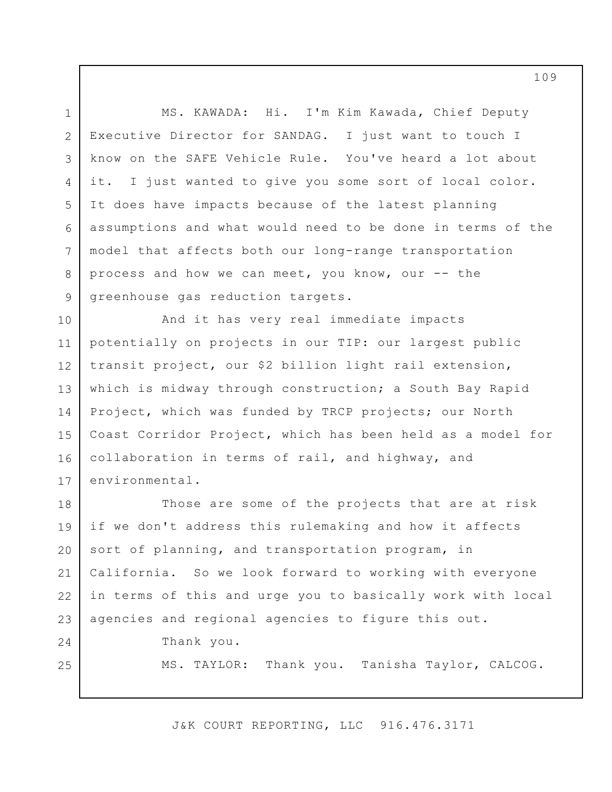MS. KAWADA: Hi. I'm Kim Kawada, Chief Deputy Executive Director for SANDAG. I just want to touch I know on the SAFE Vehicle Rule. You've heard a lot about it. I just wanted to give you some sort of local color. It does have impacts because of the latest planning assumptions and what would need to be done in terms of the model that affects both our long-range transportation process and how we can meet, you know, our -- the greenhouse gas reduction targets. 3 6

And it has very real immediate impacts potentially on projects in our TIP: our largest public transit project, our \$2 billion light rail extension, which is midway through construction; a South Bay Rapid Project, which was funded by TRCP projects; our North Coast Corridor Project, which has been held as a model for collaboration in terms of rail, and highway, and environmental. 10 11 12 13 14 15 16 17

Those are some of the projects that are at risk if we don't address this rulemaking and how it affects sort of planning, and transportation program, in California. So we look forward to working with everyone in terms of this and urge you to basically work with local agencies and regional agencies to figure this out. 18 19 20 21 22 23

Thank you.

1

2

4

5

7

8

9

24

25

MS. TAYLOR: Thank you. Tanisha Taylor, CALCOG.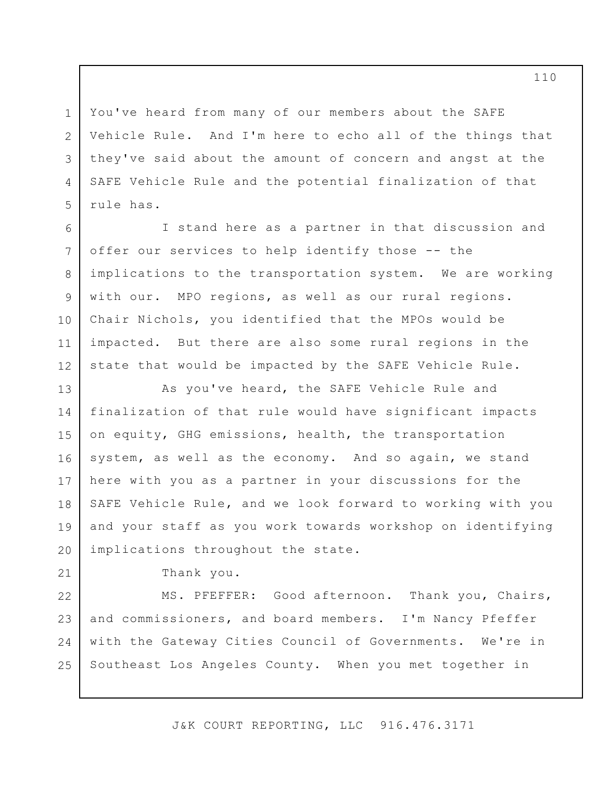You've heard from many of our members about the SAFE Vehicle Rule. And I'm here to echo all of the things that they've said about the amount of concern and angst at the SAFE Vehicle Rule and the potential finalization of that rule has.

I stand here as a partner in that discussion and offer our services to help identify those -- the implications to the transportation system. We are working with our. MPO regions, as well as our rural regions. Chair Nichols, you identified that the MPOs would be impacted. But there are also some rural regions in the state that would be impacted by the SAFE Vehicle Rule. 6 12

As you've heard, the SAFE Vehicle Rule and finalization of that rule would have significant impacts on equity, GHG emissions, health, the transportation system, as well as the economy. And so again, we stand here with you as a partner in your discussions for the SAFE Vehicle Rule, and we look forward to working with you and your staff as you work towards workshop on identifying implications throughout the state. 13 14 15 16 17 18 19 20

Thank you.

1

2

3

4

5

7

8

9

10

11

21

MS. PFEFFER: Good afternoon. Thank you, Chairs, and commissioners, and board members. I'm Nancy Pfeffer with the Gateway Cities Council of Governments. We're in Southeast Los Angeles County. When you met together in 22 23 24 25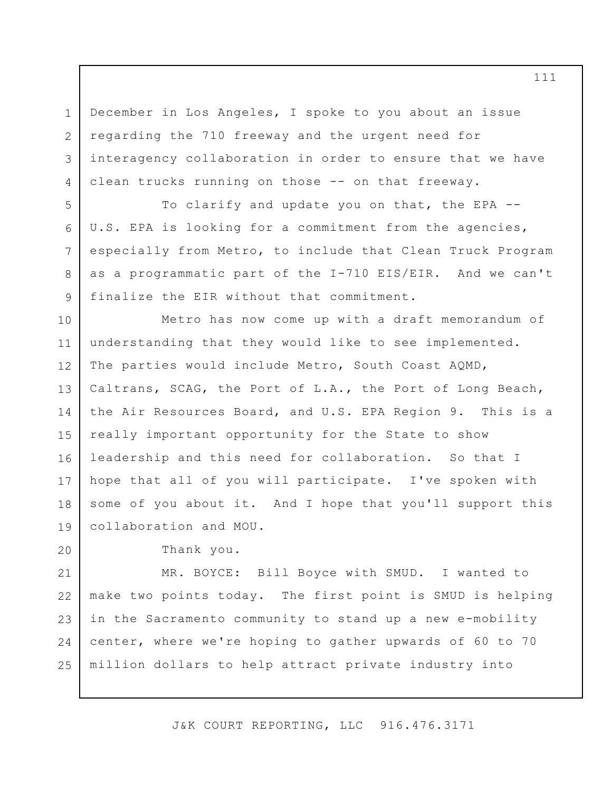December in Los Angeles, I spoke to you about an issue regarding the 710 freeway and the urgent need for interagency collaboration in order to ensure that we have clean trucks running on those -- on that freeway.

To clarify and update you on that, the EPA -- U.S. EPA is looking for a commitment from the agencies, especially from Metro, to include that Clean Truck Program as a programmatic part of the I-710 EIS/EIR. And we can't finalize the EIR without that commitment.

Metro has now come up with a draft memorandum of understanding that they would like to see implemented. The parties would include Metro, South Coast AQMD, Caltrans, SCAG, the Port of L.A., the Port of Long Beach, the Air Resources Board, and U.S. EPA Region 9. This is a really important opportunity for the State to show leadership and this need for collaboration. So that I hope that all of you will participate. I've spoken with some of you about it. And I hope that you'll support this collaboration and MOU. 10 11 12 13 14 15 16 17 18 19

20

1

2

3

4

5

6

7

8

9

Thank you.

MR. BOYCE: Bill Boyce with SMUD. I wanted to make two points today. The first point is SMUD is helping in the Sacramento community to stand up a new e-mobility center, where we're hoping to gather upwards of 60 to 70 million dollars to help attract private industry into 21 22 23 24 25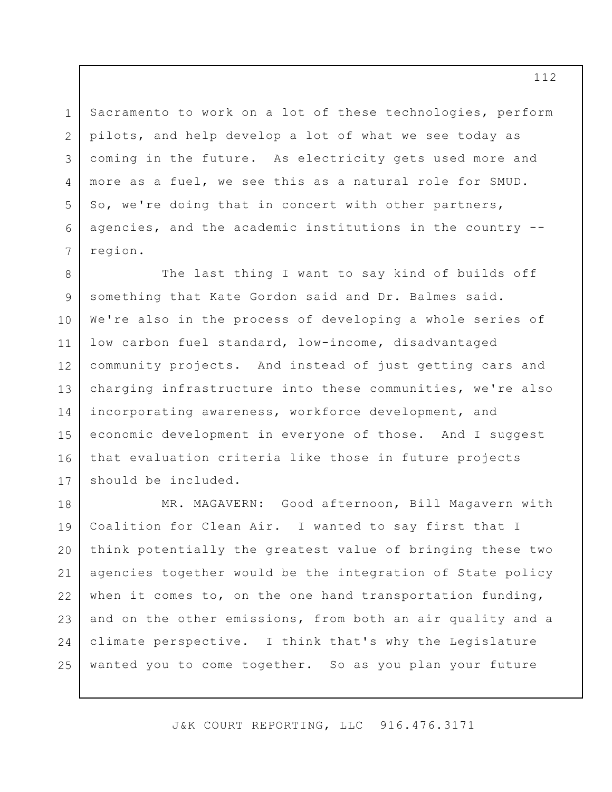Sacramento to work on a lot of these technologies, perform pilots, and help develop a lot of what we see today as coming in the future. As electricity gets used more and more as a fuel, we see this as a natural role for SMUD. So, we're doing that in concert with other partners, agencies, and the academic institutions in the country - region.

1

2

3

4

5

6

7

The last thing I want to say kind of builds off something that Kate Gordon said and Dr. Balmes said. We're also in the process of developing a whole series of low carbon fuel standard, low-income, disadvantaged community projects. And instead of just getting cars and charging infrastructure into these communities, we're also incorporating awareness, workforce development, and economic development in everyone of those. And I suggest that evaluation criteria like those in future projects should be included. 8 9 10 11 12 13 14 15 16 17

MR. MAGAVERN: Good afternoon, Bill Magavern with Coalition for Clean Air. I wanted to say first that I think potentially the greatest value of bringing these two agencies together would be the integration of State policy when it comes to, on the one hand transportation funding, and on the other emissions, from both an air quality and a climate perspective. I think that's why the Legislature wanted you to come together. So as you plan your future 18 19 20 21 22 23 24 25

J&K COURT REPORTING, LLC 916.476.3171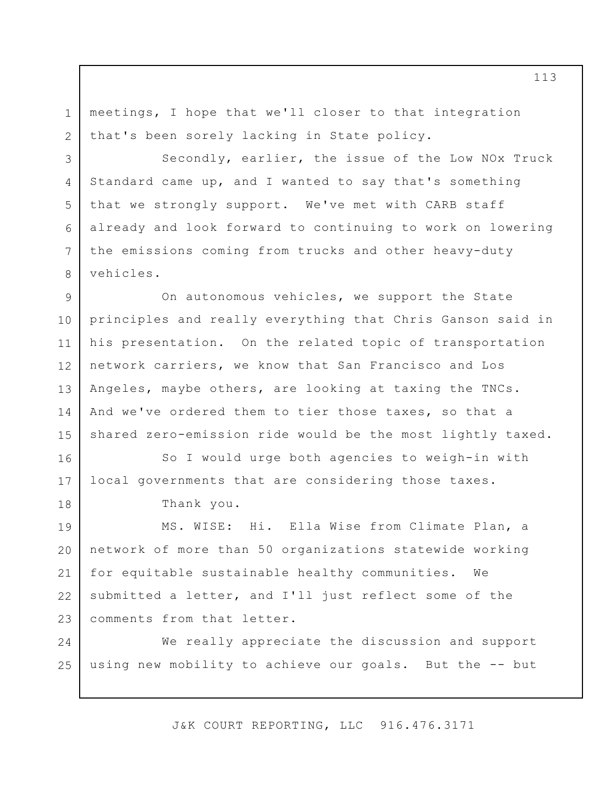meetings, I hope that we'll closer to that integration that's been sorely lacking in State policy. 1 2

Secondly, earlier, the issue of the Low NOx Truck Standard came up, and I wanted to say that's something that we strongly support. We've met with CARB staff already and look forward to continuing to work on lowering the emissions coming from trucks and other heavy-duty vehicles.

On autonomous vehicles, we support the State principles and really everything that Chris Ganson said in his presentation. On the related topic of transportation network carriers, we know that San Francisco and Los Angeles, maybe others, are looking at taxing the TNCs. And we've ordered them to tier those taxes, so that a shared zero-emission ride would be the most lightly taxed. 9 10 11 12 13 14 15

So I would urge both agencies to weigh-in with local governments that are considering those taxes. 16 17

Thank you.

3

4

5

6

7

8

18

MS. WISE: Hi. Ella Wise from Climate Plan, a network of more than 50 organizations statewide working for equitable sustainable healthy communities. We submitted a letter, and I'll just reflect some of the comments from that letter. 19 20 21 22 23

We really appreciate the discussion and support using new mobility to achieve our goals. But the -- but 24 25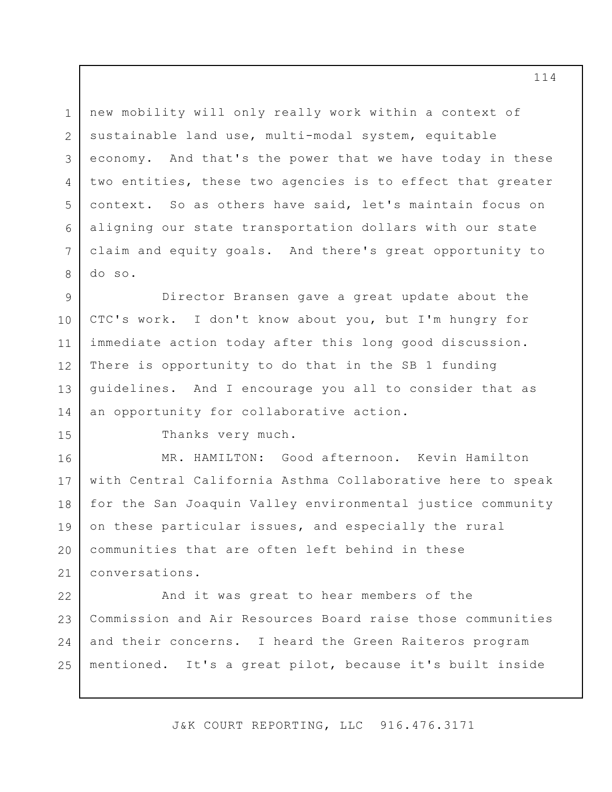new mobility will only really work within a context of sustainable land use, multi-modal system, equitable economy. And that's the power that we have today in these two entities, these two agencies is to effect that greater context. So as others have said, let's maintain focus on aligning our state transportation dollars with our state claim and equity goals. And there's great opportunity to do so. 1 2 3 4 5 6 7

Director Bransen gave a great update about the CTC's work. I don't know about you, but I'm hungry for immediate action today after this long good discussion. There is opportunity to do that in the SB 1 funding guidelines. And I encourage you all to consider that as an opportunity for collaborative action. 9 10 11 12 13 14

15

8

Thanks very much.

MR. HAMILTON: Good afternoon. Kevin Hamilton with Central California Asthma Collaborative here to speak for the San Joaquin Valley environmental justice community on these particular issues, and especially the rural communities that are often left behind in these conversations. 16 17 18 19 20 21

And it was great to hear members of the Commission and Air Resources Board raise those communities and their concerns. I heard the Green Raiteros program mentioned. It's a great pilot, because it's built inside 22 23 24 25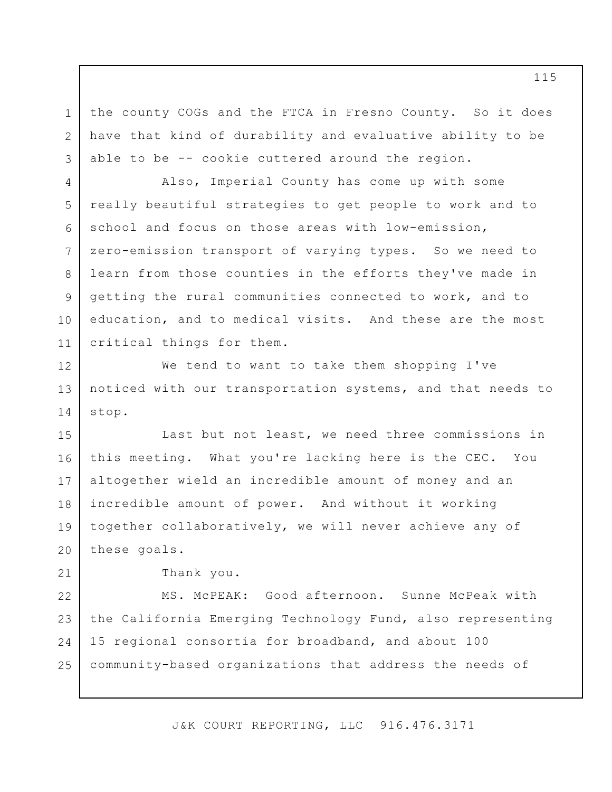the county COGs and the FTCA in Fresno County. So it does have that kind of durability and evaluative ability to be able to be -- cookie cuttered around the region.

Also, Imperial County has come up with some really beautiful strategies to get people to work and to school and focus on those areas with low-emission, zero-emission transport of varying types. So we need to learn from those counties in the efforts they've made in getting the rural communities connected to work, and to education, and to medical visits. And these are the most critical things for them.

We tend to want to take them shopping I've noticed with our transportation systems, and that needs to stop. 12 13 14

Last but not least, we need three commissions in this meeting. What you're lacking here is the CEC. You altogether wield an incredible amount of money and an incredible amount of power. And without it working together collaboratively, we will never achieve any of these goals. 15 16 17 18 19 20

Thank you.

1

2

3

4

5

6

7

8

9

10

11

21

MS. McPEAK: Good afternoon. Sunne McPeak with the California Emerging Technology Fund, also representing 15 regional consortia for broadband, and about 100 community-based organizations that address the needs of 22 23 24 25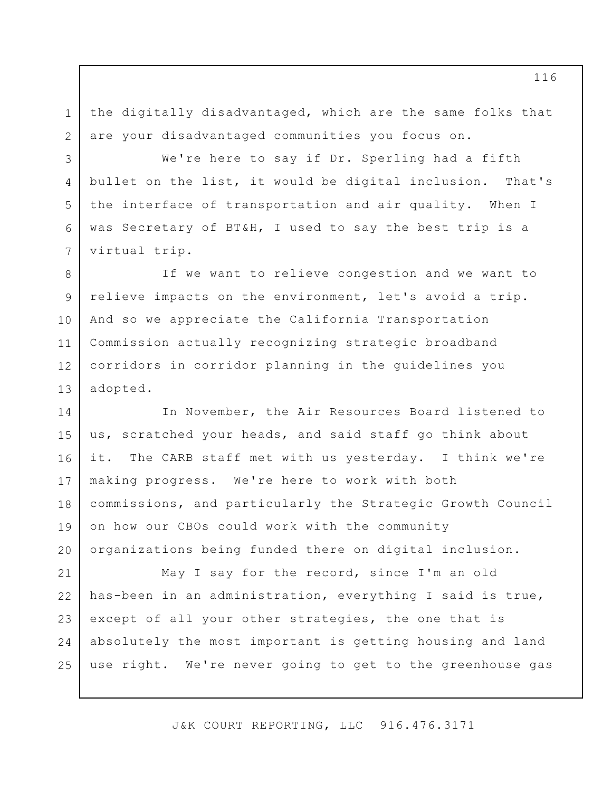the digitally disadvantaged, which are the same folks that are your disadvantaged communities you focus on. 1 2

3

4

5

6

7

We're here to say if Dr. Sperling had a fifth bullet on the list, it would be digital inclusion. That's the interface of transportation and air quality. When I was Secretary of BT&H, I used to say the best trip is a virtual trip.

If we want to relieve congestion and we want to relieve impacts on the environment, let's avoid a trip. And so we appreciate the California Transportation Commission actually recognizing strategic broadband corridors in corridor planning in the guidelines you adopted. 8 9 10 11 12 13

In November, the Air Resources Board listened to us, scratched your heads, and said staff go think about it. The CARB staff met with us yesterday. I think we're making progress. We're here to work with both commissions, and particularly the Strategic Growth Council on how our CBOs could work with the community organizations being funded there on digital inclusion. 14 15 16 17 18 19 20

May I say for the record, since I'm an old has-been in an administration, everything I said is true, except of all your other strategies, the one that is absolutely the most important is getting housing and land use right. We're never going to get to the greenhouse gas 21 22 23 24 25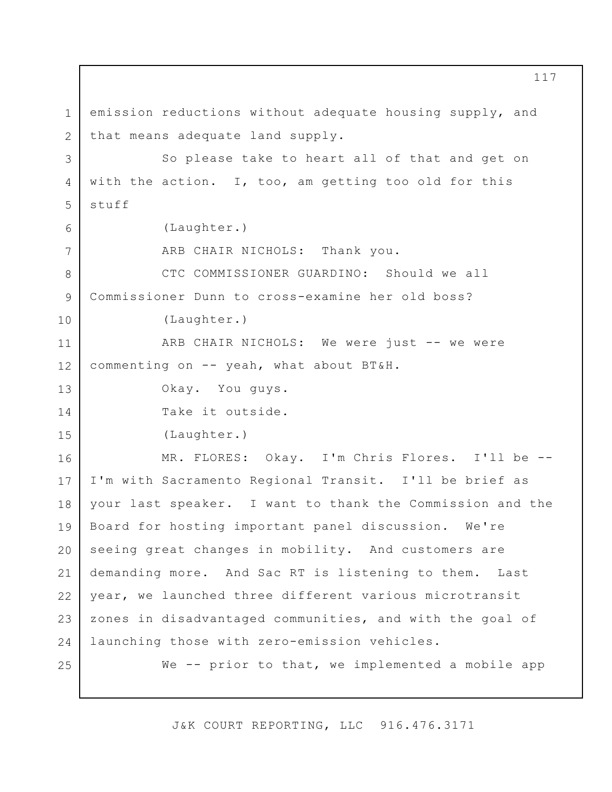emission reductions without adequate housing supply, and that means adequate land supply. So please take to heart all of that and get on with the action. I, too, am getting too old for this stuff (Laughter.) ARB CHAIR NICHOLS: Thank you. CTC COMMISSIONER GUARDINO: Should we all Commissioner Dunn to cross-examine her old boss? (Laughter.) ARB CHAIR NICHOLS: We were just -- we were commenting on -- yeah, what about BT&H. Okay. You guys. Take it outside. (Laughter.) MR. FLORES: Okay. I'm Chris Flores. I'll be -- I'm with Sacramento Regional Transit. I'll be brief as your last speaker. I want to thank the Commission and the Board for hosting important panel discussion. We're seeing great changes in mobility. And customers are demanding more. And Sac RT is listening to them. Last year, we launched three different various microtransit zones in disadvantaged communities, and with the goal of launching those with zero-emission vehicles. We -- prior to that, we implemented a mobile app 1 2 3 4 5 6 7 8 9 10 11 12 13 14 15 16 17 18 19 20 21 22 23 24 25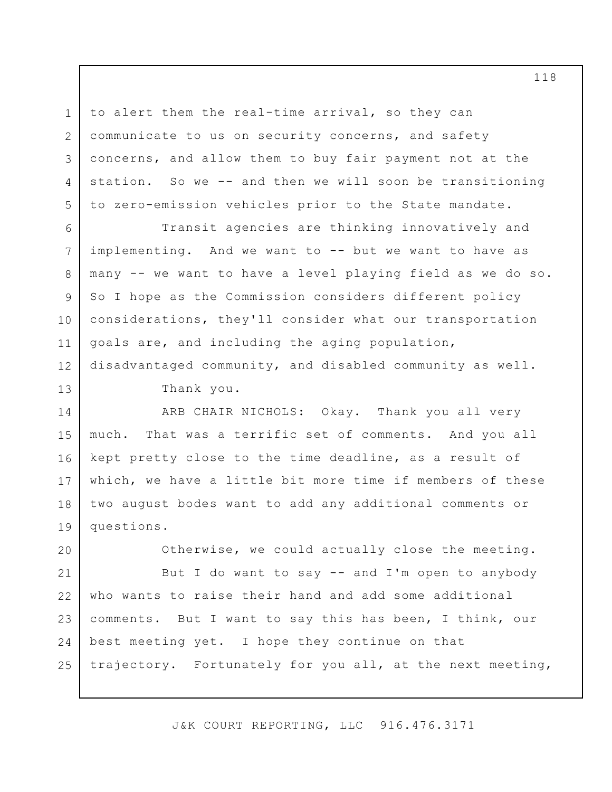to alert them the real-time arrival, so they can communicate to us on security concerns, and safety concerns, and allow them to buy fair payment not at the station. So we -- and then we will soon be transitioning to zero-emission vehicles prior to the State mandate.

Transit agencies are thinking innovatively and implementing. And we want to -- but we want to have as many -- we want to have a level playing field as we do so. So I hope as the Commission considers different policy considerations, they'll consider what our transportation goals are, and including the aging population, disadvantaged community, and disabled community as well. 6 12

Thank you.

1

2

3

4

5

7

8

9

10

11

13

ARB CHAIR NICHOLS: Okay. Thank you all very much. That was a terrific set of comments. And you all kept pretty close to the time deadline, as a result of which, we have a little bit more time if members of these two august bodes want to add any additional comments or questions. 14 15 16 17 18 19

Otherwise, we could actually close the meeting. But I do want to say -- and I'm open to anybody who wants to raise their hand and add some additional comments. But I want to say this has been, I think, our best meeting yet. I hope they continue on that trajectory. Fortunately for you all, at the next meeting, 20 21 22 23 24 25

J&K COURT REPORTING, LLC 916.476.3171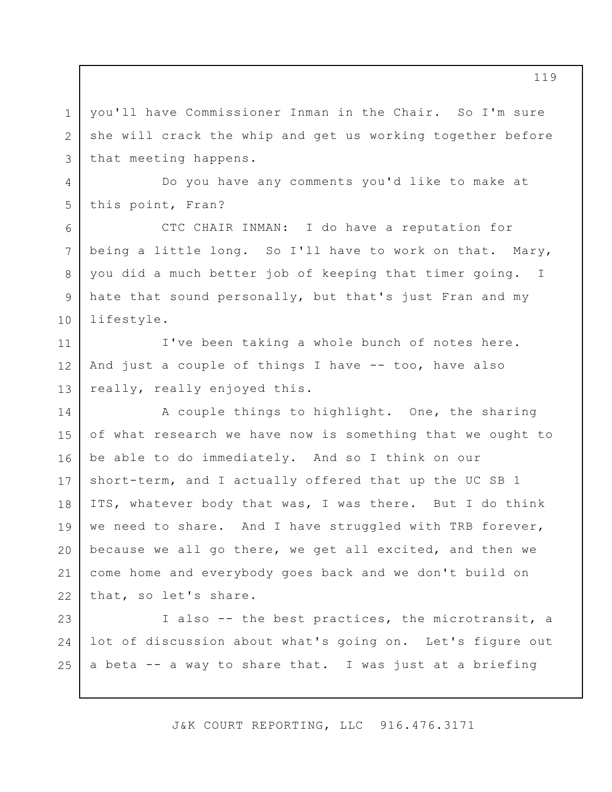you'll have Commissioner Inman in the Chair. So I'm sure she will crack the whip and get us working together before that meeting happens. 3

Do you have any comments you'd like to make at this point, Fran?

1

2

4

5

6

7

8

9

10

CTC CHAIR INMAN: I do have a reputation for being a little long. So I'll have to work on that. Mary, you did a much better job of keeping that timer going. I hate that sound personally, but that's just Fran and my lifestyle.

I've been taking a whole bunch of notes here. And just a couple of things I have  $-$  too, have also really, really enjoyed this. 11 12 13

A couple things to highlight. One, the sharing of what research we have now is something that we ought to be able to do immediately. And so I think on our short-term, and I actually offered that up the UC SB 1 ITS, whatever body that was, I was there. But I do think we need to share. And I have struggled with TRB forever, because we all go there, we get all excited, and then we come home and everybody goes back and we don't build on that, so let's share. 14 15 16 17 18 19 20 21 22

I also -- the best practices, the microtransit, a lot of discussion about what's going on. Let's figure out a beta -- a way to share that. I was just at a briefing 23 24 25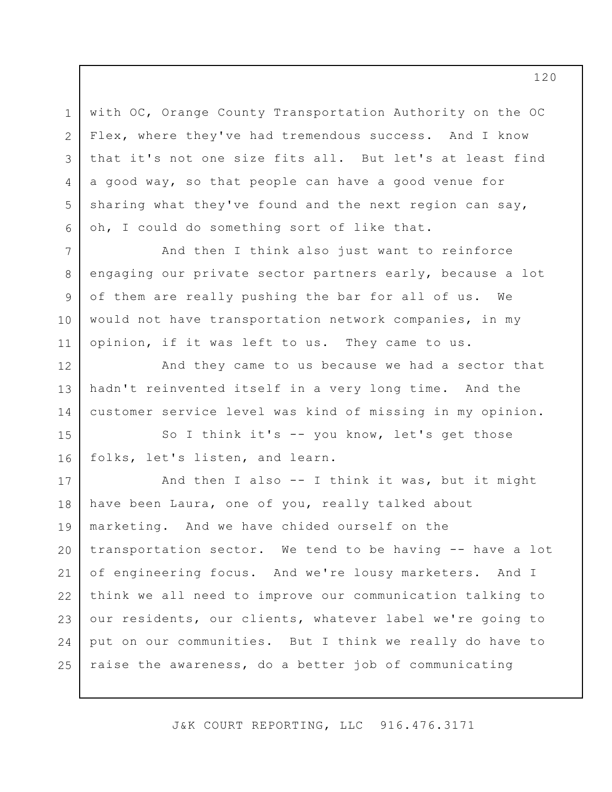with OC, Orange County Transportation Authority on the OC Flex, where they've had tremendous success. And I know that it's not one size fits all. But let's at least find a good way, so that people can have a good venue for sharing what they've found and the next region can say, oh, I could do something sort of like that.

1

2

3

4

5

6

7

8

9

10

11

12

13

14

And then I think also just want to reinforce engaging our private sector partners early, because a lot of them are really pushing the bar for all of us. We would not have transportation network companies, in my opinion, if it was left to us. They came to us.

And they came to us because we had a sector that hadn't reinvented itself in a very long time. And the customer service level was kind of missing in my opinion.

So I think it's -- you know, let's get those folks, let's listen, and learn. 15 16

And then I also -- I think it was, but it might have been Laura, one of you, really talked about marketing. And we have chided ourself on the transportation sector. We tend to be having -- have a lot of engineering focus. And we're lousy marketers. And I think we all need to improve our communication talking to our residents, our clients, whatever label we're going to put on our communities. But I think we really do have to raise the awareness, do a better job of communicating 17 18 19 20 21 22 23 24 25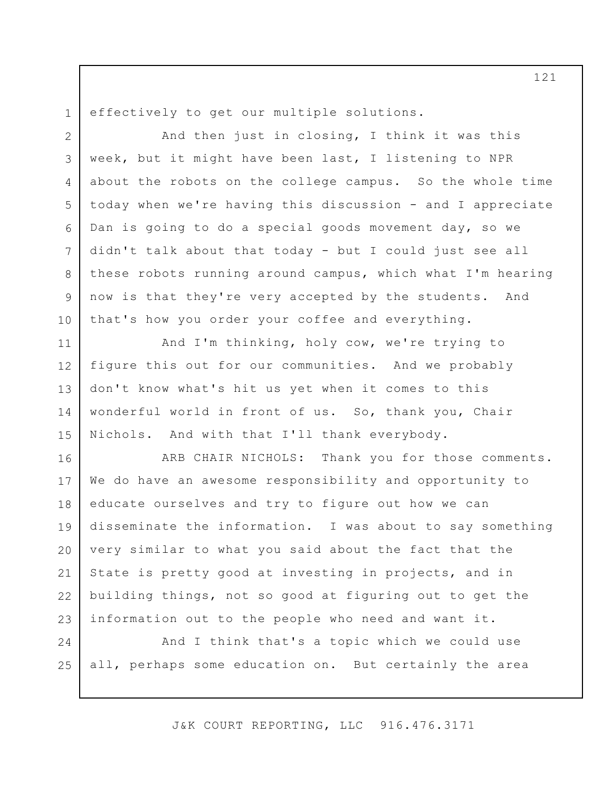effectively to get our multiple solutions.

1

And then just in closing, I think it was this week, but it might have been last, I listening to NPR about the robots on the college campus. So the whole time today when we're having this discussion - and I appreciate Dan is going to do a special goods movement day, so we didn't talk about that today - but I could just see all these robots running around campus, which what I'm hearing now is that they're very accepted by the students. And that's how you order your coffee and everything. 2 3 4 5 6 7 8 9 10

And I'm thinking, holy cow, we're trying to figure this out for our communities. And we probably don't know what's hit us yet when it comes to this wonderful world in front of us. So, thank you, Chair Nichols. And with that I'll thank everybody. 11 12 13 14 15

ARB CHAIR NICHOLS: Thank you for those comments. We do have an awesome responsibility and opportunity to educate ourselves and try to figure out how we can disseminate the information. I was about to say something very similar to what you said about the fact that the State is pretty good at investing in projects, and in building things, not so good at figuring out to get the information out to the people who need and want it. 16 17 18 19 20 21 22 23

And I think that's a topic which we could use all, perhaps some education on. But certainly the area 24 25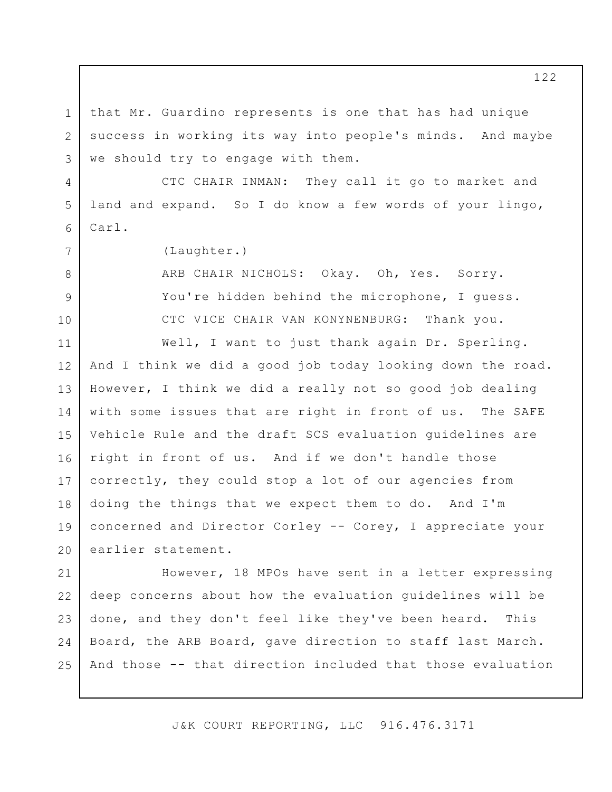that Mr. Guardino represents is one that has had unique success in working its way into people's minds. And maybe we should try to engage with them.

CTC CHAIR INMAN: They call it go to market and land and expand. So I do know a few words of your lingo, Carl.

(Laughter.)

1

2

3

4

5

6

7

8

9

10

ARB CHAIR NICHOLS: Okay. Oh, Yes. Sorry. You're hidden behind the microphone, I quess. CTC VICE CHAIR VAN KONYNENBURG: Thank you.

Well, I want to just thank again Dr. Sperling. And I think we did a good job today looking down the road. However, I think we did a really not so good job dealing with some issues that are right in front of us. The SAFE Vehicle Rule and the draft SCS evaluation guidelines are right in front of us. And if we don't handle those correctly, they could stop a lot of our agencies from doing the things that we expect them to do. And I'm concerned and Director Corley -- Corey, I appreciate your earlier statement. 11 12 13 14 15 16 17 18 19 20

However, 18 MPOs have sent in a letter expressing deep concerns about how the evaluation guidelines will be done, and they don't feel like they've been heard. This Board, the ARB Board, gave direction to staff last March. And those -- that direction included that those evaluation 21 22 23 24 25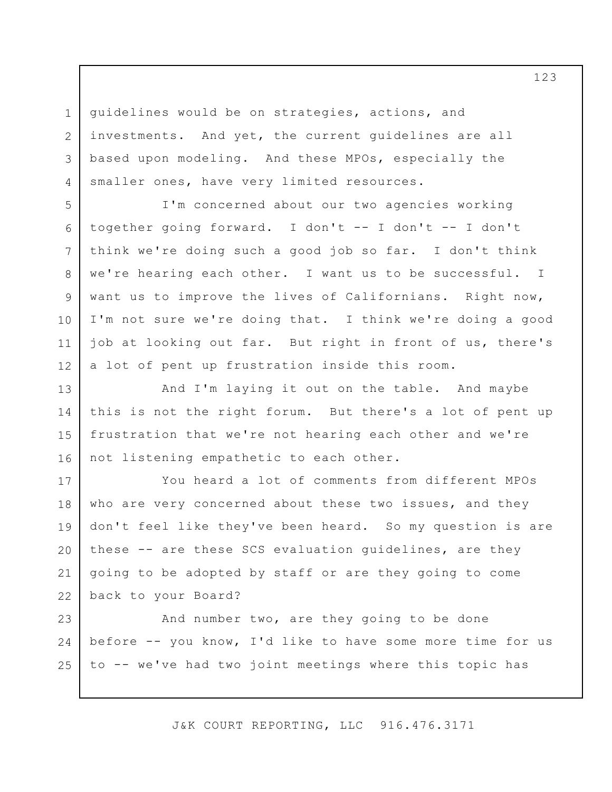guidelines would be on strategies, actions, and investments. And yet, the current guidelines are all based upon modeling. And these MPOs, especially the smaller ones, have very limited resources.

1

2

3

4

5

6

7

8

9

10

11

12

I'm concerned about our two agencies working together going forward. I don't -- I don't -- I don't think we're doing such a good job so far. I don't think we're hearing each other. I want us to be successful. I want us to improve the lives of Californians. Right now, I'm not sure we're doing that. I think we're doing a good job at looking out far. But right in front of us, there's a lot of pent up frustration inside this room.

And I'm laying it out on the table. And maybe this is not the right forum. But there's a lot of pent up frustration that we're not hearing each other and we're not listening empathetic to each other. 13 14 15 16

You heard a lot of comments from different MPOs who are very concerned about these two issues, and they don't feel like they've been heard. So my question is are these -- are these SCS evaluation guidelines, are they going to be adopted by staff or are they going to come back to your Board? 17 18 19 20 21 22

And number two, are they going to be done before -- you know, I'd like to have some more time for us to -- we've had two joint meetings where this topic has 23 24 25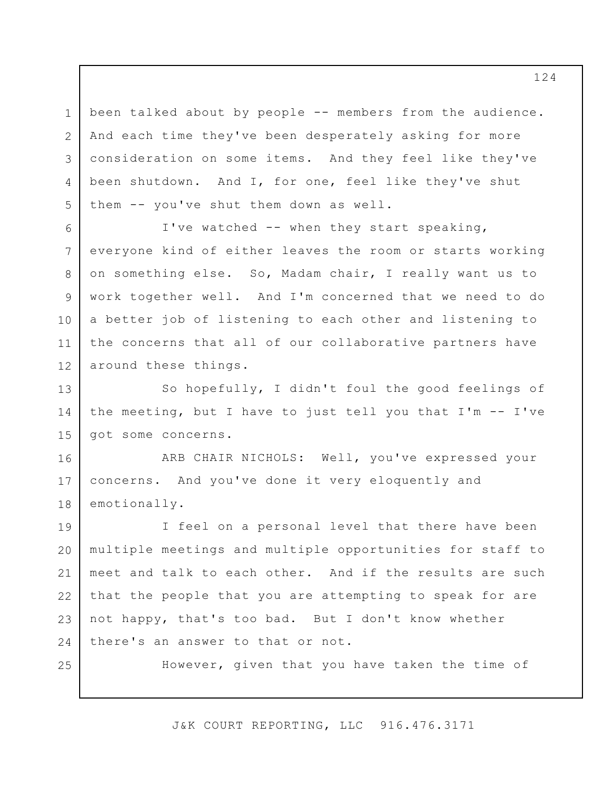been talked about by people -- members from the audience. And each time they've been desperately asking for more consideration on some items. And they feel like they've been shutdown. And I, for one, feel like they've shut them -- you've shut them down as well. 1 2 3 4 5

I've watched -- when they start speaking, everyone kind of either leaves the room or starts working on something else. So, Madam chair, I really want us to work together well. And I'm concerned that we need to do a better job of listening to each other and listening to the concerns that all of our collaborative partners have around these things. 6 7 8 9 10 11 12

So hopefully, I didn't foul the good feelings of the meeting, but I have to just tell you that I'm -- I've got some concerns. 13 14 15

ARB CHAIR NICHOLS: Well, you've expressed your concerns. And you've done it very eloquently and emotionally. 16 17 18

I feel on a personal level that there have been multiple meetings and multiple opportunities for staff to meet and talk to each other. And if the results are such that the people that you are attempting to speak for are not happy, that's too bad. But I don't know whether there's an answer to that or not. 19 20 21 22 23 24

25

However, given that you have taken the time of

J&K COURT REPORTING, LLC 916.476.3171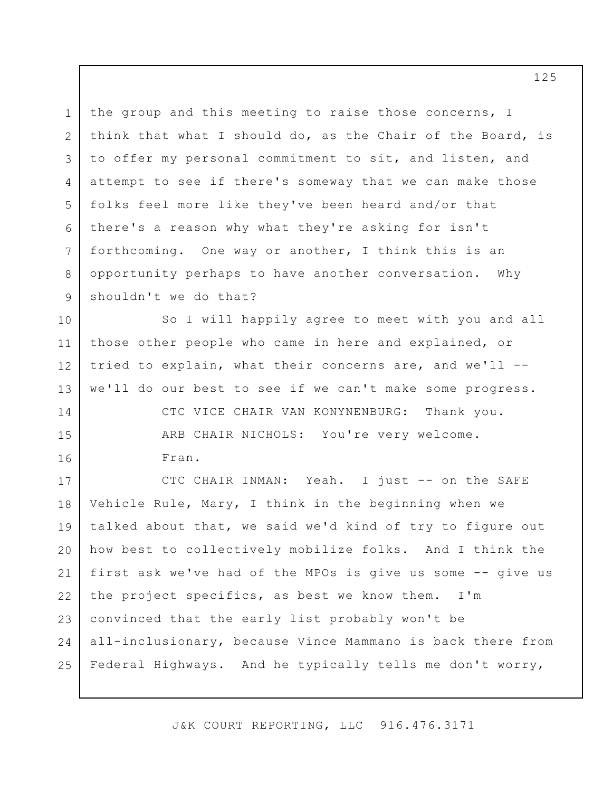the group and this meeting to raise those concerns, I think that what I should do, as the Chair of the Board, is to offer my personal commitment to sit, and listen, and attempt to see if there's someway that we can make those folks feel more like they've been heard and/or that there's a reason why what they're asking for isn't forthcoming. One way or another, I think this is an opportunity perhaps to have another conversation. Why shouldn't we do that? 1 2 3 4 5 6 7 8 9

So I will happily agree to meet with you and all those other people who came in here and explained, or tried to explain, what their concerns are, and we'll - we'll do our best to see if we can't make some progress. CTC VICE CHAIR VAN KONYNENBURG: Thank you. 10 11 12 13 14

> ARB CHAIR NICHOLS: You're very welcome. Fran.

15

16

CTC CHAIR INMAN: Yeah. I just -- on the SAFE Vehicle Rule, Mary, I think in the beginning when we talked about that, we said we'd kind of try to figure out how best to collectively mobilize folks. And I think the first ask we've had of the MPOs is give us some -- give us the project specifics, as best we know them. I'm convinced that the early list probably won't be all-inclusionary, because Vince Mammano is back there from Federal Highways. And he typically tells me don't worry, 17 18 19 20 21 22 23 24 25

J&K COURT REPORTING, LLC 916.476.3171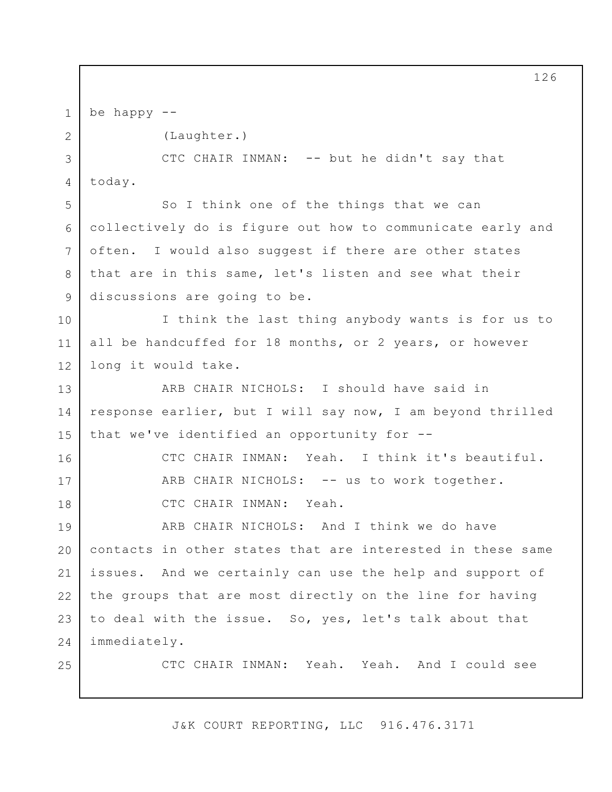be happy -- 1

2

5

6

7

8

9

16

17

18

25

(Laughter.)

CTC CHAIR INMAN: -- but he didn't say that today. 3 4

So I think one of the things that we can collectively do is figure out how to communicate early and often. I would also suggest if there are other states that are in this same, let's listen and see what their discussions are going to be.

I think the last thing anybody wants is for us to all be handcuffed for 18 months, or 2 years, or however long it would take. 10 11 12

ARB CHAIR NICHOLS: I should have said in response earlier, but I will say now, I am beyond thrilled that we've identified an opportunity for -- 13 14 15

> CTC CHAIR INMAN: Yeah. I think it's beautiful. ARB CHAIR NICHOLS: -- us to work together. CTC CHAIR INMAN: Yeah.

ARB CHAIR NICHOLS: And I think we do have contacts in other states that are interested in these same issues. And we certainly can use the help and support of the groups that are most directly on the line for having to deal with the issue. So, yes, let's talk about that immediately. 19 20 21 22 23 24

CTC CHAIR INMAN: Yeah. Yeah. And I could see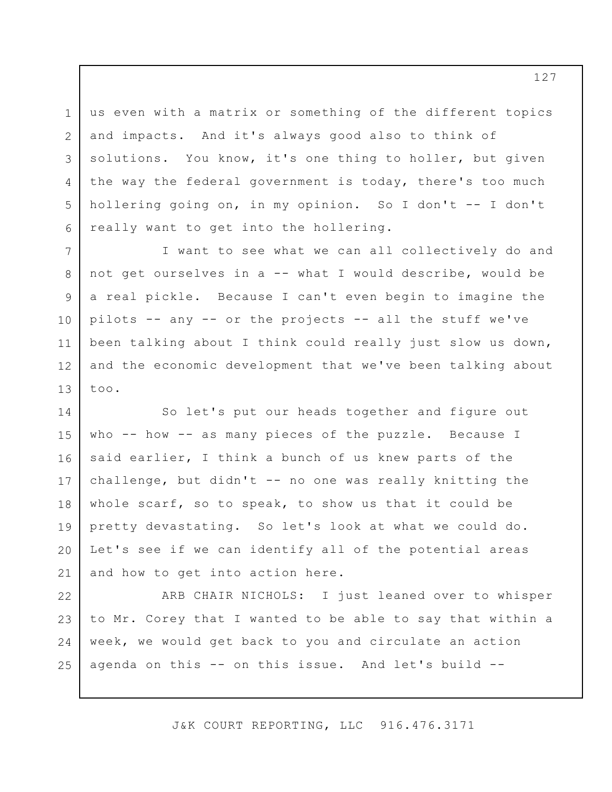us even with a matrix or something of the different topics and impacts. And it's always good also to think of solutions. You know, it's one thing to holler, but given the way the federal government is today, there's too much hollering going on, in my opinion. So I don't -- I don't really want to get into the hollering.

1

2

3

4

5

6

7

8

9

10

11

12

13

I want to see what we can all collectively do and not get ourselves in a -- what I would describe, would be a real pickle. Because I can't even begin to imagine the pilots -- any -- or the projects -- all the stuff we've been talking about I think could really just slow us down, and the economic development that we've been talking about too.

So let's put our heads together and figure out who -- how -- as many pieces of the puzzle. Because I said earlier, I think a bunch of us knew parts of the challenge, but didn't -- no one was really knitting the whole scarf, so to speak, to show us that it could be pretty devastating. So let's look at what we could do. Let's see if we can identify all of the potential areas and how to get into action here. 14 15 16 17 18 19 20 21

ARB CHAIR NICHOLS: I just leaned over to whisper to Mr. Corey that I wanted to be able to say that within a week, we would get back to you and circulate an action agenda on this -- on this issue. And let's build -- 22 23 24 25

J&K COURT REPORTING, LLC 916.476.3171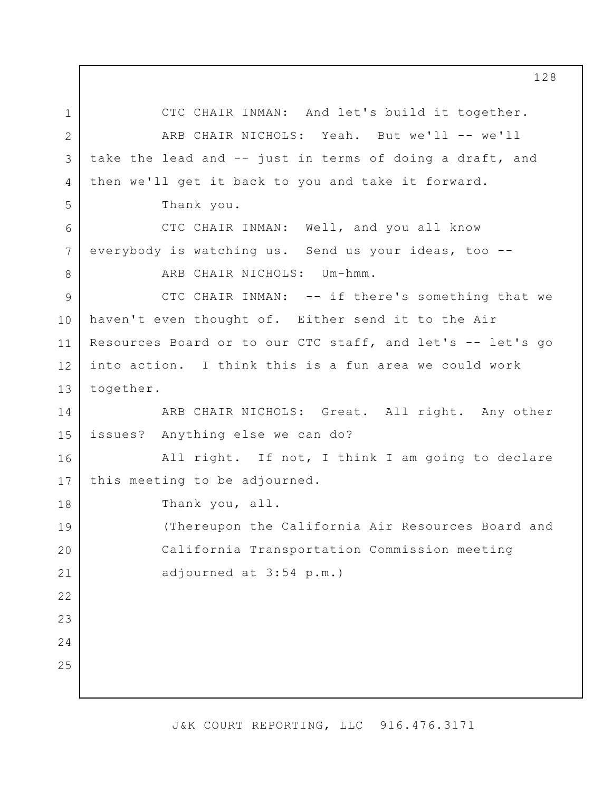CTC CHAIR INMAN: And let's build it together. ARB CHAIR NICHOLS: Yeah. But we'll -- we'll take the lead and -- just in terms of doing a draft, and then we'll get it back to you and take it forward. Thank you. CTC CHAIR INMAN: Well, and you all know everybody is watching us. Send us your ideas, too -- ARB CHAIR NICHOLS: Um-hmm. CTC CHAIR INMAN: -- if there's something that we haven't even thought of. Either send it to the Air Resources Board or to our CTC staff, and let's -- let's go into action. I think this is a fun area we could work together. ARB CHAIR NICHOLS: Great. All right. Any other issues? Anything else we can do? All right. If not, I think I am going to declare this meeting to be adjourned. Thank you, all. (Thereupon the California Air Resources Board and California Transportation Commission meeting adjourned at 3:54 p.m.) 1 2 3 4 5 6 7 8 9 10 11 12 13 14 15 16 17 18 19 20 21 22 23 24 25